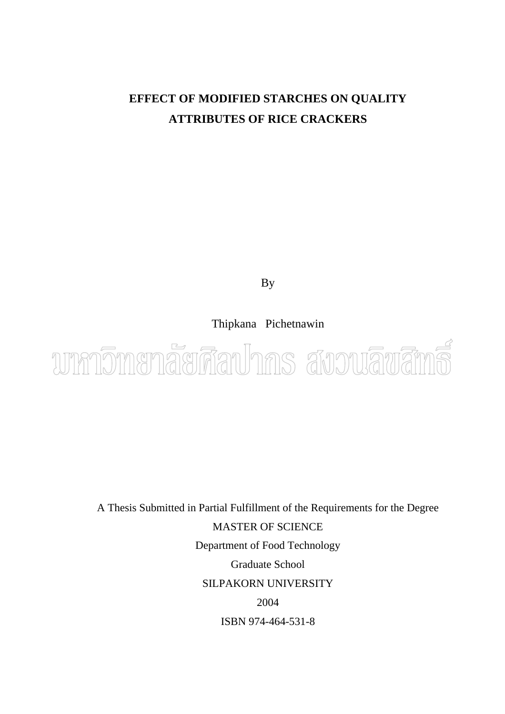# **EFFECT OF MODIFIED STARCHES ON QUALITY ATTRIBUTES OF RICE CRACKERS**

By

Thipkana Pichetnawin



A Thesis Submitted in Partial Fulfillment of the Requirements for the Degree MASTER OF SCIENCE Department of Food Technology Graduate School SILPAKORN UNIVERSITY 2004 ISBN 974-464-531-8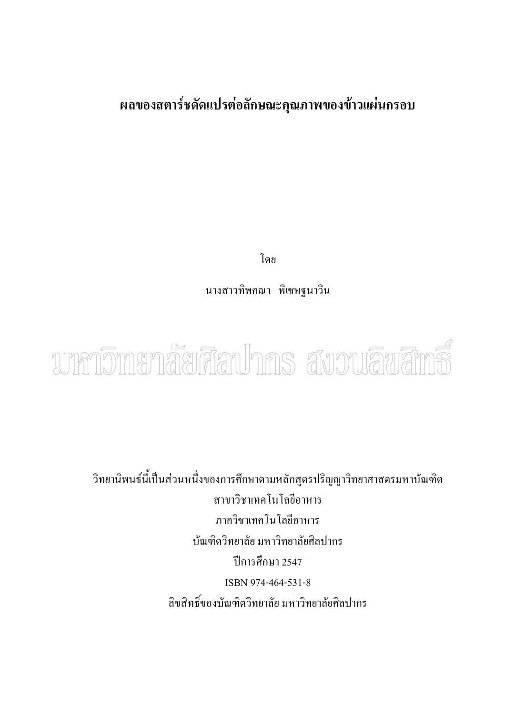#### **ผลของสตาร ชดัดแปรต อลักษณะคุณภาพของข าวแผ นกรอบ**  $\overline{a}$ ֧֚֚֝

โดย

นางสาวทิพคณา พิเชษฐนาวิน



วิทยานิพนธนี้เปนสวนหนึ่งของการศึกษาตามหลักสูตรปริญญาวิทยาศาสตรมหาบัณฑิต สาขาวิชาเทคโนโลยีอาหาร ภาควิชาเทคโนโลยีอาหาร บัณฑิตวิทยาลัย มหาวิทยาลัยศิลปากร ปการศึกษา 2547 ISBN 974-464-531-8 ลิขสิทธิ์ของบัณฑิตวิทยาลัย มหาวิทยาลัยศิลปากร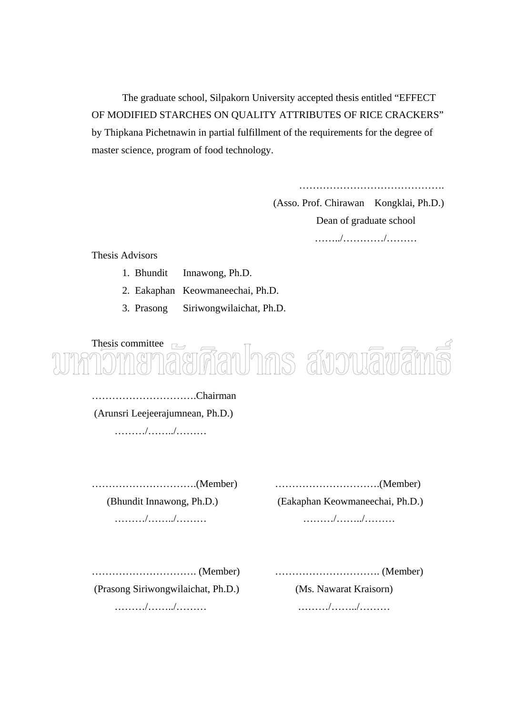The graduate school, Silpakorn University accepted thesis entitled "EFFECT OF MODIFIED STARCHES ON QUALITY ATTRIBUTES OF RICE CRACKERS" by Thipkana Pichetnawin in partial fulfillment of the requirements for the degree of master science, program of food technology.

…………………………………….

(Asso. Prof. Chirawan Kongklai, Ph.D.) Dean of graduate school ……../…………/………

Thesis Advisors

- 1. Bhundit Innawong, Ph.D.
- 2. Eakaphan Keowmaneechai, Ph.D.
- 3. Prasong Siriwongwilaichat, Ph.D.

Thesis committee  $\Box$ ทีลปากร สังวนลิขสิ

………………………….Chairman (Arunsri Leejeerajumnean, Ph.D.)

………/……../………

………………………….(Member) ………………………….(Member)

(Bhundit Innawong, Ph.D.) (Eakaphan Keowmaneechai, Ph.D.)

………/……../……… ………/……../………

(Prasong Siriwongwilaichat, Ph.D.) (Ms. Nawarat Kraisorn)

…………………………. (Member) …………………………. (Member)

………/……../……… ………/……../………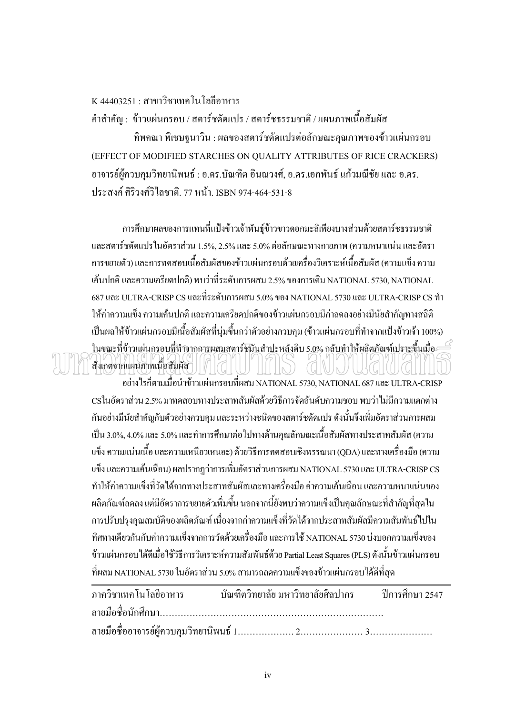#### K 44403251 : สาขาวิชาเทคโนโลยีอาหาร

คำสำคัญ : ข้าวแผ่นกรอบ / สตาร์ชดัดแปร / สตาร์ชธรรมชาติ / แผนภาพเนื้อสัมผัส ื้

้ทิพคณา พิเชษฐนาวิน : ผลของสตาร์ชดัดแปรต่อลักษณะคณภาพของข้าวแผ่นกรอบ (EFFECT OF MODIFIED STARCHES ON QUALITY ATTRIBUTES OF RICE CRACKERS) อาจารย์ผู้ควบคุมวิทยานิพนธ์ : อ.ดร.บัณฑิต อินณวงศ์, อ.ดร.เอกพันธ์ แก้วมณีชัย และ อ.ดร. ประสงค์ ศิริวงศ์วิไลชาติ. 77 หน้า. ISBN 974-464-531-8

การศึกษาผลของการแทนที่แป้งข้าวเจ้าพันธุ์ข้าวขาวดอกมะลิเพียงบางส่วนด้วยสตาร์ชธรรมชาติ และสตาร์ชดัดแปรในอัตราส่วน 1.5%, 2.5% และ 5.0% ต่อลักษณะทางกายภาพ (ความหนาแน่น และอัตรา การขยายตัว) และการทดสอบเนื้อสัมผัสของข้าวแผ่นกรอบด้วยเครื่องวิเคราะห์เนื้อสัมผัส (ความแข็ง ความ ื้ ื่ ื้ เค้นปกติ และความเครียดปกติ) พบว่าที่ระดับการผสม 2.5% ของการเติม NATIONAL 5730, NATIONAL ี่ 687 และ ULTRA-CRISP CS และท ระดับการผสม 5.0% ของ NATIONAL 5730 และ ULTRA-CRISP CS ทํา ี่ ให้ค่าความแข็ง ความเค้นปกติ และความเครียดปกติของข้าวแผ่นกรอบมีค่าลดลงอย่างมีนัยสำคัญทางสถิติ เป็นผลให้ข้าวแผ่นกรอบมีเนื้อสัมผัสที่นุ่มขึ้นกว่าตัวอย่างควบคุม (ข้าวแผ่นกรอบที่ทำจากแป้งข้าวเจ้า 100%) ึ้ ในขณะที่ข้าวแผ่นกรอบที่ทำจากการผสมสตาร์ชมันสำปะหลังดิบ 5,0% กลับทำให้ผลิตภัณฑ์เปราะขึ้นเมื่อ สังเกตจากแผนภาพเนื้อสัมผัส ื้

อย่างไรก็ตามเมื่อนำข้าวแผ่นกรอบที่ผสม NATIONAL 5730, NATIONAL 687 และ ULTRA-CRISP ี่ CSในอัตราสวน 2.5% มาทดสอบทางประสาทสัมผัสดวยวิธีการจัดอันดับความชอบ พบวาไมมีความแตกตาง กันอย่างมีนัยสำคัญกับตัวอย่างควบคุม และระหว่างชนิดของสตาร์ชดัดแปร ดังนั้นจึงเพิ่มอัตราส่วนการผสม ั้ ิ่ เป็น 3.0%, 4.0% และ 5.0% และทำการศึกษาต่อไปทางด้านคุณลักษณะเนื้อสัมผัสทางประสาทสัมผัส (ความ ื้ แข็ง ความแน่นเนื้อ และความเหนียวเหนอะ) ด้วยวิธีการทดสอบเชิงพรรณนา (QDA) และทางเครื่องมือ (ความ ื่ แข็ง และความเค้นเฉือน) ผลปรากฏว่าการเพิ่มอัตราส่วนการผสม NATIONAL 5730 และ ULTRA-CRISP CS ิ่ ทำให้ค่าความแข็งที่วัดได้จากทางประสาทสัมผัสและทางเครื่องมือ ค่าความเค้นเฉือน และความหนาแน่นของ ื่ ผลิตภัณฑ์ลดลง แต่มีอัตราการขยายตัวเพิ่มขึ้น นอกจากนี้ยังพบว่าความแข็งเป็นคุณลักษณะที่สำคัญที่สุดใน ิ่ การปรับปรุงคุณสมบัติของผลิตภัณฑ์ เนื่องจากค่าความแข็งที่วัด ได้จากประสาทสัมผัสมีความสัมพันธ์ ไปใน ื่ ทิศทางเดียวกันกับค่าความแข็งจากการวัดด้วยเครื่องมือ และการใช้ NATIONAL 5730 บ่งบอกความแข็งของ ื่ ข้าวแผ่นกรอบได้ดีเมื่อใช้วิธีการวิเคราะห์ความสัมพันธ์ด้วย Partial Least Squares (PLS) ดังนั้นข้าวแผ่นกรอบ ั้ ที่ผสม NATIONAL 5730 ในอัตราสวน 5.0% สามารถลดความแข็งของขาวแผนกรอบไดดีที่สุด

| ภาควิชาเทคโนโลยีอาหาร บัณฑิตวิทยาลัย มหาวิทยาลัยศิลปากร ปีการศึกษา 2547 |  |  |
|-------------------------------------------------------------------------|--|--|
|                                                                         |  |  |
|                                                                         |  |  |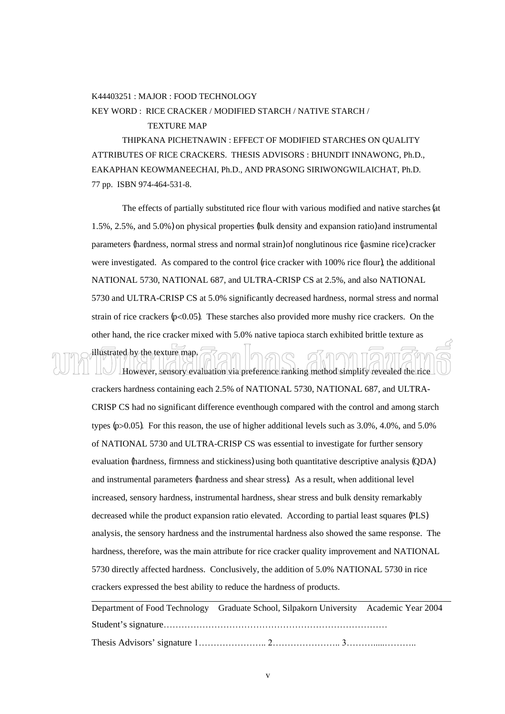#### K44403251 : MAJOR : FOOD TECHNOLOGY

KEY WORD : RICE CRACKER / MODIFIED STARCH / NATIVE STARCH /

#### TEXTURE MAP

 THIPKANA PICHETNAWIN : EFFECT OF MODIFIED STARCHES ON QUALITY ATTRIBUTES OF RICE CRACKERS. THESIS ADVISORS : BHUNDIT INNAWONG, Ph.D., EAKAPHAN KEOWMANEECHAI, Ph.D., AND PRASONG SIRIWONGWILAICHAT, Ph.D. 77 pp. ISBN 974-464-531-8.

The effects of partially substituted rice flour with various modified and native starches (at 1.5%, 2.5%, and 5.0%) on physical properties (bulk density and expansion ratio) and instrumental parameters (hardness, normal stress and normal strain) of nonglutinous rice (jasmine rice) cracker were investigated. As compared to the control (rice cracker with 100% rice flour), the additional NATIONAL 5730, NATIONAL 687, and ULTRA-CRISP CS at 2.5%, and also NATIONAL 5730 and ULTRA-CRISP CS at 5.0% significantly decreased hardness, normal stress and normal strain of rice crackers  $(p<0.05)$ . These starches also provided more mushy rice crackers. On the other hand, the rice cracker mixed with 5.0% native tapioca starch exhibited brittle texture as

illustrated by the texture map. However, sensory evaluation via preference ranking method simplify revealed the rice

crackers hardness containing each 2.5% of NATIONAL 5730, NATIONAL 687, and ULTRA-CRISP CS had no significant difference eventhough compared with the control and among starch types (p>0.05). For this reason, the use of higher additional levels such as 3.0%, 4.0%, and 5.0% of NATIONAL 5730 and ULTRA-CRISP CS was essential to investigate for further sensory evaluation (hardness, firmness and stickiness) using both quantitative descriptive analysis (QDA) and instrumental parameters (hardness and shear stress). As a result, when additional level increased, sensory hardness, instrumental hardness, shear stress and bulk density remarkably decreased while the product expansion ratio elevated. According to partial least squares (PLS) analysis, the sensory hardness and the instrumental hardness also showed the same response. The hardness, therefore, was the main attribute for rice cracker quality improvement and NATIONAL 5730 directly affected hardness. Conclusively, the addition of 5.0% NATIONAL 5730 in rice crackers expressed the best ability to reduce the hardness of products.

Department of Food Technology Graduate School, Silpakorn University Academic Year 2004 Student's signature…………………………………………………………………

Thesis Advisors' signature 1………………….. 2………………….. 3……….....………..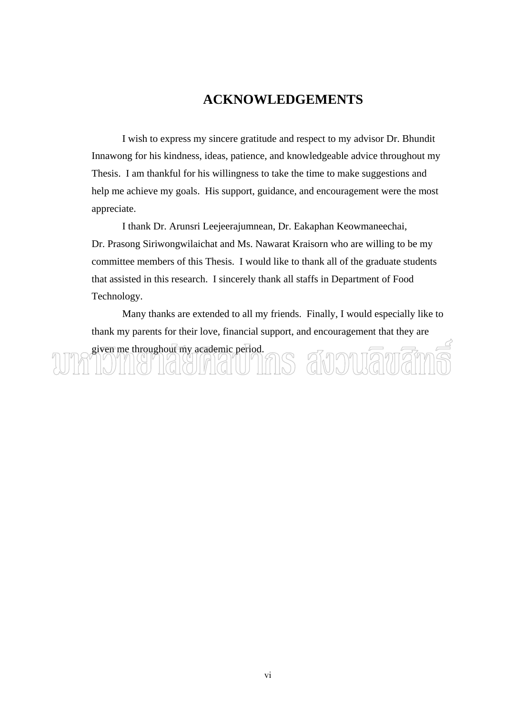## **ACKNOWLEDGEMENTS**

 I wish to express my sincere gratitude and respect to my advisor Dr. Bhundit Innawong for his kindness, ideas, patience, and knowledgeable advice throughout my Thesis. I am thankful for his willingness to take the time to make suggestions and help me achieve my goals. His support, guidance, and encouragement were the most appreciate.

 I thank Dr. Arunsri Leejeerajumnean, Dr. Eakaphan Keowmaneechai, Dr. Prasong Siriwongwilaichat and Ms. Nawarat Kraisorn who are willing to be my committee members of this Thesis. I would like to thank all of the graduate students that assisted in this research. I sincerely thank all staffs in Department of Food Technology.

 Many thanks are extended to all my friends. Finally, I would especially like to thank my parents for their love, financial support, and encouragement that they are given me throughout my academic period. MAT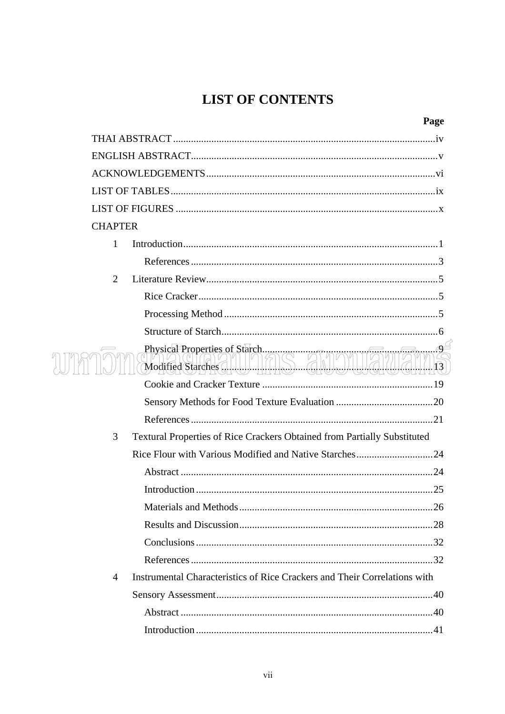# **LIST OF CONTENTS**

| <b>CHAPTER</b> |                                                                                 |  |  |
|----------------|---------------------------------------------------------------------------------|--|--|
| 1              |                                                                                 |  |  |
|                |                                                                                 |  |  |
| 2              |                                                                                 |  |  |
|                |                                                                                 |  |  |
|                |                                                                                 |  |  |
|                |                                                                                 |  |  |
|                |                                                                                 |  |  |
|                |                                                                                 |  |  |
|                |                                                                                 |  |  |
|                |                                                                                 |  |  |
| 3              | <b>Textural Properties of Rice Crackers Obtained from Partially Substituted</b> |  |  |
|                |                                                                                 |  |  |
|                |                                                                                 |  |  |
|                |                                                                                 |  |  |
|                | Materials and Methods.<br>26                                                    |  |  |
|                |                                                                                 |  |  |
|                |                                                                                 |  |  |
|                |                                                                                 |  |  |
| $\overline{4}$ | Instrumental Characteristics of Rice Crackers and Their Correlations with       |  |  |
|                |                                                                                 |  |  |
|                |                                                                                 |  |  |
|                |                                                                                 |  |  |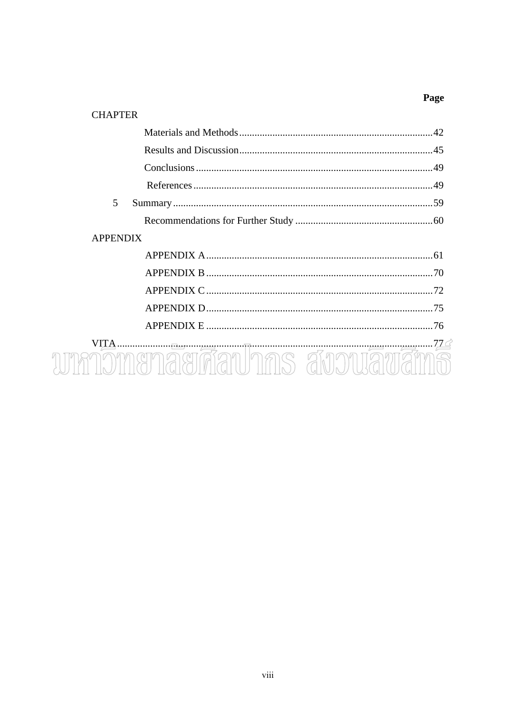### Page

#### **CHAPTER**

| 5               |                                                                                                                                                                                                                                                                                                                                                                                                                          |     |
|-----------------|--------------------------------------------------------------------------------------------------------------------------------------------------------------------------------------------------------------------------------------------------------------------------------------------------------------------------------------------------------------------------------------------------------------------------|-----|
|                 |                                                                                                                                                                                                                                                                                                                                                                                                                          |     |
| <b>APPENDIX</b> |                                                                                                                                                                                                                                                                                                                                                                                                                          |     |
|                 |                                                                                                                                                                                                                                                                                                                                                                                                                          |     |
|                 |                                                                                                                                                                                                                                                                                                                                                                                                                          |     |
|                 |                                                                                                                                                                                                                                                                                                                                                                                                                          |     |
|                 |                                                                                                                                                                                                                                                                                                                                                                                                                          | -75 |
|                 |                                                                                                                                                                                                                                                                                                                                                                                                                          |     |
| VITA            | $\begin{array}{c c c c c c} \hline \textbf{1} & \textbf{1} & \textbf{1} & \textbf{1} & \textbf{1} & \textbf{1} & \textbf{1} & \textbf{1} & \textbf{1} & \textbf{1} & \textbf{1} & \textbf{1} & \textbf{1} & \textbf{1} & \textbf{1} & \textbf{1} & \textbf{1} & \textbf{1} & \textbf{1} & \textbf{1} & \textbf{1} & \textbf{1} & \textbf{1} & \textbf{1} & \textbf{1} & \textbf{1} & \textbf{1} & \textbf{1} & \textbf{$ |     |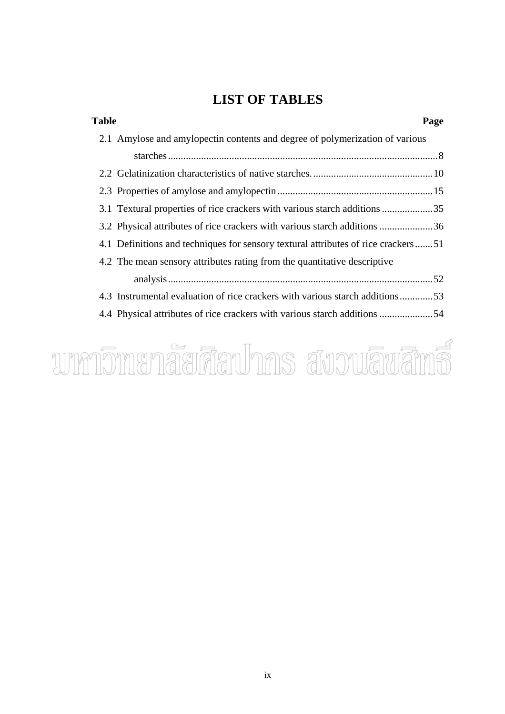## **LIST OF TABLES**

| <b>Table</b> |                                                                                   | Page |
|--------------|-----------------------------------------------------------------------------------|------|
|              | 2.1 Amylose and amylopectin contents and degree of polymerization of various      |      |
|              |                                                                                   |      |
|              |                                                                                   |      |
|              |                                                                                   |      |
|              | 3.1 Textural properties of rice crackers with various starch additions 35         |      |
|              | 3.2 Physical attributes of rice crackers with various starch additions 36         |      |
|              | 4.1 Definitions and techniques for sensory textural attributes of rice crackers51 |      |
|              | 4.2 The mean sensory attributes rating from the quantitative descriptive          |      |
|              |                                                                                   |      |
|              | 4.3 Instrumental evaluation of rice crackers with various starch additions53      |      |
|              |                                                                                   |      |

# wnnomenaerdauhns avouauans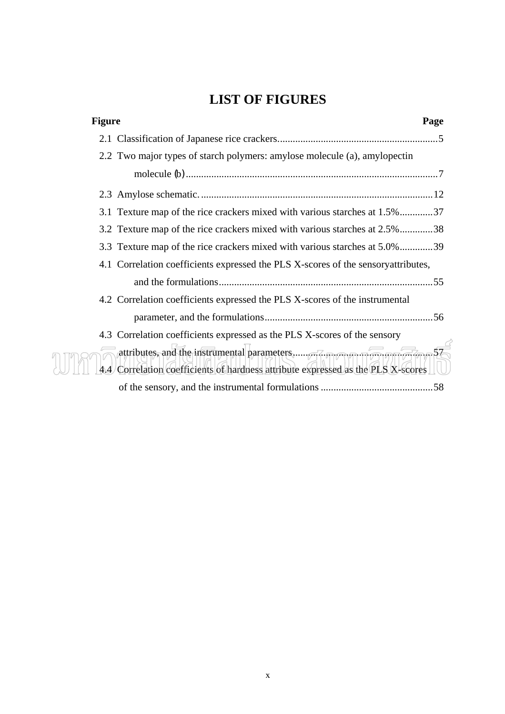## **LIST OF FIGURES**

| <b>Figure</b> |                                                                                    | Page |
|---------------|------------------------------------------------------------------------------------|------|
|               |                                                                                    |      |
|               | 2.2 Two major types of starch polymers: amylose molecule (a), amylopectin          |      |
|               |                                                                                    |      |
|               |                                                                                    |      |
|               | 3.1 Texture map of the rice crackers mixed with various starches at 1.5%37         |      |
|               | 3.2 Texture map of the rice crackers mixed with various starches at 2.5%38         |      |
|               | 3.3 Texture map of the rice crackers mixed with various starches at 5.0%39         |      |
|               | 4.1 Correlation coefficients expressed the PLS X-scores of the sensory attributes, |      |
|               |                                                                                    |      |
|               | 4.2 Correlation coefficients expressed the PLS X-scores of the instrumental        |      |
|               |                                                                                    |      |
|               | 4.3 Correlation coefficients expressed as the PLS X-scores of the sensory          |      |
|               | 4.4 Correlation coefficients of hardness attribute expressed as the PLS X-scores   |      |
|               |                                                                                    |      |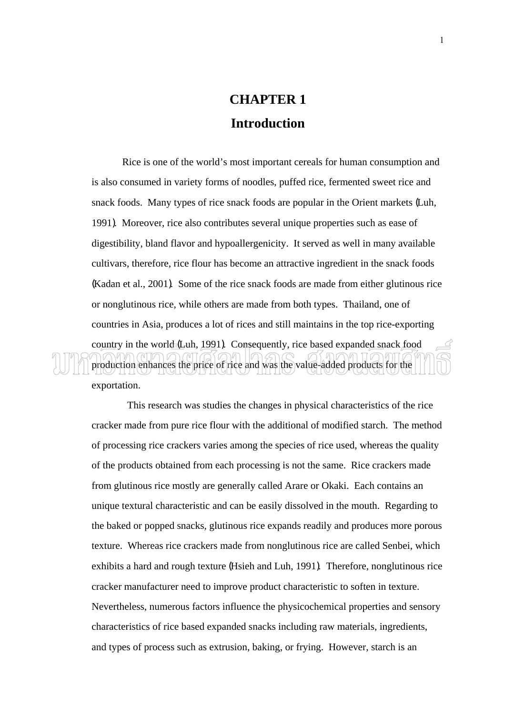# **CHAPTER 1 Introduction**

Rice is one of the world's most important cereals for human consumption and is also consumed in variety forms of noodles, puffed rice, fermented sweet rice and snack foods. Many types of rice snack foods are popular in the Orient markets (Luh, 1991). Moreover, rice also contributes several unique properties such as ease of digestibility, bland flavor and hypoallergenicity. It served as well in many available cultivars, therefore, rice flour has become an attractive ingredient in the snack foods (Kadan et al., 2001). Some of the rice snack foods are made from either glutinous rice or nonglutinous rice, while others are made from both types. Thailand, one of countries in Asia, produces a lot of rices and still maintains in the top rice-exporting country in the world (Luh, 1991). Consequently, rice based expanded snack food production enhances the price of rice and was the value-added products for the

exportation.

 This research was studies the changes in physical characteristics of the rice cracker made from pure rice flour with the additional of modified starch. The method of processing rice crackers varies among the species of rice used, whereas the quality of the products obtained from each processing is not the same. Rice crackers made from glutinous rice mostly are generally called Arare or Okaki. Each contains an unique textural characteristic and can be easily dissolved in the mouth. Regarding to the baked or popped snacks, glutinous rice expands readily and produces more porous texture. Whereas rice crackers made from nonglutinous rice are called Senbei, which exhibits a hard and rough texture (Hsieh and Luh, 1991). Therefore, nonglutinous rice cracker manufacturer need to improve product characteristic to soften in texture. Nevertheless, numerous factors influence the physicochemical properties and sensory characteristics of rice based expanded snacks including raw materials, ingredients, and types of process such as extrusion, baking, or frying. However, starch is an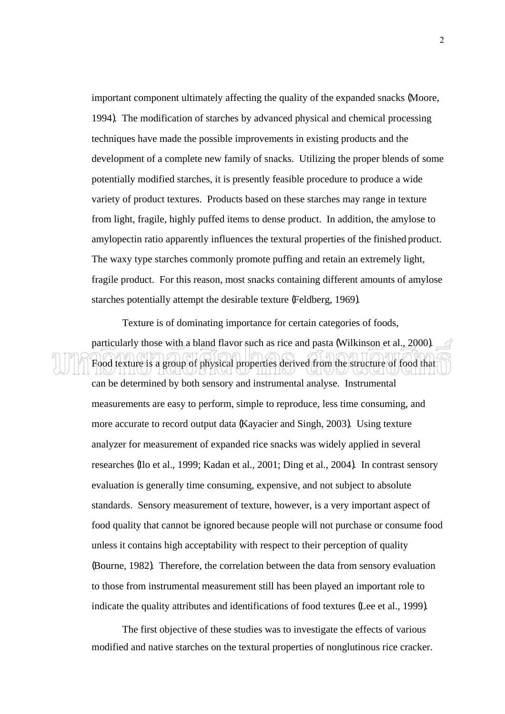important component ultimately affecting the quality of the expanded snacks (Moore, 1994). The modification of starches by advanced physical and chemical processing techniques have made the possible improvements in existing products and the development of a complete new family of snacks. Utilizing the proper blends of some potentially modified starches, it is presently feasible procedure to produce a wide variety of product textures. Products based on these starches may range in texture from light, fragile, highly puffed items to dense product. In addition, the amylose to amylopectin ratio apparently influences the textural properties of the finished product. The waxy type starches commonly promote puffing and retain an extremely light, fragile product. For this reason, most snacks containing different amounts of amylose starches potentially attempt the desirable texture (Feldberg, 1969).

Texture is of dominating importance for certain categories of foods,

particularly those with a bland flavor such as rice and pasta (Wilkinson et al., 2000). Food texture is a group of physical properties derived from the structure of food that can be determined by both sensory and instrumental analyse. Instrumental measurements are easy to perform, simple to reproduce, less time consuming, and more accurate to record output data (Kayacier and Singh, 2003). Using texture analyzer for measurement of expanded rice snacks was widely applied in several researches (Ilo et al., 1999; Kadan et al., 2001; Ding et al., 2004). In contrast sensory evaluation is generally time consuming, expensive, and not subject to absolute standards. Sensory measurement of texture, however, is a very important aspect of food quality that cannot be ignored because people will not purchase or consume food unless it contains high acceptability with respect to their perception of quality (Bourne, 1982). Therefore, the correlation between the data from sensory evaluation to those from instrumental measurement still has been played an important role to indicate the quality attributes and identifications of food textures (Lee et al., 1999).

The first objective of these studies was to investigate the effects of various modified and native starches on the textural properties of nonglutinous rice cracker.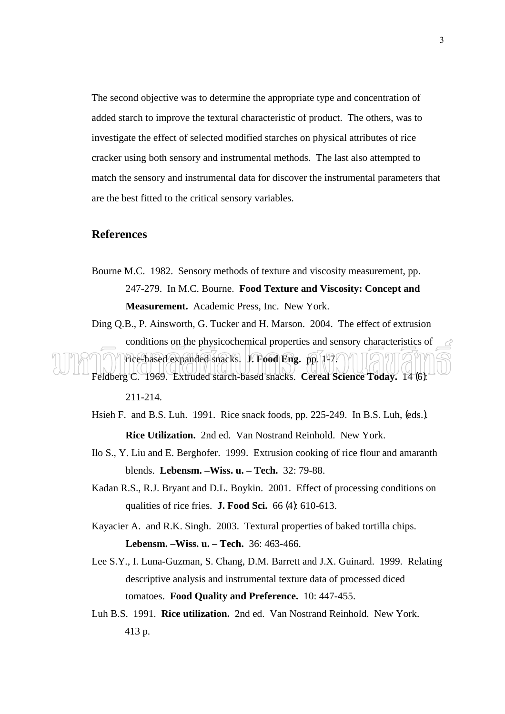The second objective was to determine the appropriate type and concentration of added starch to improve the textural characteristic of product. The others, was to investigate the effect of selected modified starches on physical attributes of rice cracker using both sensory and instrumental methods. The last also attempted to match the sensory and instrumental data for discover the instrumental parameters that are the best fitted to the critical sensory variables.

#### **References**

- Bourne M.C. 1982. Sensory methods of texture and viscosity measurement, pp. 247-279. In M.C. Bourne. **Food Texture and Viscosity: Concept and Measurement.** Academic Press, Inc. New York.
- Ding Q.B., P. Ainsworth, G. Tucker and H. Marson. 2004. The effect of extrusion conditions on the physicochemical properties and sensory characteristics of

rice-based expanded snacks. **J. Food Eng.** pp. 1-7. Feldberg C. 1969. Extruded starch-based snacks. **Cereal Science Today.** 14 (6):

- Hsieh F. and B.S. Luh. 1991. Rice snack foods, pp. 225-249. In B.S. Luh, (eds.). **Rice Utilization.** 2nd ed. Van Nostrand Reinhold. New York.
- Ilo S., Y. Liu and E. Berghofer. 1999. Extrusion cooking of rice flour and amaranth blends. **Lebensm. –Wiss. u. – Tech.** 32: 79-88.
- Kadan R.S., R.J. Bryant and D.L. Boykin. 2001. Effect of processing conditions on qualities of rice fries. **J. Food Sci.** 66 (4): 610-613.
- Kayacier A. and R.K. Singh. 2003. Textural properties of baked tortilla chips. **Lebensm. –Wiss. u. – Tech.** 36: 463-466.
- Lee S.Y., I. Luna-Guzman, S. Chang, D.M. Barrett and J.X. Guinard. 1999. Relating descriptive analysis and instrumental texture data of processed diced tomatoes. **Food Quality and Preference.** 10: 447-455.
- Luh B.S. 1991. **Rice utilization.** 2nd ed. Van Nostrand Reinhold. New York. 413 p.

<sup>211-214.</sup>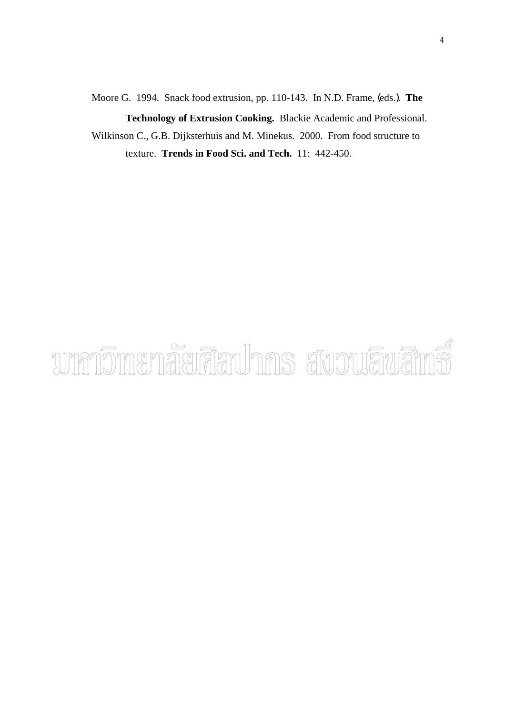Moore G. 1994. Snack food extrusion, pp. 110-143. In N.D. Frame, (eds.). **The Technology of Extrusion Cooking.** Blackie Academic and Professional. Wilkinson C., G.B. Dijksterhuis and M. Minekus. 2000. From food structure to texture. **Trends in Food Sci. and Tech.** 11: 442-450.

# unnomenaerdauhns avouauana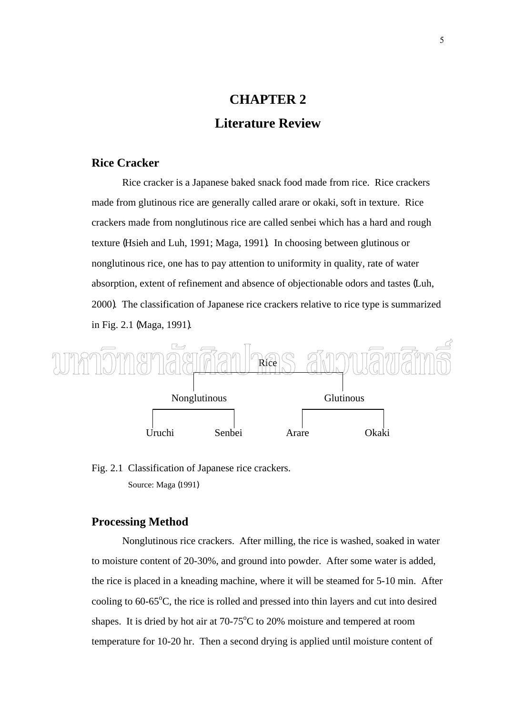# **CHAPTER 2 Literature Review**

**Rice Cracker** 

 Rice cracker is a Japanese baked snack food made from rice. Rice crackers made from glutinous rice are generally called arare or okaki, soft in texture. Rice crackers made from nonglutinous rice are called senbei which has a hard and rough texture (Hsieh and Luh, 1991; Maga, 1991). In choosing between glutinous or nonglutinous rice, one has to pay attention to uniformity in quality, rate of water absorption, extent of refinement and absence of objectionable odors and tastes (Luh, 2000). The classification of Japanese rice crackers relative to rice type is summarized in Fig. 2.1 (Maga, 1991).



#### Fig. 2.1 Classification of Japanese rice crackers. Source: Maga (1991)

#### **Processing Method**

 Nonglutinous rice crackers. After milling, the rice is washed, soaked in water to moisture content of 20-30%, and ground into powder. After some water is added, the rice is placed in a kneading machine, where it will be steamed for 5-10 min. After cooling to  $60-65^{\circ}$ C, the rice is rolled and pressed into thin layers and cut into desired shapes. It is dried by hot air at  $70-75^{\circ}$ C to 20% moisture and tempered at room temperature for 10-20 hr. Then a second drying is applied until moisture content of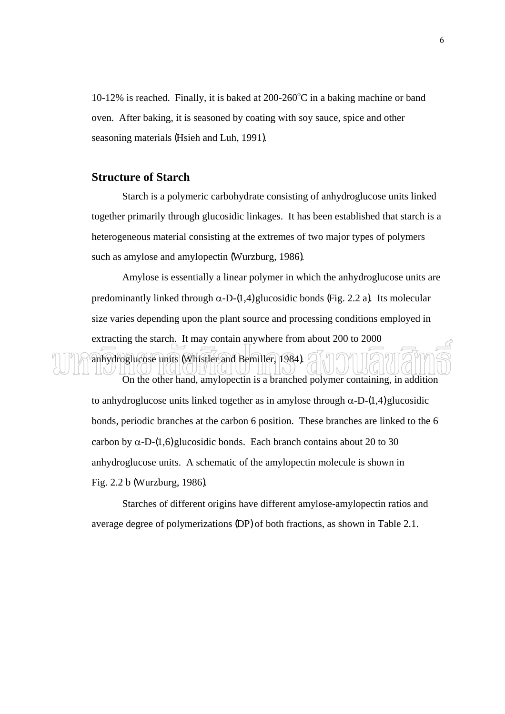10-12% is reached. Finally, it is baked at  $200-260^{\circ}$ C in a baking machine or band oven. After baking, it is seasoned by coating with soy sauce, spice and other seasoning materials (Hsieh and Luh, 1991).

#### **Structure of Starch**

 Starch is a polymeric carbohydrate consisting of anhydroglucose units linked together primarily through glucosidic linkages. It has been established that starch is a heterogeneous material consisting at the extremes of two major types of polymers such as amylose and amylopectin (Wurzburg, 1986).

 Amylose is essentially a linear polymer in which the anhydroglucose units are predominantly linked through  $\alpha$ -D-(1,4) glucosidic bonds (Fig. 2.2 a). Its molecular size varies depending upon the plant source and processing conditions employed in extracting the starch. It may contain anywhere from about 200 to 2000

anhydroglucose units (Whistler and Bemiller, 1984).

On the other hand, amylopectin is a branched polymer containing, in addition to anhydroglucose units linked together as in amylose through  $\alpha$ -D-(1,4) glucosidic bonds, periodic branches at the carbon 6 position. These branches are linked to the 6 carbon by  $\alpha$ -D-(1,6) glucosidic bonds. Each branch contains about 20 to 30 anhydroglucose units. A schematic of the amylopectin molecule is shown in Fig. 2.2 b (Wurzburg, 1986).

Starches of different origins have different amylose-amylopectin ratios and average degree of polymerizations (DP) of both fractions, as shown in Table 2.1.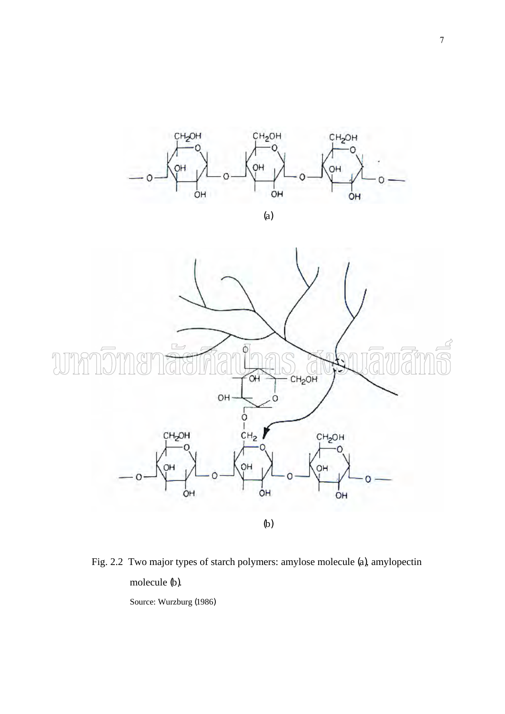

(a)



Fig. 2.2 Two major types of starch polymers: amylose molecule (a), amylopectin molecule (b).

Source: Wurzburg (1986)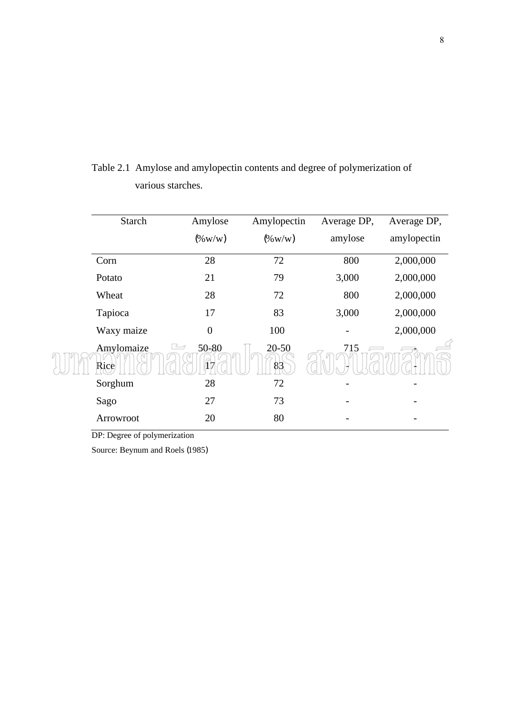| <b>Starch</b>      | Amylose                                      | Amylopectin     | Average DP, | Average DP, |
|--------------------|----------------------------------------------|-----------------|-------------|-------------|
|                    | $(\%$ W/W)                                   | $(\%$ W/W)      | amylose     | amylopectin |
| Corn               | 28                                           | 72              | 800         | 2,000,000   |
| Potato             | 21                                           | 79              | 3,000       | 2,000,000   |
| Wheat              | 28                                           | 72              | 800         | 2,000,000   |
| Tapioca            | 17                                           | 83              | 3,000       | 2,000,000   |
| Waxy maize         | $\boldsymbol{0}$                             | 100             |             | 2,000,000   |
| Amylomaize<br>Rice | $\rightarrow$<br>$50 - 80$<br>$\widehat{1}7$ | $20 - 50$<br>83 | 715         |             |
| Sorghum            | 28                                           | 72              |             |             |
| Sago               | 27                                           | 73              |             |             |
| Arrowroot          | 20                                           | 80              |             |             |

Table 2.1 Amylose and amylopectin contents and degree of polymerization of various starches.

DP: Degree of polymerization

Source: Beynum and Roels (1985)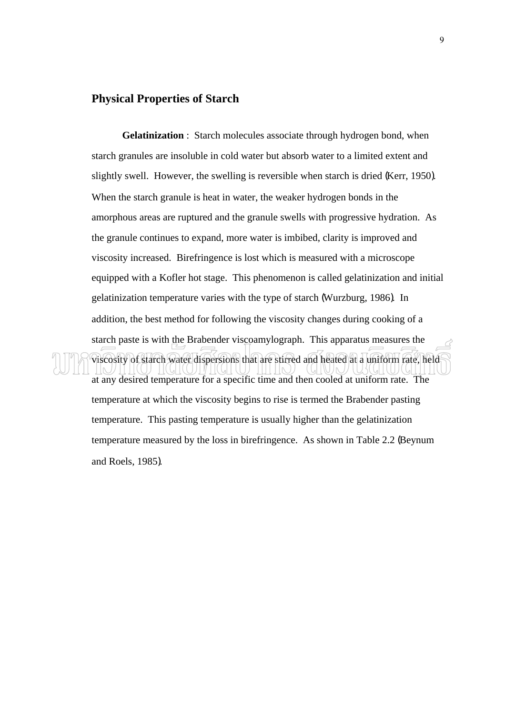#### **Physical Properties of Starch**

**Gelatinization** : Starch molecules associate through hydrogen bond, when starch granules are insoluble in cold water but absorb water to a limited extent and slightly swell. However, the swelling is reversible when starch is dried (Kerr, 1950). When the starch granule is heat in water, the weaker hydrogen bonds in the amorphous areas are ruptured and the granule swells with progressive hydration. As the granule continues to expand, more water is imbibed, clarity is improved and viscosity increased. Birefringence is lost which is measured with a microscope equipped with a Kofler hot stage. This phenomenon is called gelatinization and initial gelatinization temperature varies with the type of starch (Wurzburg, 1986). In addition, the best method for following the viscosity changes during cooking of a starch paste is with the Brabender viscoamylograph. This apparatus measures the

at any desired temperature for a specific time and then cooled at uniform rate. The temperature at which the viscosity begins to rise is termed the Brabender pasting temperature. This pasting temperature is usually higher than the gelatinization temperature measured by the loss in birefringence. As shown in Table 2.2 (Beynum and Roels, 1985).

viscosity of starch water dispersions that are stirred and heated at a uniform rate, held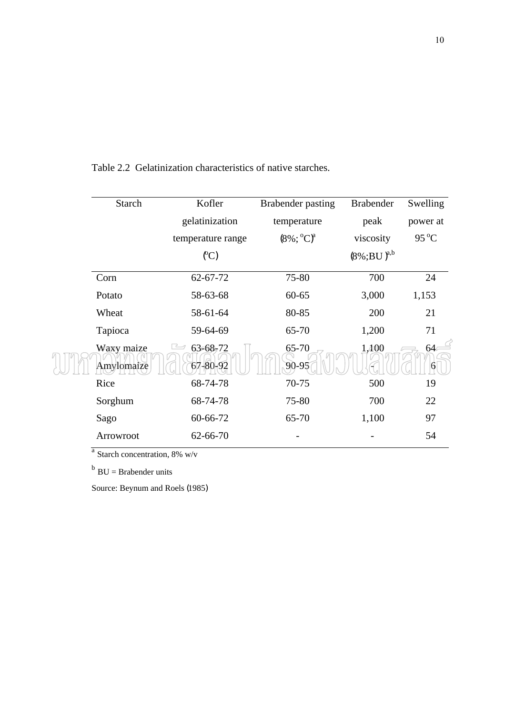| <b>Starch</b>            | Kofler                     | <b>Brabender pasting</b> | <b>Brabender</b> | Swelling       |
|--------------------------|----------------------------|--------------------------|------------------|----------------|
|                          | gelatinization             | temperature              | peak             | power at       |
|                          | temperature range          | $(8\%; {}^{0}C)^{a}$     | viscosity        | $95^{\circ}$ C |
|                          | (C)                        |                          | $(8\%;BU)^{a,b}$ |                |
| Corn                     | 62-67-72                   | 75-80                    | 700              | 24             |
| Potato                   | 58-63-68                   | $60 - 65$                | 3,000            | 1,153          |
| Wheat                    | 58-61-64                   | 80-85                    | 200              | 21             |
| Tapioca                  | 59-64-69                   | 65-70                    | 1,200            | 71             |
| Waxy maize<br>Amylomaize | $63 - 68 - 72$<br>67-80-92 | 65-70<br>90-95           | 1,400            | 64             |
| Rice                     | 68-74-78                   | 70-75                    | 500              | 19             |
| Sorghum                  | 68-74-78                   | 75-80                    | 700              | 22             |
| Sago                     | 60-66-72                   | 65-70                    | 1,100            | 97             |
| Arrowroot                | 62-66-70                   |                          |                  | 54             |

Table 2.2 Gelatinization characteristics of native starches.

 $a$  Starch concentration, 8% w/v

 $b$  BU = Brabender units

Source: Beynum and Roels (1985)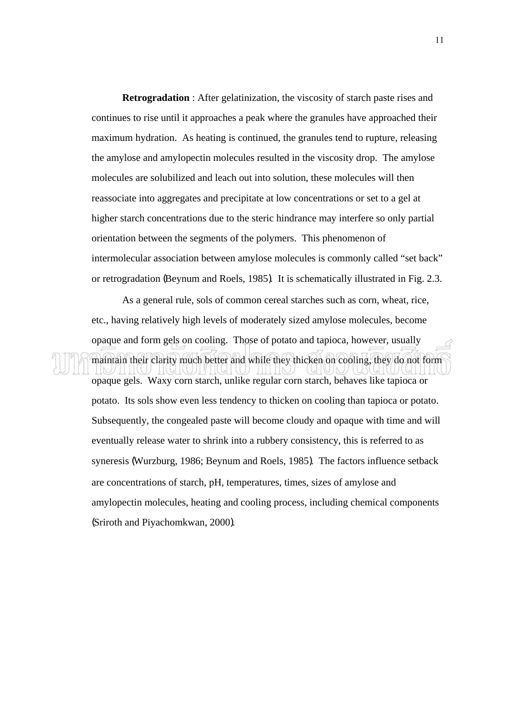**Retrogradation** : After gelatinization, the viscosity of starch paste rises and continues to rise until it approaches a peak where the granules have approached their maximum hydration. As heating is continued, the granules tend to rupture, releasing the amylose and amylopectin molecules resulted in the viscosity drop. The amylose molecules are solubilized and leach out into solution, these molecules will then reassociate into aggregates and precipitate at low concentrations or set to a gel at higher starch concentrations due to the steric hindrance may interfere so only partial orientation between the segments of the polymers. This phenomenon of intermolecular association between amylose molecules is commonly called "set back" or retrogradation (Beynum and Roels, 1985). It is schematically illustrated in Fig. 2.3.

As a general rule, sols of common cereal starches such as corn, wheat, rice, etc., having relatively high levels of moderately sized amylose molecules, become opaque and form gels on cooling. Those of potato and tapioca, however, usually

maintain their clarity much better and while they thicken on cooling, they do not form

opaque gels. Waxy corn starch, unlike regular corn starch, behaves like tapioca or potato. Its sols show even less tendency to thicken on cooling than tapioca or potato. Subsequently, the congealed paste will become cloudy and opaque with time and will eventually release water to shrink into a rubbery consistency, this is referred to as syneresis (Wurzburg, 1986; Beynum and Roels, 1985). The factors influence setback are concentrations of starch, pH, temperatures, times, sizes of amylose and amylopectin molecules, heating and cooling process, including chemical components (Sriroth and Piyachomkwan, 2000).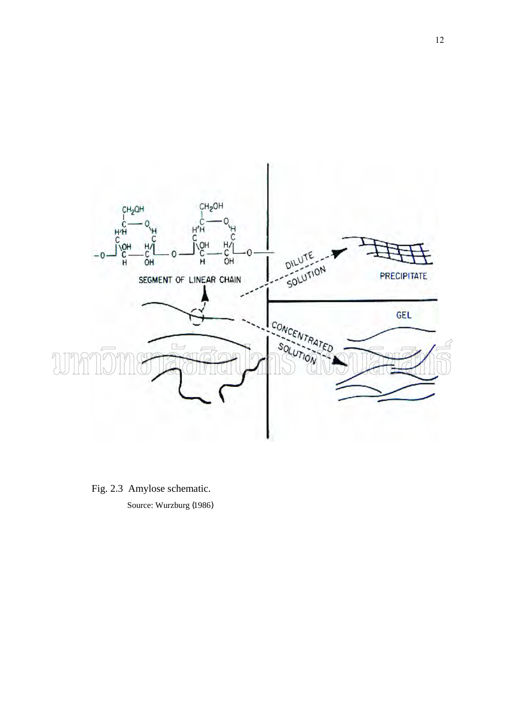

Fig. 2.3 Amylose schematic. Source: Wurzburg (1986)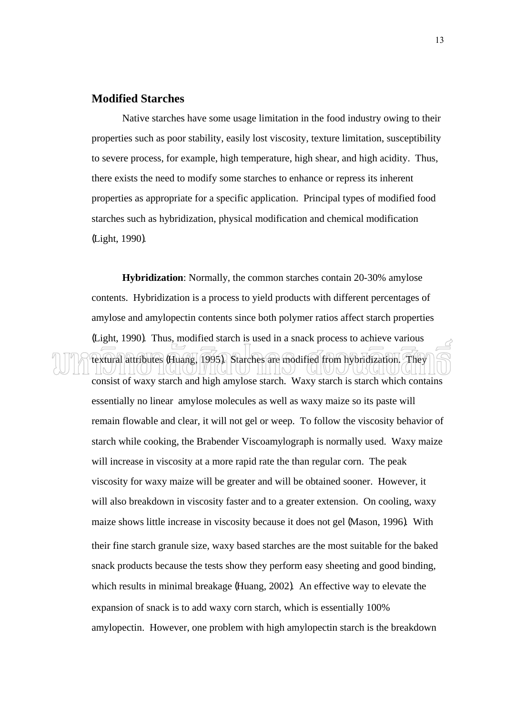#### **Modified Starches**

 Native starches have some usage limitation in the food industry owing to their properties such as poor stability, easily lost viscosity, texture limitation, susceptibility to severe process, for example, high temperature, high shear, and high acidity. Thus, there exists the need to modify some starches to enhance or repress its inherent properties as appropriate for a specific application. Principal types of modified food starches such as hybridization, physical modification and chemical modification (Light, 1990).

**Hybridization**: Normally, the common starches contain 20-30% amylose contents. Hybridization is a process to yield products with different percentages of amylose and amylopectin contents since both polymer ratios affect starch properties (Light, 1990). Thus, modified starch is used in a snack process to achieve various textural attributes (Huang, 1995). Starches are modified from hybridization. They

consist of waxy starch and high amylose starch. Waxy starch is starch which contains essentially no linear amylose molecules as well as waxy maize so its paste will remain flowable and clear, it will not gel or weep. To follow the viscosity behavior of starch while cooking, the Brabender Viscoamylograph is normally used. Waxy maize will increase in viscosity at a more rapid rate the than regular corn. The peak viscosity for waxy maize will be greater and will be obtained sooner. However, it will also breakdown in viscosity faster and to a greater extension. On cooling, waxy maize shows little increase in viscosity because it does not gel (Mason, 1996). With their fine starch granule size, waxy based starches are the most suitable for the baked snack products because the tests show they perform easy sheeting and good binding, which results in minimal breakage (Huang, 2002). An effective way to elevate the expansion of snack is to add waxy corn starch, which is essentially 100% amylopectin. However, one problem with high amylopectin starch is the breakdown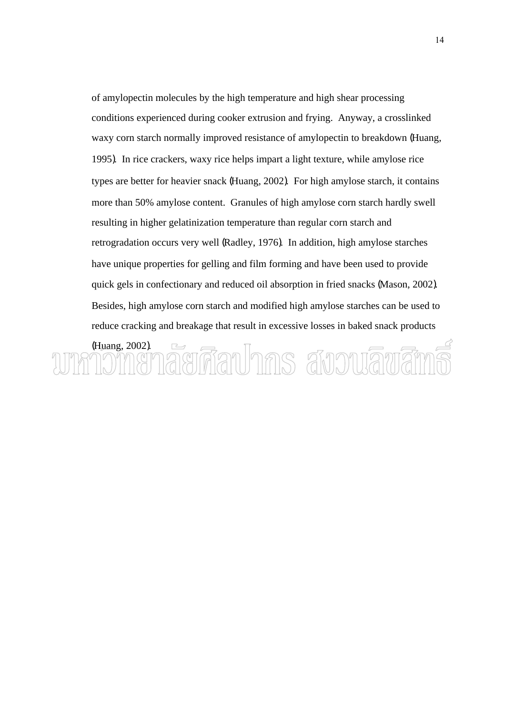of amylopectin molecules by the high temperature and high shear processing conditions experienced during cooker extrusion and frying. Anyway, a crosslinked waxy corn starch normally improved resistance of amylopectin to breakdown (Huang, 1995). In rice crackers, waxy rice helps impart a light texture, while amylose rice types are better for heavier snack (Huang, 2002). For high amylose starch, it contains more than 50% amylose content. Granules of high amylose corn starch hardly swell resulting in higher gelatinization temperature than regular corn starch and retrogradation occurs very well (Radley, 1976). In addition, high amylose starches have unique properties for gelling and film forming and have been used to provide quick gels in confectionary and reduced oil absorption in fried snacks (Mason, 2002). Besides, high amylose corn starch and modified high amylose starches can be used to reduce cracking and breakage that result in excessive losses in baked snack products

#### (Huang, 2002).  $\qquad \qquad \boxed{\qquad \qquad }$ ี้ยทีลปากร สังวนลิขสิท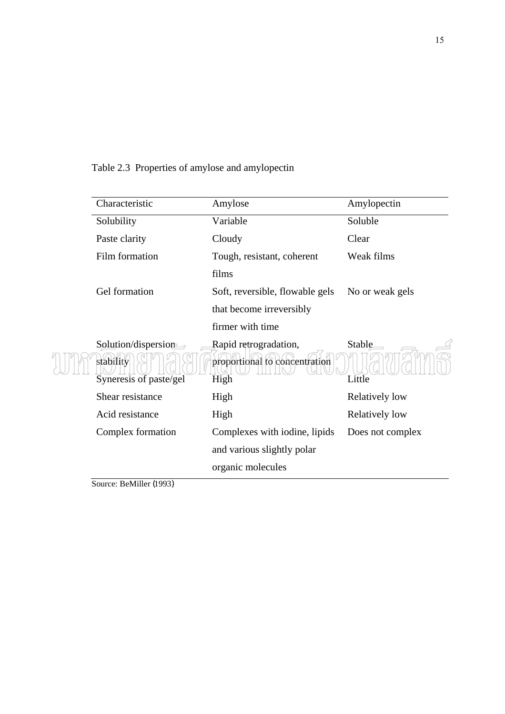| Characteristic                                             | Amylose                                                        | Amylopectin      |
|------------------------------------------------------------|----------------------------------------------------------------|------------------|
| Solubility                                                 | Variable                                                       | Soluble          |
| Paste clarity                                              | Cloudy                                                         | Clear            |
| Film formation                                             | Tough, resistant, coherent                                     | Weak films       |
|                                                            | films                                                          |                  |
| Gel formation                                              | Soft, reversible, flowable gels                                | No or weak gels  |
|                                                            | that become irreversibly                                       |                  |
|                                                            | firmer with time                                               |                  |
| Solution/dispersion<br>stability<br>Syneresis of paste/gel | Rapid retrogradation,<br>proportional to concentration<br>High | Stable<br>Little |
| Shear resistance                                           | High                                                           | Relatively low   |
| Acid resistance                                            | High                                                           | Relatively low   |
| Complex formation                                          | Complexes with iodine, lipids                                  | Does not complex |
|                                                            | and various slightly polar                                     |                  |
|                                                            | organic molecules                                              |                  |
| $P = 1111 (1000)$<br>$\sim$                                |                                                                |                  |

Table 2.3 Properties of amylose and amylopectin

Source: BeMiller (1993)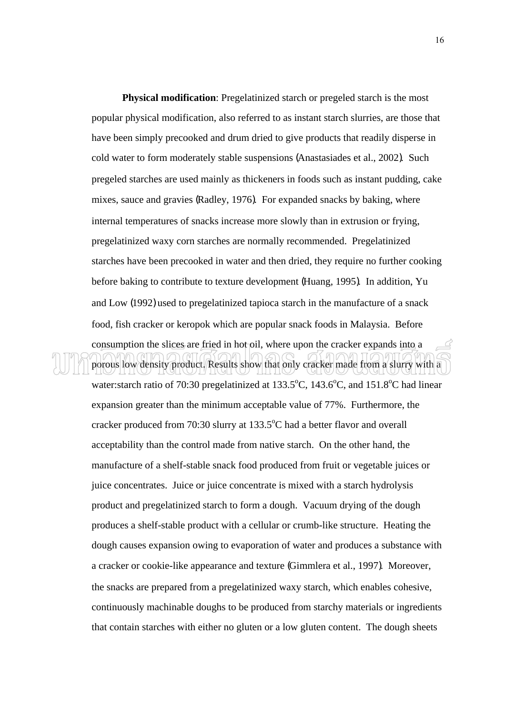**Physical modification**: Pregelatinized starch or pregeled starch is the most popular physical modification, also referred to as instant starch slurries, are those that have been simply precooked and drum dried to give products that readily disperse in cold water to form moderately stable suspensions (Anastasiades et al., 2002). Such pregeled starches are used mainly as thickeners in foods such as instant pudding, cake mixes, sauce and gravies (Radley, 1976). For expanded snacks by baking, where internal temperatures of snacks increase more slowly than in extrusion or frying, pregelatinized waxy corn starches are normally recommended. Pregelatinized starches have been precooked in water and then dried, they require no further cooking before baking to contribute to texture development (Huang, 1995). In addition, Yu and Low (1992) used to pregelatinized tapioca starch in the manufacture of a snack food, fish cracker or keropok which are popular snack foods in Malaysia. Before consumption the slices are fried in hot oil, where upon the cracker expands into a

porous low density product. Results show that only cracker made from a slurry with a water: starch ratio of 70:30 pregelatinized at  $133.5^{\circ}$ C,  $143.6^{\circ}$ C, and  $151.8^{\circ}$ C had linear expansion greater than the minimum acceptable value of 77%. Furthermore, the cracker produced from 70:30 slurry at  $133.5^{\circ}$ C had a better flavor and overall acceptability than the control made from native starch. On the other hand, the manufacture of a shelf-stable snack food produced from fruit or vegetable juices or juice concentrates. Juice or juice concentrate is mixed with a starch hydrolysis product and pregelatinized starch to form a dough. Vacuum drying of the dough produces a shelf-stable product with a cellular or crumb-like structure. Heating the dough causes expansion owing to evaporation of water and produces a substance with a cracker or cookie-like appearance and texture (Gimmlera et al., 1997). Moreover, the snacks are prepared from a pregelatinized waxy starch, which enables cohesive, continuously machinable doughs to be produced from starchy materials or ingredients that contain starches with either no gluten or a low gluten content. The dough sheets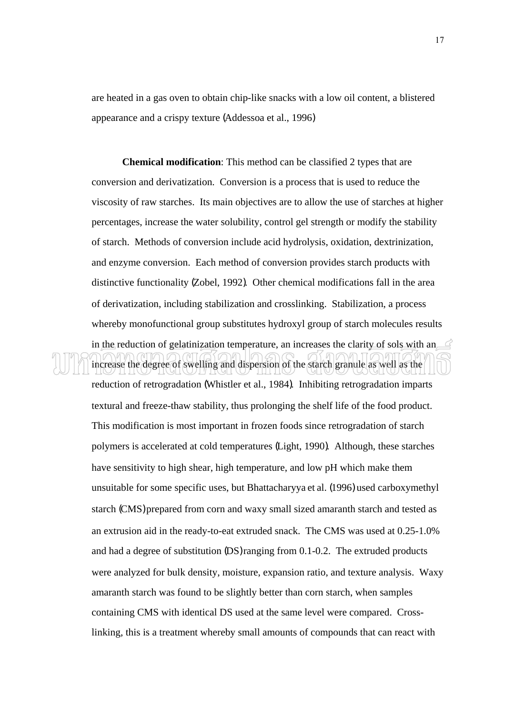are heated in a gas oven to obtain chip-like snacks with a low oil content, a blistered appearance and a crispy texture (Addessoa et al., 1996)

**Chemical modification**: This method can be classified 2 types that are conversion and derivatization. Conversion is a process that is used to reduce the viscosity of raw starches. Its main objectives are to allow the use of starches at higher percentages, increase the water solubility, control gel strength or modify the stability of starch. Methods of conversion include acid hydrolysis, oxidation, dextrinization, and enzyme conversion. Each method of conversion provides starch products with distinctive functionality (Zobel, 1992). Other chemical modifications fall in the area of derivatization, including stabilization and crosslinking. Stabilization, a process whereby monofunctional group substitutes hydroxyl group of starch molecules results

in the reduction of gelatinization temperature, an increases the clarity of sols with an increase the degree of swelling and dispersion of the starch granule as well as the

reduction of retrogradation (Whistler et al., 1984). Inhibiting retrogradation imparts textural and freeze-thaw stability, thus prolonging the shelf life of the food product. This modification is most important in frozen foods since retrogradation of starch polymers is accelerated at cold temperatures (Light, 1990). Although, these starches have sensitivity to high shear, high temperature, and low pH which make them unsuitable for some specific uses, but Bhattacharyya et al. (1996) used carboxymethyl starch (CMS) prepared from corn and waxy small sized amaranth starch and tested as an extrusion aid in the ready-to-eat extruded snack. The CMS was used at 0.25-1.0% and had a degree of substitution (DS) ranging from 0.1-0.2. The extruded products were analyzed for bulk density, moisture, expansion ratio, and texture analysis. Waxy amaranth starch was found to be slightly better than corn starch, when samples containing CMS with identical DS used at the same level were compared. Crosslinking, this is a treatment whereby small amounts of compounds that can react with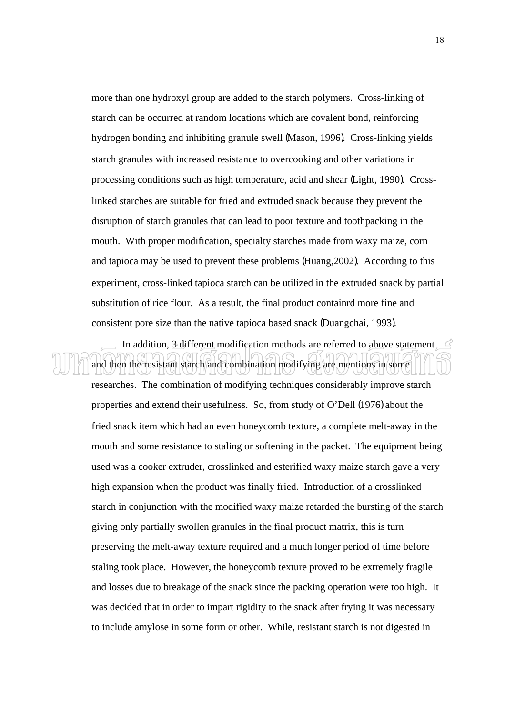more than one hydroxyl group are added to the starch polymers. Cross-linking of starch can be occurred at random locations which are covalent bond, reinforcing hydrogen bonding and inhibiting granule swell (Mason, 1996). Cross-linking yields starch granules with increased resistance to overcooking and other variations in processing conditions such as high temperature, acid and shear (Light, 1990). Crosslinked starches are suitable for fried and extruded snack because they prevent the disruption of starch granules that can lead to poor texture and toothpacking in the mouth. With proper modification, specialty starches made from waxy maize, corn and tapioca may be used to prevent these problems (Huang,2002). According to this experiment, cross-linked tapioca starch can be utilized in the extruded snack by partial substitution of rice flour. As a result, the final product containrd more fine and consistent pore size than the native tapioca based snack (Duangchai, 1993).

 In addition, 3 different modification methods are referred to above statement and then the resistant starch and combination modifying are mentions in some

researches. The combination of modifying techniques considerably improve starch properties and extend their usefulness. So, from study of O'Dell (1976) about the fried snack item which had an even honeycomb texture, a complete melt-away in the mouth and some resistance to staling or softening in the packet. The equipment being used was a cooker extruder, crosslinked and esterified waxy maize starch gave a very high expansion when the product was finally fried. Introduction of a crosslinked starch in conjunction with the modified waxy maize retarded the bursting of the starch giving only partially swollen granules in the final product matrix, this is turn preserving the melt-away texture required and a much longer period of time before staling took place. However, the honeycomb texture proved to be extremely fragile and losses due to breakage of the snack since the packing operation were too high. It was decided that in order to impart rigidity to the snack after frying it was necessary to include amylose in some form or other. While, resistant starch is not digested in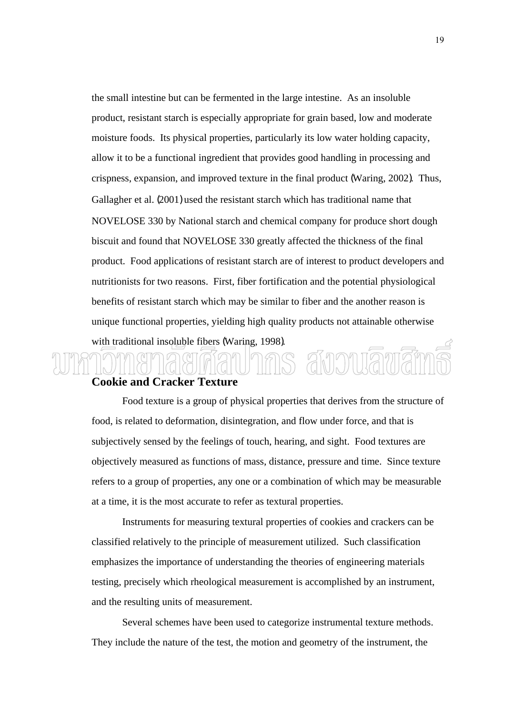the small intestine but can be fermented in the large intestine. As an insoluble product, resistant starch is especially appropriate for grain based, low and moderate moisture foods. Its physical properties, particularly its low water holding capacity, allow it to be a functional ingredient that provides good handling in processing and crispness, expansion, and improved texture in the final product (Waring, 2002). Thus, Gallagher et al. (2001) used the resistant starch which has traditional name that NOVELOSE 330 by National starch and chemical company for produce short dough biscuit and found that NOVELOSE 330 greatly affected the thickness of the final product. Food applications of resistant starch are of interest to product developers and nutritionists for two reasons. First, fiber fortification and the potential physiological benefits of resistant starch which may be similar to fiber and the another reason is unique functional properties, yielding high quality products not attainable otherwise with traditional insoluble fibers (Waring, 1998). amoniama

#### **Cookie and Cracker Texture**

 Food texture is a group of physical properties that derives from the structure of food, is related to deformation, disintegration, and flow under force, and that is subjectively sensed by the feelings of touch, hearing, and sight. Food textures are objectively measured as functions of mass, distance, pressure and time. Since texture refers to a group of properties, any one or a combination of which may be measurable at a time, it is the most accurate to refer as textural properties.

 Instruments for measuring textural properties of cookies and crackers can be classified relatively to the principle of measurement utilized. Such classification emphasizes the importance of understanding the theories of engineering materials testing, precisely which rheological measurement is accomplished by an instrument, and the resulting units of measurement.

 Several schemes have been used to categorize instrumental texture methods. They include the nature of the test, the motion and geometry of the instrument, the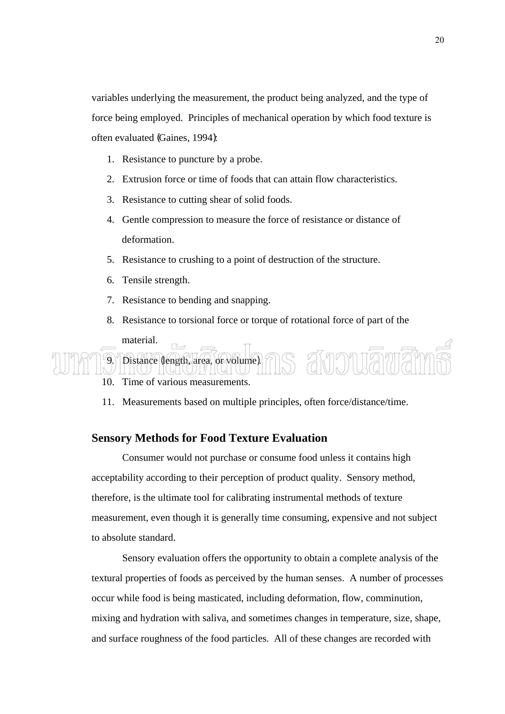variables underlying the measurement, the product being analyzed, and the type of force being employed. Principles of mechanical operation by which food texture is often evaluated (Gaines, 1994):

- 1. Resistance to puncture by a probe.
- 2. Extrusion force or time of foods that can attain flow characteristics.
- 3. Resistance to cutting shear of solid foods.
- 4. Gentle compression to measure the force of resistance or distance of deformation.
- 5. Resistance to crushing to a point of destruction of the structure.
- 6. Tensile strength.
- 7. Resistance to bending and snapping.

Distance (length, area, or volume).

8. Resistance to torsional force or torque of rotational force of part of the material.

ammmamar

```
 10. Time of various measurements.
```
11. Measurements based on multiple principles, often force/distance/time.

#### **Sensory Methods for Food Texture Evaluation**

 Consumer would not purchase or consume food unless it contains high acceptability according to their perception of product quality. Sensory method, therefore, is the ultimate tool for calibrating instrumental methods of texture measurement, even though it is generally time consuming, expensive and not subject to absolute standard.

 Sensory evaluation offers the opportunity to obtain a complete analysis of the textural properties of foods as perceived by the human senses. A number of processes occur while food is being masticated, including deformation, flow, comminution, mixing and hydration with saliva, and sometimes changes in temperature, size, shape, and surface roughness of the food particles. All of these changes are recorded with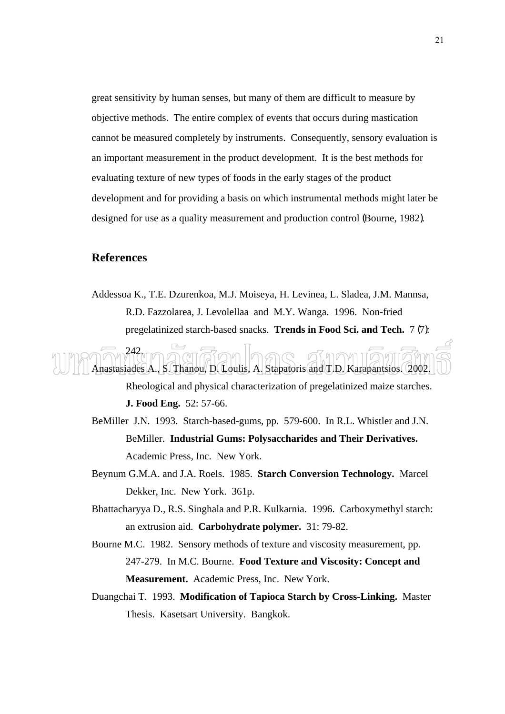great sensitivity by human senses, but many of them are difficult to measure by objective methods. The entire complex of events that occurs during mastication cannot be measured completely by instruments. Consequently, sensory evaluation is an important measurement in the product development. It is the best methods for evaluating texture of new types of foods in the early stages of the product development and for providing a basis on which instrumental methods might later be designed for use as a quality measurement and production control (Bourne, 1982).

#### **References**

Addessoa K., T.E. Dzurenkoa, M.J. Moiseya, H. Levinea, L. Sladea, J.M. Mannsa, R.D. Fazzolarea, J. Levolellaa and M.Y. Wanga. 1996. Non-fried pregelatinized starch-based snacks. **Trends in Food Sci. and Tech.** 7 (7):

242. Anastasiades A., S. Thanou, D. Loulis, A. Stapatoris and T.D. Karapantsios. 2002. Rheological and physical characterization of pregelatinized maize starches.

**J. Food Eng.** 52: 57-66.

- BeMiller J.N. 1993. Starch-based-gums, pp. 579-600. In R.L. Whistler and J.N. BeMiller. **Industrial Gums: Polysaccharides and Their Derivatives.** Academic Press, Inc. New York.
- Beynum G.M.A. and J.A. Roels. 1985. **Starch Conversion Technology.** Marcel Dekker, Inc. New York. 361p.
- Bhattacharyya D., R.S. Singhala and P.R. Kulkarnia. 1996. Carboxymethyl starch: an extrusion aid. **Carbohydrate polymer.** 31: 79-82.
- Bourne M.C. 1982. Sensory methods of texture and viscosity measurement, pp. 247-279. In M.C. Bourne. **Food Texture and Viscosity: Concept and Measurement.** Academic Press, Inc. New York.
- Duangchai T. 1993. **Modification of Tapioca Starch by Cross-Linking.** Master Thesis. Kasetsart University. Bangkok.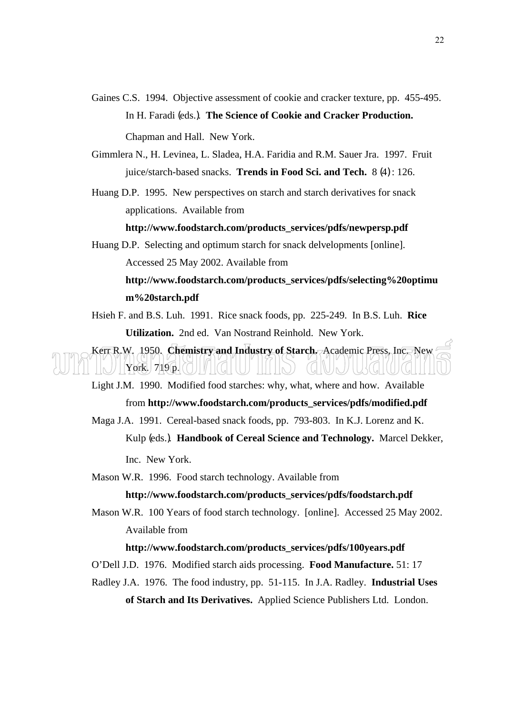Gaines C.S. 1994. Objective assessment of cookie and cracker texture, pp. 455-495. In H. Faradi (eds.). **The Science of Cookie and Cracker Production.** 

Chapman and Hall. New York.

- Gimmlera N., H. Levinea, L. Sladea, H.A. Faridia and R.M. Sauer Jra. 1997. Fruit juice/starch-based snacks. **Trends in Food Sci. and Tech.** 8 (4) : 126.
- Huang D.P. 1995. New perspectives on starch and starch derivatives for snack applications. Available from

#### **http://www.foodstarch.com/products\_services/pdfs/newpersp.pdf**

Huang D.P. Selecting and optimum starch for snack delvelopments [online]. Accessed 25 May 2002. Available from

### **http://www.foodstarch.com/products\_services/pdfs/selecting%20optimu m%20starch.pdf**

Hsieh F. and B.S. Luh. 1991. Rice snack foods, pp. 225-249. In B.S. Luh. **Rice Utilization.** 2nd ed. Van Nostrand Reinhold. New York.

Kerr R.W. 1950. **Chemistry and Industry of Starch.** Academic Press, Inc. New  $\operatorname{York}$ . 719 p.

- Light J.M. 1990. Modified food starches: why, what, where and how. Available from **http://www.foodstarch.com/products\_services/pdfs/modified.pdf**
- Maga J.A. 1991. Cereal-based snack foods, pp. 793-803. In K.J. Lorenz and K. Kulp (eds.). **Handbook of Cereal Science and Technology.** Marcel Dekker, Inc. New York.
- Mason W.R. 1996. Food starch technology. Available from

#### **http://www.foodstarch.com/products\_services/pdfs/foodstarch.pdf**

Mason W.R. 100 Years of food starch technology. [online]. Accessed 25 May 2002. Available from

#### **http://www.foodstarch.com/products\_services/pdfs/100years.pdf**

- O'Dell J.D. 1976. Modified starch aids processing. **Food Manufacture.** 51: 17
- Radley J.A. 1976. The food industry, pp. 51-115. In J.A. Radley. **Industrial Uses of Starch and Its Derivatives.** Applied Science Publishers Ltd. London.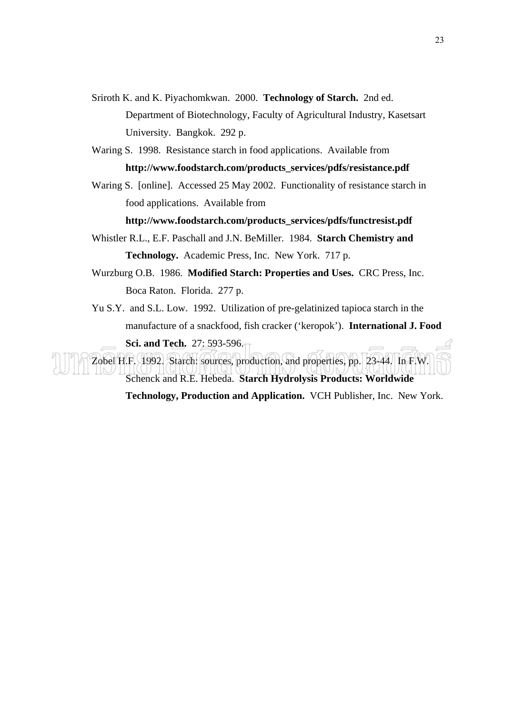- Sriroth K. and K. Piyachomkwan. 2000. **Technology of Starch.** 2nd ed. Department of Biotechnology, Faculty of Agricultural Industry, Kasetsart University. Bangkok. 292 p.
- Waring S. 1998. Resistance starch in food applications. Available from **http://www.foodstarch.com/products\_services/pdfs/resistance.pdf**
- Waring S. [online]. Accessed 25 May 2002. Functionality of resistance starch in food applications. Available from

**http://www.foodstarch.com/products\_services/pdfs/functresist.pdf** 

- Whistler R.L., E.F. Paschall and J.N. BeMiller. 1984. **Starch Chemistry and Technology.** Academic Press, Inc. New York. 717 p.
- Wurzburg O.B. 1986. **Modified Starch: Properties and Uses.** CRC Press, Inc. Boca Raton. Florida. 277 p.
- Yu S.Y. and S.L. Low. 1992. Utilization of pre-gelatinized tapioca starch in the manufacture of a snackfood, fish cracker ('keropok'). **International J. Food Sci. and Tech.** 27: 593-596.

Zobel H.F. 1992. Starch: sources, production, and properties, pp. 23-44. In F.W. Schenck and R.E. Hebeda. **Starch Hydrolysis Products: Worldwide** 

**Technology, Production and Application.** VCH Publisher, Inc. New York.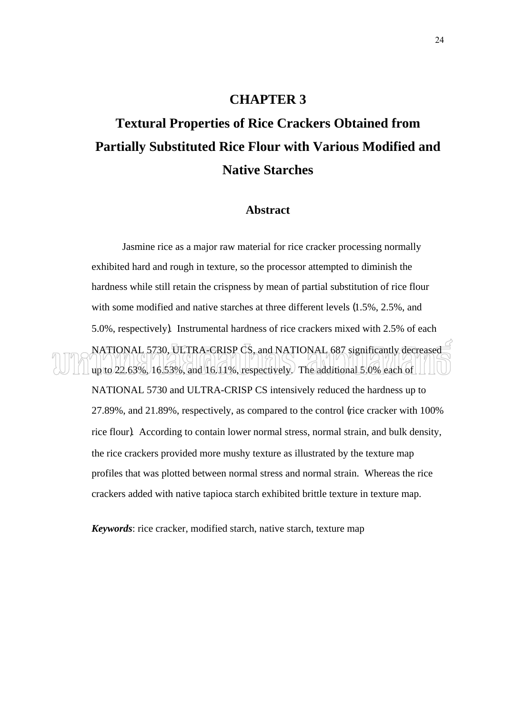#### **CHAPTER 3**

# **Textural Properties of Rice Crackers Obtained from Partially Substituted Rice Flour with Various Modified and Native Starches**

#### **Abstract**

Jasmine rice as a major raw material for rice cracker processing normally exhibited hard and rough in texture, so the processor attempted to diminish the hardness while still retain the crispness by mean of partial substitution of rice flour with some modified and native starches at three different levels (1.5%, 2.5%, and 5.0%, respectively). Instrumental hardness of rice crackers mixed with 2.5% of each NATIONAL 5730, ULTRA-CRISP CS, and NATIONAL 687 significantly decreased up to  $22.63\%$ , 16.53%, and 16.11%, respectively. The additional 5.0% each of NATIONAL 5730 and ULTRA-CRISP CS intensively reduced the hardness up to 27.89%, and 21.89%, respectively, as compared to the control (rice cracker with 100% rice flour). According to contain lower normal stress, normal strain, and bulk density, the rice crackers provided more mushy texture as illustrated by the texture map profiles that was plotted between normal stress and normal strain. Whereas the rice crackers added with native tapioca starch exhibited brittle texture in texture map.

*Keywords*: rice cracker, modified starch, native starch, texture map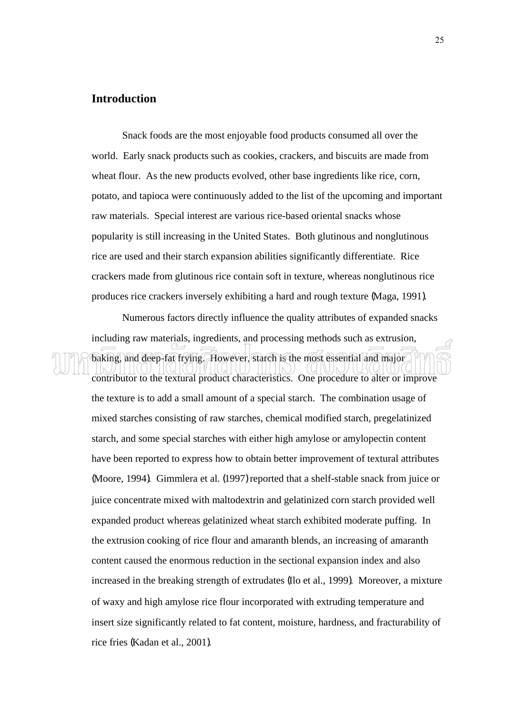#### **Introduction**

 Snack foods are the most enjoyable food products consumed all over the world. Early snack products such as cookies, crackers, and biscuits are made from wheat flour. As the new products evolved, other base ingredients like rice, corn, potato, and tapioca were continuously added to the list of the upcoming and important raw materials. Special interest are various rice-based oriental snacks whose popularity is still increasing in the United States. Both glutinous and nonglutinous rice are used and their starch expansion abilities significantly differentiate. Rice crackers made from glutinous rice contain soft in texture, whereas nonglutinous rice produces rice crackers inversely exhibiting a hard and rough texture (Maga, 1991).

 Numerous factors directly influence the quality attributes of expanded snacks including raw materials, ingredients, and processing methods such as extrusion, baking, and deep-fat frying. However, starch is the most essential and major

contributor to the textural product characteristics. One procedure to alter or improve the texture is to add a small amount of a special starch. The combination usage of mixed starches consisting of raw starches, chemical modified starch, pregelatinized starch, and some special starches with either high amylose or amylopectin content have been reported to express how to obtain better improvement of textural attributes (Moore, 1994). Gimmlera et al. (1997) reported that a shelf-stable snack from juice or juice concentrate mixed with maltodextrin and gelatinized corn starch provided well expanded product whereas gelatinized wheat starch exhibited moderate puffing. In the extrusion cooking of rice flour and amaranth blends, an increasing of amaranth content caused the enormous reduction in the sectional expansion index and also increased in the breaking strength of extrudates (Ilo et al., 1999). Moreover, a mixture of waxy and high amylose rice flour incorporated with extruding temperature and insert size significantly related to fat content, moisture, hardness, and fracturability of rice fries (Kadan et al., 2001).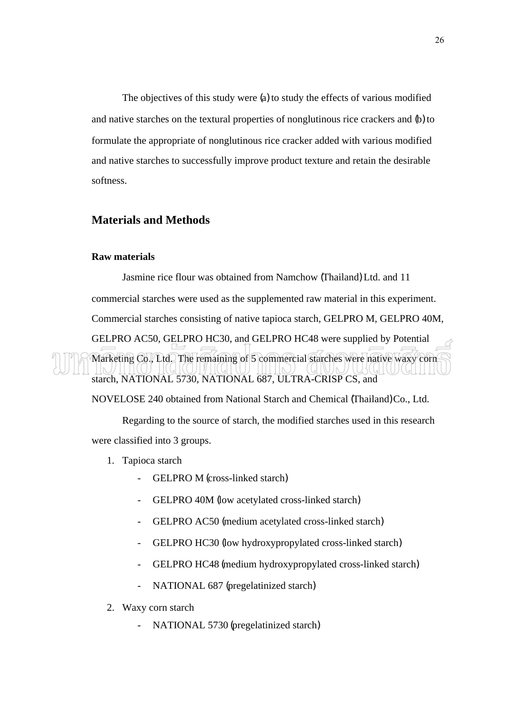The objectives of this study were (a) to study the effects of various modified and native starches on the textural properties of nonglutinous rice crackers and (b) to formulate the appropriate of nonglutinous rice cracker added with various modified and native starches to successfully improve product texture and retain the desirable softness.

#### **Materials and Methods**

#### **Raw materials**

 Jasmine rice flour was obtained from Namchow (Thailand) Ltd. and 11 commercial starches were used as the supplemented raw material in this experiment. Commercial starches consisting of native tapioca starch, GELPRO M, GELPRO 40M, GELPRO AC50, GELPRO HC30, and GELPRO HC48 were supplied by Potential Marketing Co., Ltd. The remaining of 5 commercial starches were native waxy corn starch, NATIONAL 5730, NATIONAL 687, ULTRA-CRISP CS, and

NOVELOSE 240 obtained from National Starch and Chemical (Thailand) Co., Ltd.

 Regarding to the source of starch, the modified starches used in this research were classified into 3 groups.

- 1. Tapioca starch
	- GELPRO M (cross-linked starch)
	- GELPRO 40M (low acetylated cross-linked starch)
	- GELPRO AC50 (medium acetylated cross-linked starch)
	- GELPRO HC30 (low hydroxypropylated cross-linked starch)
	- GELPRO HC48 (medium hydroxypropylated cross-linked starch)
	- NATIONAL 687 (pregelatinized starch)
- 2. Waxy corn starch
	- NATIONAL 5730 (pregelatinized starch)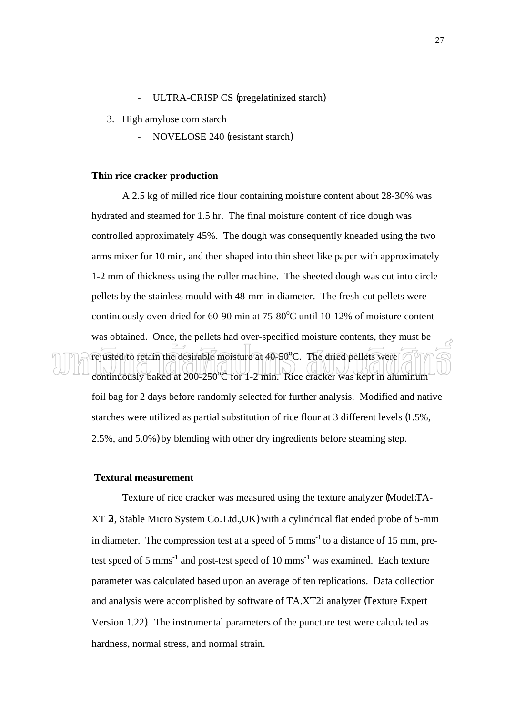- ULTRA-CRISP CS (pregelatinized starch)
- 3. High amylose corn starch
	- NOVELOSE 240 (resistant starch)

#### **Thin rice cracker production**

A 2.5 kg of milled rice flour containing moisture content about 28-30% was hydrated and steamed for 1.5 hr. The final moisture content of rice dough was controlled approximately 45%. The dough was consequently kneaded using the two arms mixer for 10 min, and then shaped into thin sheet like paper with approximately 1-2 mm of thickness using the roller machine. The sheeted dough was cut into circle pellets by the stainless mould with 48-mm in diameter. The fresh-cut pellets were continuously oven-dried for  $60-90$  min at  $75-80^{\circ}$ C until 10-12% of moisture content was obtained. Once, the pellets had over-specified moisture contents, they must be rejusted to retain the desirable moisture at 40-50°C. The dried pellets were continuously baked at 200-250°C for 1-2 min. Rice cracker was kept in aluminum foil bag for 2 days before randomly selected for further analysis. Modified and native starches were utilized as partial substitution of rice flour at 3 different levels (1.5%, 2.5%, and 5.0%) by blending with other dry ingredients before steaming step.

#### **Textural measurement**

 Texture of rice cracker was measured using the texture analyzer (Model:TA-XT 2i, Stable Micro System Co. Ltd.,UK) with a cylindrical flat ended probe of 5-mm in diameter. The compression test at a speed of  $5 \text{ mm}^{-1}$  to a distance of 15 mm, pretest speed of 5 mms<sup>-1</sup> and post-test speed of 10 mms<sup>-1</sup> was examined. Each texture parameter was calculated based upon an average of ten replications. Data collection and analysis were accomplished by software of TA.XT2i analyzer (Texture Expert Version 1.22). The instrumental parameters of the puncture test were calculated as hardness, normal stress, and normal strain.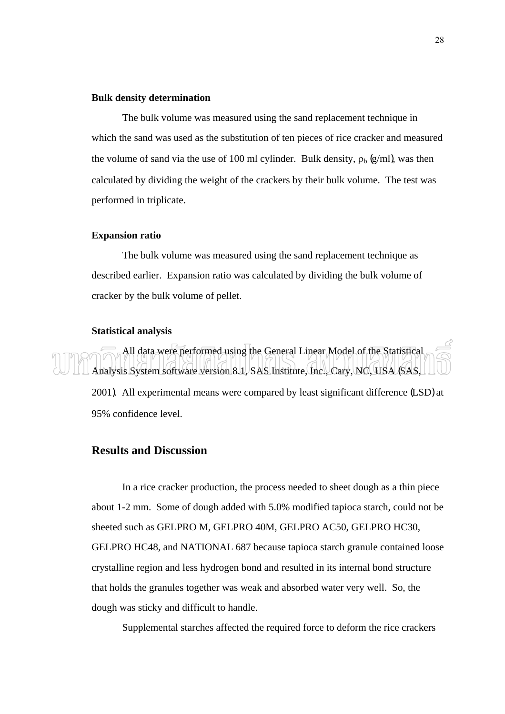#### **Bulk density determination**

 The bulk volume was measured using the sand replacement technique in which the sand was used as the substitution of ten pieces of rice cracker and measured the volume of sand via the use of 100 ml cylinder. Bulk density,  $\rho_b$  (g/ml), was then calculated by dividing the weight of the crackers by their bulk volume. The test was performed in triplicate.

#### **Expansion ratio**

The bulk volume was measured using the sand replacement technique as described earlier. Expansion ratio was calculated by dividing the bulk volume of cracker by the bulk volume of pellet.

#### **Statistical analysis**

 All data were performed using the General Linear Model of the Statistical Analysis System software version 8.1, SAS Institute, Inc., Cary, NC, USA (SAS, 2001). All experimental means were compared by least significant difference (LSD) at 95% confidence level.

#### **Results and Discussion**

In a rice cracker production, the process needed to sheet dough as a thin piece about 1-2 mm. Some of dough added with 5.0% modified tapioca starch, could not be sheeted such as GELPRO M, GELPRO 40M, GELPRO AC50, GELPRO HC30, GELPRO HC48, and NATIONAL 687 because tapioca starch granule contained loose crystalline region and less hydrogen bond and resulted in its internal bond structure that holds the granules together was weak and absorbed water very well. So, the dough was sticky and difficult to handle.

Supplemental starches affected the required force to deform the rice crackers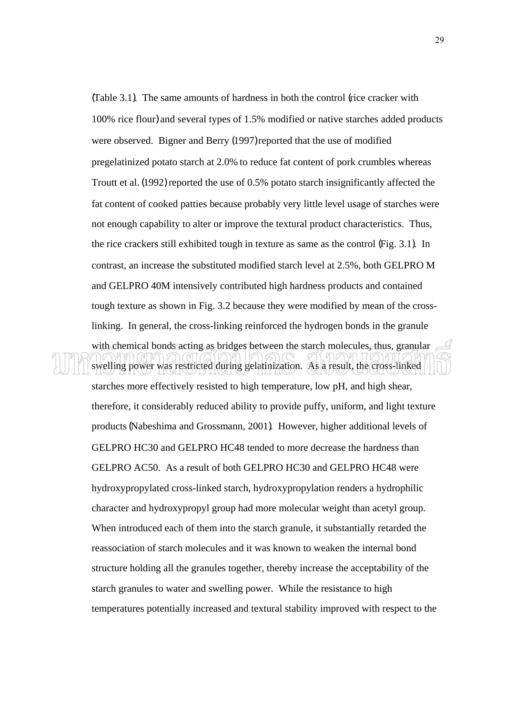(Table 3.1). The same amounts of hardness in both the control (rice cracker with 100% rice flour) and several types of 1.5% modified or native starches added products were observed. Bigner and Berry (1997) reported that the use of modified pregelatinized potato starch at 2.0% to reduce fat content of pork crumbles whereas Troutt et al. (1992) reported the use of 0.5% potato starch insignificantly affected the fat content of cooked patties because probably very little level usage of starches were not enough capability to alter or improve the textural product characteristics. Thus, the rice crackers still exhibited tough in texture as same as the control (Fig. 3.1). In contrast, an increase the substituted modified starch level at 2.5%, both GELPRO M and GELPRO 40M intensively contributed high hardness products and contained tough texture as shown in Fig. 3.2 because they were modified by mean of the crosslinking. In general, the cross-linking reinforced the hydrogen bonds in the granule with chemical bonds acting as bridges between the starch molecules, thus, granular  $\equiv$ swelling power was restricted during gelatinization. As a result, the cross-linked

starches more effectively resisted to high temperature, low pH, and high shear, therefore, it considerably reduced ability to provide puffy, uniform, and light texture products (Nabeshima and Grossmann, 2001). However, higher additional levels of GELPRO HC30 and GELPRO HC48 tended to more decrease the hardness than GELPRO AC50. As a result of both GELPRO HC30 and GELPRO HC48 were hydroxypropylated cross-linked starch, hydroxypropylation renders a hydrophilic character and hydroxypropyl group had more molecular weight than acetyl group. When introduced each of them into the starch granule, it substantially retarded the reassociation of starch molecules and it was known to weaken the internal bond structure holding all the granules together, thereby increase the acceptability of the starch granules to water and swelling power. While the resistance to high temperatures potentially increased and textural stability improved with respect to the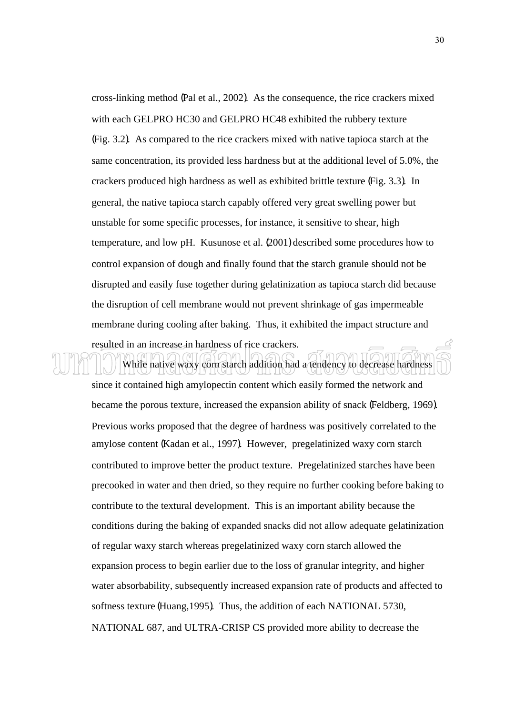cross-linking method (Pal et al., 2002). As the consequence, the rice crackers mixed with each GELPRO HC30 and GELPRO HC48 exhibited the rubbery texture (Fig. 3.2). As compared to the rice crackers mixed with native tapioca starch at the same concentration, its provided less hardness but at the additional level of 5.0%, the crackers produced high hardness as well as exhibited brittle texture (Fig. 3.3). In general, the native tapioca starch capably offered very great swelling power but unstable for some specific processes, for instance, it sensitive to shear, high temperature, and low pH. Kusunose et al. (2001) described some procedures how to control expansion of dough and finally found that the starch granule should not be disrupted and easily fuse together during gelatinization as tapioca starch did because the disruption of cell membrane would not prevent shrinkage of gas impermeable membrane during cooling after baking. Thus, it exhibited the impact structure and resulted in an increase in hardness of rice crackers.

## While native waxy corn starch addition had a tendency to decrease hardness

since it contained high amylopectin content which easily formed the network and became the porous texture, increased the expansion ability of snack (Feldberg, 1969). Previous works proposed that the degree of hardness was positively correlated to the amylose content (Kadan et al., 1997). However, pregelatinized waxy corn starch contributed to improve better the product texture. Pregelatinized starches have been precooked in water and then dried, so they require no further cooking before baking to contribute to the textural development. This is an important ability because the conditions during the baking of expanded snacks did not allow adequate gelatinization of regular waxy starch whereas pregelatinized waxy corn starch allowed the expansion process to begin earlier due to the loss of granular integrity, and higher water absorbability, subsequently increased expansion rate of products and affected to softness texture (Huang,1995). Thus, the addition of each NATIONAL 5730, NATIONAL 687, and ULTRA-CRISP CS provided more ability to decrease the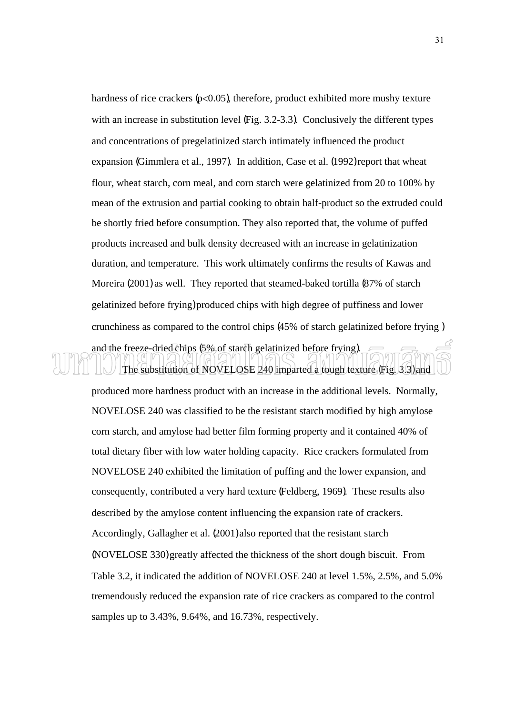hardness of rice crackers  $(p<0.05)$ , therefore, product exhibited more mushy texture with an increase in substitution level (Fig. 3.2-3.3). Conclusively the different types and concentrations of pregelatinized starch intimately influenced the product expansion (Gimmlera et al., 1997). In addition, Case et al. (1992) report that wheat flour, wheat starch, corn meal, and corn starch were gelatinized from 20 to 100% by mean of the extrusion and partial cooking to obtain half-product so the extruded could be shortly fried before consumption. They also reported that, the volume of puffed products increased and bulk density decreased with an increase in gelatinization duration, and temperature. This work ultimately confirms the results of Kawas and Moreira (2001) as well. They reported that steamed-baked tortilla (87% of starch gelatinized before frying) produced chips with high degree of puffiness and lower crunchiness as compared to the control chips (45% of starch gelatinized before frying )

### and the freeze-dried chips (5% of starch gelatinized before frying). The substitution of NOVELOSE 240 imparted a tough texture (Fig. 3.3) and

produced more hardness product with an increase in the additional levels. Normally, NOVELOSE 240 was classified to be the resistant starch modified by high amylose corn starch, and amylose had better film forming property and it contained 40% of total dietary fiber with low water holding capacity. Rice crackers formulated from NOVELOSE 240 exhibited the limitation of puffing and the lower expansion, and consequently, contributed a very hard texture (Feldberg, 1969). These results also described by the amylose content influencing the expansion rate of crackers. Accordingly, Gallagher et al. (2001) also reported that the resistant starch (NOVELOSE 330) greatly affected the thickness of the short dough biscuit. From Table 3.2, it indicated the addition of NOVELOSE 240 at level 1.5%, 2.5%, and 5.0% tremendously reduced the expansion rate of rice crackers as compared to the control samples up to 3.43%, 9.64%, and 16.73%, respectively.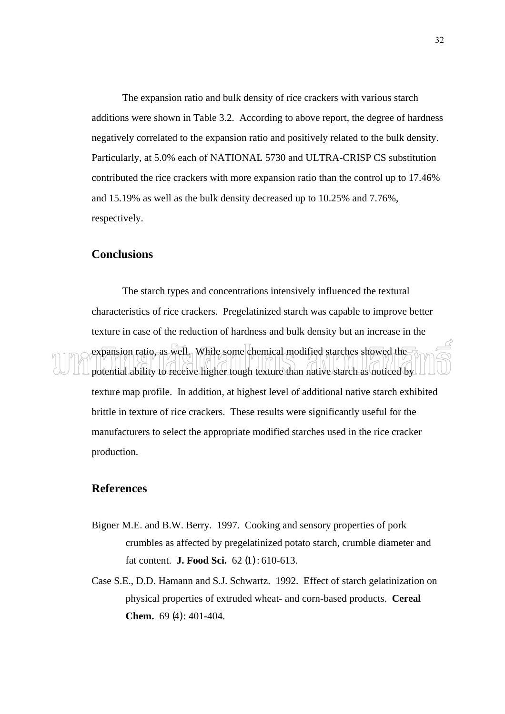The expansion ratio and bulk density of rice crackers with various starch additions were shown in Table 3.2. According to above report, the degree of hardness negatively correlated to the expansion ratio and positively related to the bulk density. Particularly, at 5.0% each of NATIONAL 5730 and ULTRA-CRISP CS substitution contributed the rice crackers with more expansion ratio than the control up to 17.46% and 15.19% as well as the bulk density decreased up to 10.25% and 7.76%, respectively.

#### **Conclusions**

 The starch types and concentrations intensively influenced the textural characteristics of rice crackers. Pregelatinized starch was capable to improve better texture in case of the reduction of hardness and bulk density but an increase in the expansion ratio, as well. While some chemical modified starches showed the potential ability to receive higher tough texture than native starch as noticed by texture map profile. In addition, at highest level of additional native starch exhibited brittle in texture of rice crackers. These results were significantly useful for the manufacturers to select the appropriate modified starches used in the rice cracker production.

#### **References**

- Bigner M.E. and B.W. Berry. 1997. Cooking and sensory properties of pork crumbles as affected by pregelatinized potato starch, crumble diameter and fat content. **J. Food Sci.** 62 (1) : 610-613.
- Case S.E., D.D. Hamann and S.J. Schwartz. 1992. Effect of starch gelatinization on physical properties of extruded wheat- and corn-based products. **Cereal Chem.** 69 (4) : 401-404.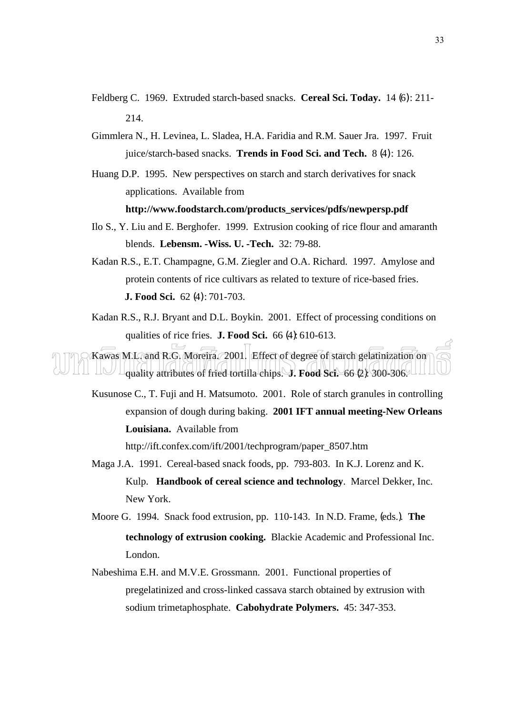- Feldberg C. 1969. Extruded starch-based snacks. **Cereal Sci. Today.** 14 (6) : 211- 214.
- Gimmlera N., H. Levinea, L. Sladea, H.A. Faridia and R.M. Sauer Jra. 1997. Fruit juice/starch-based snacks. **Trends in Food Sci. and Tech.** 8 (4) : 126.
- Huang D.P. 1995. New perspectives on starch and starch derivatives for snack applications. Available from

#### **http://www.foodstarch.com/products\_services/pdfs/newpersp.pdf**

- Ilo S., Y. Liu and E. Berghofer. 1999. Extrusion cooking of rice flour and amaranth blends. **Lebensm. -Wiss. U. -Tech.** 32: 79-88.
- Kadan R.S., E.T. Champagne, G.M. Ziegler and O.A. Richard. 1997. Amylose and protein contents of rice cultivars as related to texture of rice-based fries. **J. Food Sci.** 62 (4) : 701-703.
- Kadan R.S., R.J. Bryant and D.L. Boykin. 2001. Effect of processing conditions on qualities of rice fries. **J. Food Sci.** 66 (4): 610-613.

Kawas M.L. and R.G. Moreira. 2001. Effect of degree of starch gelatinization on **quality attributes of fried tortilla chips. J. Food Sci.** 66 (2): 300-306.

Kusunose C., T. Fuji and H. Matsumoto. 2001. Role of starch granules in controlling expansion of dough during baking. **2001 IFT annual meeting-New Orleans Louisiana.** Available from

http://ift.confex.com/ift/2001/techprogram/paper\_8507.htm

Maga J.A. 1991. Cereal-based snack foods, pp. 793-803. In K.J. Lorenz and K. Kulp. **Handbook of cereal science and technology**. Marcel Dekker, Inc. New York.

Moore G. 1994. Snack food extrusion, pp. 110-143. In N.D. Frame, (eds.). **The technology of extrusion cooking.** Blackie Academic and Professional Inc. London.

Nabeshima E.H. and M.V.E. Grossmann. 2001. Functional properties of pregelatinized and cross-linked cassava starch obtained by extrusion with sodium trimetaphosphate. **Cabohydrate Polymers.** 45: 347-353.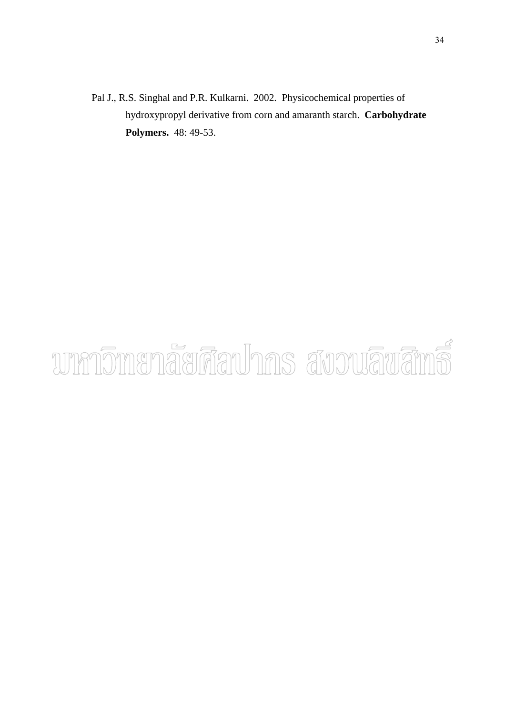Pal J., R.S. Singhal and P.R. Kulkarni. 2002. Physicochemical properties of hydroxypropyl derivative from corn and amaranth starch. **Carbohydrate Polymers.** 48: 49-53.

# unnomenaerdauhns avouauana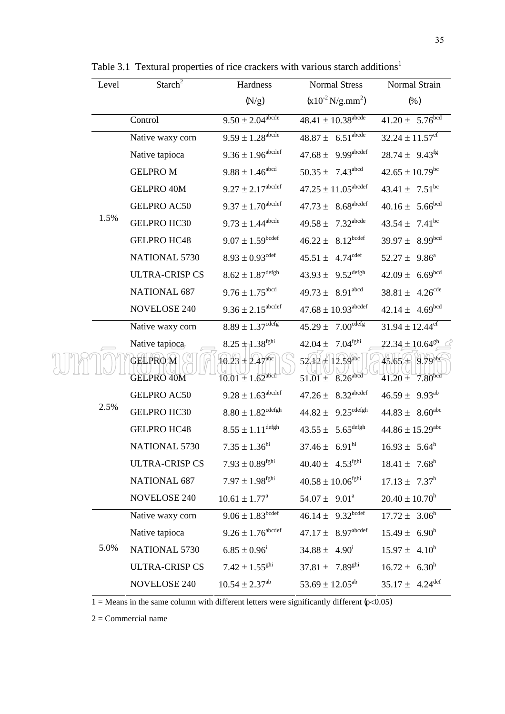|  | Level | Starch <sup><math>2</math></sup>    | Hardness                                                            | <b>Normal Stress</b>                                           | Normal Strain                                                    |
|--|-------|-------------------------------------|---------------------------------------------------------------------|----------------------------------------------------------------|------------------------------------------------------------------|
|  |       |                                     | (N/g)                                                               | $(x10^{-2} N/g .mm^2)$                                         | (% )                                                             |
|  |       | Control                             | $9.50 \pm 2.04^{\text{abcde}}$                                      | $48.41 \pm 10.38^{\text{abcde}}$                               | $41.20 \pm 5.76^{\text{bcd}}$                                    |
|  |       | Native waxy corn                    | $9.59 \pm 1.28^{\text{abcde}}$                                      | $48.87 \pm 6.51^{\text{abcde}}$                                | $32.24 \pm 11.57$ <sup>ef</sup>                                  |
|  |       | Native tapioca                      | $9.36 \pm 1.96^{\text{abcdef}}$                                     | $47.68 \pm 9.99^{abcdef}$                                      | $28.74 \pm 9.43^{\text{fg}}$                                     |
|  |       | <b>GELPROM</b>                      | $9.88 \pm 1.46^{\text{abcd}}$                                       | $50.35 \pm 7.43^{\text{abcd}}$                                 | $42.65 \pm 10.79$ <sup>bc</sup>                                  |
|  |       | <b>GELPRO 40M</b>                   | $9.27 \pm 2.17^{\text{abcdef}}$                                     | $47.25 \pm 11.05$ <sup>abcdef</sup>                            | $43.41 \pm 7.51^{\rm bc}$                                        |
|  |       | <b>GELPRO AC50</b>                  | $9.37 \pm 1.70^{\text{abcdef}}$                                     | $47.73 \pm 8.68$ <sup>abcdef</sup>                             | $40.16 \pm 5.66^{bcd}$                                           |
|  | 1.5%  | GELPRO HC30                         | $9.73 \pm 1.44^{\text{abcde}}$                                      | $49.58 \pm 7.32$ <sup>abcde</sup>                              | $43.54 \pm 7.41^{\rm bc}$                                        |
|  |       | <b>GELPRO HC48</b>                  | $9.07 \pm 1.59^{\text{bcdef}}$                                      | $46.22 \pm 8.12^{bcdef}$                                       | $39.97 \pm 8.99^{bcd}$                                           |
|  |       | <b>NATIONAL 5730</b>                | $8.93 \pm 0.93$ <sup>cdef</sup>                                     | $45.51 \pm 4.74^{\text{cdef}}$                                 | $52.27 \pm 9.86^a$                                               |
|  |       | <b>ULTRA-CRISP CS</b>               | $8.62 \pm 1.87^{\textrm{defgh}}$                                    | $43.93 \pm 9.52^{\text{defgh}}$                                | $42.09 \pm 6.69^{bcd}$                                           |
|  |       | <b>NATIONAL 687</b>                 | $9.76 \pm 1.75$ <sup>abcd</sup>                                     | $49.73 \pm 8.91$ <sup>abcd</sup>                               | $38.81 \pm 4.26^{\text{cde}}$                                    |
|  |       | <b>NOVELOSE 240</b>                 | $9.36 \pm 2.15^{\text{abcdef}}$                                     | $47.68 \pm 10.93$ <sup>abcdef</sup>                            | $42.14 \pm 4.69^{bcd}$                                           |
|  | 2.5%  | Native waxy corn                    | $8.89 \pm 1.37^{\text{cdefg}}$                                      | $45.29 \pm 7.00^{\text{cdefg}}$                                | $31.94 \pm 12.44$ <sup>ef</sup>                                  |
|  |       | Native tapioca                      | $8.25 + 1.38$ <sup>fghi</sup>                                       | $42.04\pm\phantom{0}7.04^{\rm fghi}$                           | $22.34 \pm 10.64$ <sup>gh</sup>                                  |
|  |       | <b>GELPROM</b><br><b>GELPRO 40M</b> | $10.23 \pm 2.47$ <sup>abe</sup><br>$10.01 \pm 1.62$ <sup>abcd</sup> | $52.12 \pm 12.59$ <sup>abc</sup><br>$8.26$ abcd<br>$51.01 \pm$ | 9.79abe<br>$45.65^{\circ}$<br>7.80 <sup>bcd</sup><br>$41.20 \pm$ |
|  |       | <b>GELPRO AC50</b>                  | $9.28 \pm 1.63$ <sup>abcdef</sup>                                   | $47.26 \pm 8.32$ <sup>abcdef</sup>                             | $46.59 \pm 9.93^{ab}$                                            |
|  |       | <b>GELPRO HC30</b>                  | $8.80 \pm 1.82^{\text{cdefgh}}$                                     | $44.82 \pm 9.25^{\text{cdefgh}}$                               | $44.83 \pm 8.60^{\text{abc}}$                                    |
|  |       | <b>GELPRO HC48</b>                  | $8.55 \pm 1.11^{\text{defgh}}$                                      | $43.55 \pm 5.65^{\text{defgh}}$                                | $44.86 \pm 15.29$ <sup>abc</sup>                                 |
|  |       | <b>NATIONAL 5730</b>                | $7.35 \pm 1.36^{\text{hi}}$                                         | $37.46 \pm 6.91^{\text{hi}}$                                   | $16.93 \pm 5.64^h$                                               |
|  |       | <b>ULTRA-CRISP CS</b>               | $7.93 \pm 0.89^{\text{fghi}}$                                       | $40.40 \pm 4.53^{\text{fghi}}$                                 | $18.41 \pm 7.68^h$                                               |
|  |       | <b>NATIONAL 687</b>                 | $7.97 \pm 1.98^{\text{fghi}}$                                       | $40.58 \pm 10.06^{\rm fghi}$                                   | $17.13 \pm 7.37^h$                                               |
|  |       | <b>NOVELOSE 240</b>                 | $10.61 \pm 1.77^{\text{a}}$                                         | 54.07 $\pm$ 9.01 <sup>a</sup>                                  | $20.40 \pm 10.70$ <sup>h</sup>                                   |
|  | 5.0%  | Native waxy corn                    | $9.06 \pm 1.83^{\text{bcdef}}$                                      | $46.14 \pm 9.32^{\text{bcdef}}$                                | $17.72 \pm 3.06^{\text{h}}$                                      |
|  |       | Native tapioca                      | $9.26 \pm 1.76^{\text{abcdef}}$                                     | $47.17 \pm 8.97^{abcdef}$                                      | $15.49 \pm 6.90^h$                                               |
|  |       | <b>NATIONAL 5730</b>                | $6.85 \pm 0.96^{\rm i}$                                             | $34.88 \pm 4.90^{\text{i}}$                                    | $15.97 \pm 4.10^{\text{h}}$                                      |
|  |       | <b>ULTRA-CRISP CS</b>               | $7.42 \pm 1.55^{ghi}$                                               | $37.81 \pm 7.89^{ghi}$                                         | $16.72 \pm 6.30^{\text{h}}$                                      |
|  |       | <b>NOVELOSE 240</b>                 | $10.54 \pm 2.37$ <sup>ab</sup>                                      | 53.69 $\pm$ 12.05 <sup>ab</sup>                                | $35.17 \pm 4.24$ <sup>def</sup>                                  |

Table 3.1 Textural properties of rice crackers with various starch additions<sup>1</sup>

2 = Commercial name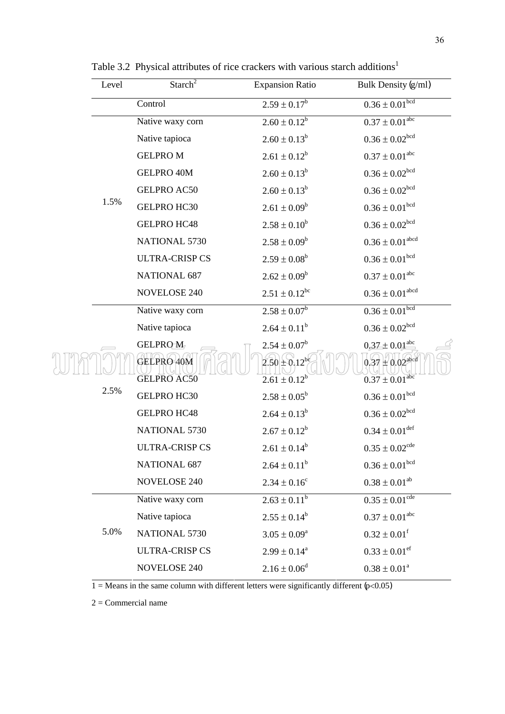|  | Level | Starch <sup><math>2</math></sup> | <b>Expansion Ratio</b>                   | Bulk Density (g/ml)                                  |
|--|-------|----------------------------------|------------------------------------------|------------------------------------------------------|
|  |       | Control                          | $2.59 \pm 0.17^b$                        | $0.36 \pm 0.01^{bcd}$                                |
|  |       | Native waxy corn                 | $2.60 \pm 0.12^b$                        | $0.37 \pm 0.01^{\rm abc}$                            |
|  |       | Native tapioca                   | $2.60 \pm 0.13^b$                        | $0.36\pm0.02^{\text{bcd}}$                           |
|  |       | <b>GELPROM</b>                   | $2.61 \pm 0.12^b$                        | $0.37 \pm 0.01^{\rm abc}$                            |
|  |       | <b>GELPRO 40M</b>                | $2.60 \pm 0.13^b$                        | $0.36 \pm 0.02^{bcd}$                                |
|  |       | <b>GELPRO AC50</b>               | $2.60 \pm 0.13^b$                        | $0.36\pm0.02^{\text{bcd}}$                           |
|  | 1.5%  | <b>GELPRO HC30</b>               | $2.61 \pm 0.09^b$                        | $0.36\pm0.01^{\text{bcd}}$                           |
|  |       | <b>GELPRO HC48</b>               | $2.58 \pm 0.10^b$                        | $0.36 \pm 0.02^{bcd}$                                |
|  |       | NATIONAL 5730                    | $2.58 \pm 0.09^b$                        | $0.36\pm0.01^{\text{abcd}}$                          |
|  |       | <b>ULTRA-CRISP CS</b>            | $2.59 \pm 0.08^b$                        | $0.36\pm0.01^{\rm bcd}$                              |
|  |       | <b>NATIONAL 687</b>              | $2.62 \pm 0.09^b$                        | $0.37 \pm 0.01^{\rm abc}$                            |
|  |       | <b>NOVELOSE 240</b>              | $2.51 \pm 0.12^{bc}$                     | $0.36 \pm 0.01^{\rm abcd}$                           |
|  | 2.5%  | Native waxy corn                 | $2.58 \pm 0.07^b$                        | $0.36 \pm 0.01$ <sup>bcd</sup>                       |
|  |       | Native tapioca                   | $2.64 \pm 0.11^b$                        | $0.36 \pm 0.02^{bcd}$                                |
|  |       | <b>GELPROM</b>                   | $2.54 \pm 0.07^b$                        | $0.37 \pm 0.01^{\text{abc}}$                         |
|  |       | GELPRO 40M<br><b>GELPRO AC50</b> | $2.50 \pm 0.12^{b}$<br>$2.61 \pm 0.12^b$ | $0.37 \pm 0.02$ abcd<br>$0.37 \pm 0.01^{\text{abc}}$ |
|  |       | <b>GELPRO HC30</b>               | $2.58 \pm 0.05^b$                        | $0.36 \pm 0.01$ <sup>bcd</sup>                       |
|  |       | <b>GELPRO HC48</b>               | $2.64 \pm 0.13^b$                        | $0.36\pm0.02^{\text{bcd}}$                           |
|  |       | <b>NATIONAL 5730</b>             | $2.67 \pm 0.12^b$                        | $0.34\pm0.01^{\rm def}$                              |
|  |       | <b>ULTRA-CRISP CS</b>            | $2.61 \pm 0.14^b$                        | $0.35 \pm 0.02^{\text{cde}}$                         |
|  |       | <b>NATIONAL 687</b>              | $2.64 \pm 0.11^b$                        | $0.36\pm0.01^{\rm bcd}$                              |
|  |       | <b>NOVELOSE 240</b>              | $2.34 \pm 0.16^c$                        | $0.38 \pm 0.01^{ab}$                                 |
|  |       | Native waxy corn                 | $2.63 \pm 0.11^b$                        | $0.35 \pm 0.01^{\text{cde}}$                         |
|  |       | Native tapioca                   | $2.55 \pm 0.14^b$                        | $0.37 \pm 0.01$ <sup>abc</sup>                       |
|  | 5.0%  | NATIONAL 5730                    | $3.05 \pm 0.09^a$                        | $0.32 \pm 0.01^f$                                    |
|  |       | <b>ULTRA-CRISP CS</b>            | $2.99 \pm 0.14^a$                        | $0.33 \pm 0.01$ <sup>ef</sup>                        |
|  |       | <b>NOVELOSE 240</b>              | $2.16 \pm 0.06^d$                        | $0.38 \pm 0.01^a$                                    |

Table 3.2 Physical attributes of rice crackers with various starch additions<sup>1</sup>

2 = Commercial name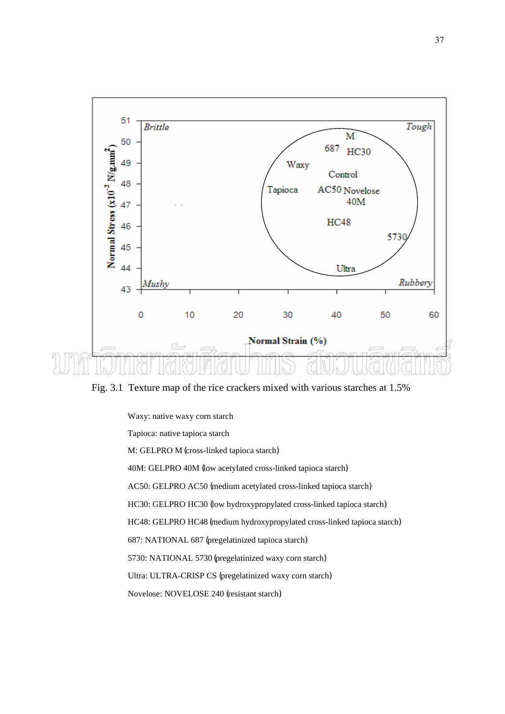

Fig. 3.1 Texture map of the rice crackers mixed with various starches at 1.5%

 Waxy: native waxy corn starch Tapioca: native tapioca starch M: GELPRO M (cross-linked tapioca starch) 40M: GELPRO 40M (low acetylated cross-linked tapioca starch) AC50: GELPRO AC50 (medium acetylated cross-linked tapioca starch) HC30: GELPRO HC30 (low hydroxypropylated cross-linked tapioca starch) HC48: GELPRO HC48 (medium hydroxypropylated cross-linked tapioca starch) 687: NATIONAL 687 (pregelatinized tapioca starch) 5730: NATIONAL 5730 (pregelatinized waxy corn starch) Ultra: ULTRA-CRISP CS (pregelatinized waxy corn starch)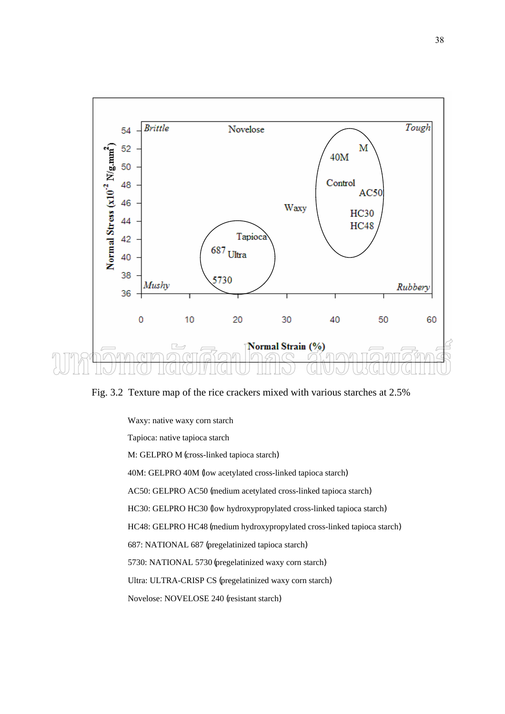

Fig. 3.2 Texture map of the rice crackers mixed with various starches at 2.5%

 Waxy: native waxy corn starch Tapioca: native tapioca starch M: GELPRO M (cross-linked tapioca starch) 40M: GELPRO 40M (low acetylated cross-linked tapioca starch) AC50: GELPRO AC50 (medium acetylated cross-linked tapioca starch) HC30: GELPRO HC30 (low hydroxypropylated cross-linked tapioca starch) HC48: GELPRO HC48 (medium hydroxypropylated cross-linked tapioca starch) 687: NATIONAL 687 (pregelatinized tapioca starch) 5730: NATIONAL 5730 (pregelatinized waxy corn starch) Ultra: ULTRA-CRISP CS (pregelatinized waxy corn starch) Novelose: NOVELOSE 240 (resistant starch)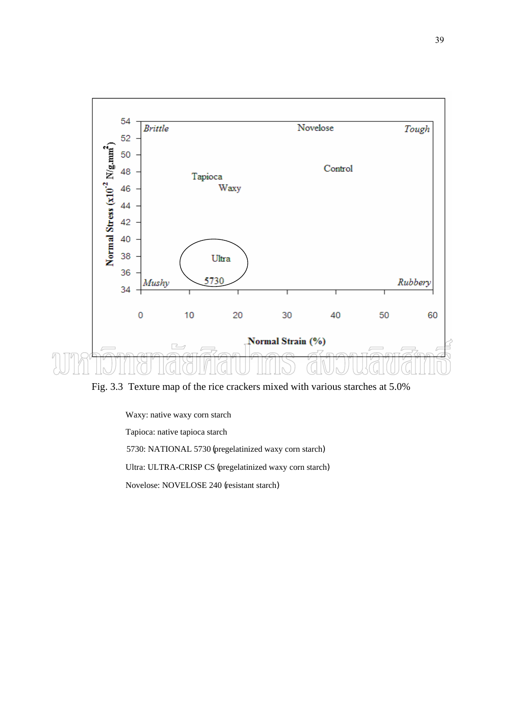

Fig. 3.3 Texture map of the rice crackers mixed with various starches at 5.0%

Waxy: native waxy corn starch

Tapioca: native tapioca starch

5730: NATIONAL 5730 (pregelatinized waxy corn starch)

Ultra: ULTRA-CRISP CS (pregelatinized waxy corn starch)

Novelose: NOVELOSE 240 (resistant starch)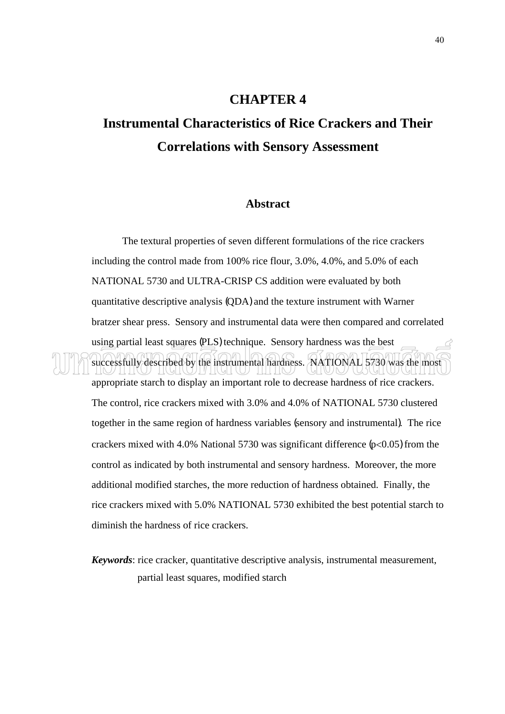#### **CHAPTER 4**

## **Instrumental Characteristics of Rice Crackers and Their Correlations with Sensory Assessment**

#### **Abstract**

The textural properties of seven different formulations of the rice crackers including the control made from 100% rice flour, 3.0%, 4.0%, and 5.0% of each NATIONAL 5730 and ULTRA-CRISP CS addition were evaluated by both quantitative descriptive analysis (QDA) and the texture instrument with Warner bratzer shear press. Sensory and instrumental data were then compared and correlated using partial least squares (PLS) technique. Sensory hardness was the best successfully described by the instrumental hardness. NATIONAL 5730 was the most

appropriate starch to display an important role to decrease hardness of rice crackers. The control, rice crackers mixed with 3.0% and 4.0% of NATIONAL 5730 clustered together in the same region of hardness variables (sensory and instrumental). The rice crackers mixed with 4.0% National 5730 was significant difference  $(p<0.05)$  from the control as indicated by both instrumental and sensory hardness. Moreover, the more additional modified starches, the more reduction of hardness obtained. Finally, the rice crackers mixed with 5.0% NATIONAL 5730 exhibited the best potential starch to diminish the hardness of rice crackers.

*Keywords*: rice cracker, quantitative descriptive analysis, instrumental measurement, partial least squares, modified starch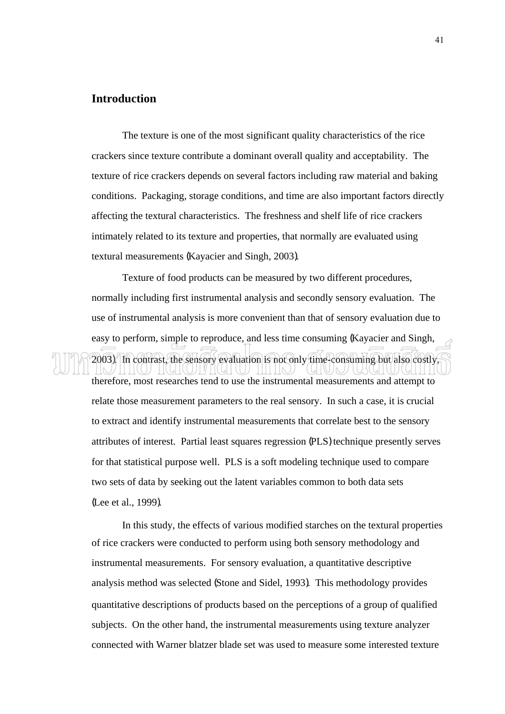#### **Introduction**

 The texture is one of the most significant quality characteristics of the rice crackers since texture contribute a dominant overall quality and acceptability. The texture of rice crackers depends on several factors including raw material and baking conditions. Packaging, storage conditions, and time are also important factors directly affecting the textural characteristics. The freshness and shelf life of rice crackers intimately related to its texture and properties, that normally are evaluated using textural measurements (Kayacier and Singh, 2003).

 Texture of food products can be measured by two different procedures, normally including first instrumental analysis and secondly sensory evaluation. The use of instrumental analysis is more convenient than that of sensory evaluation due to easy to perform, simple to reproduce, and less time consuming (Kayacier and Singh,

2003). In contrast, the sensory evaluation is not only time-consuming but also costly,

therefore, most researches tend to use the instrumental measurements and attempt to relate those measurement parameters to the real sensory. In such a case, it is crucial to extract and identify instrumental measurements that correlate best to the sensory attributes of interest. Partial least squares regression (PLS) technique presently serves for that statistical purpose well. PLS is a soft modeling technique used to compare two sets of data by seeking out the latent variables common to both data sets (Lee et al., 1999).

 In this study, the effects of various modified starches on the textural properties of rice crackers were conducted to perform using both sensory methodology and instrumental measurements. For sensory evaluation, a quantitative descriptive analysis method was selected (Stone and Sidel, 1993). This methodology provides quantitative descriptions of products based on the perceptions of a group of qualified subjects. On the other hand, the instrumental measurements using texture analyzer connected with Warner blatzer blade set was used to measure some interested texture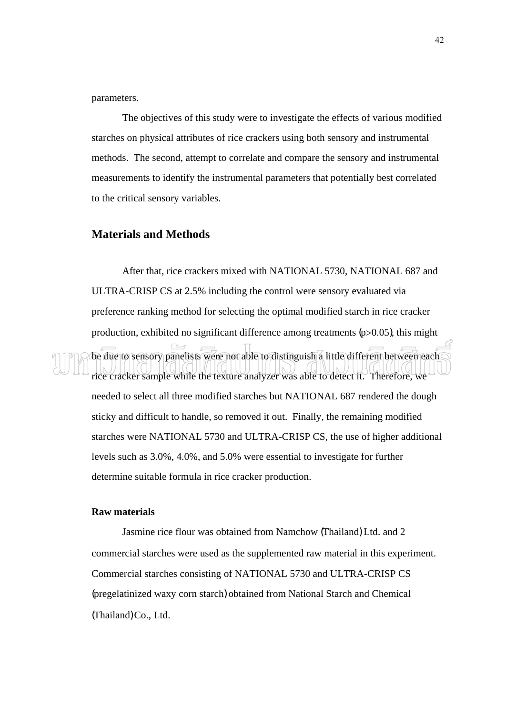parameters.

 The objectives of this study were to investigate the effects of various modified starches on physical attributes of rice crackers using both sensory and instrumental methods. The second, attempt to correlate and compare the sensory and instrumental measurements to identify the instrumental parameters that potentially best correlated to the critical sensory variables.

#### **Materials and Methods**

After that, rice crackers mixed with NATIONAL 5730, NATIONAL 687 and ULTRA-CRISP CS at 2.5% including the control were sensory evaluated via preference ranking method for selecting the optimal modified starch in rice cracker production, exhibited no significant difference among treatments  $(p>0.05)$ , this might be due to sensory panelists were not able to distinguish a little different between each rice cracker sample while the texture analyzer was able to detect it. Therefore, we needed to select all three modified starches but NATIONAL 687 rendered the dough sticky and difficult to handle, so removed it out. Finally, the remaining modified starches were NATIONAL 5730 and ULTRA-CRISP CS, the use of higher additional levels such as 3.0%, 4.0%, and 5.0% were essential to investigate for further determine suitable formula in rice cracker production.

#### **Raw materials**

 Jasmine rice flour was obtained from Namchow (Thailand) Ltd. and 2 commercial starches were used as the supplemented raw material in this experiment. Commercial starches consisting of NATIONAL 5730 and ULTRA-CRISP CS (pregelatinized waxy corn starch) obtained from National Starch and Chemical (Thailand) Co., Ltd.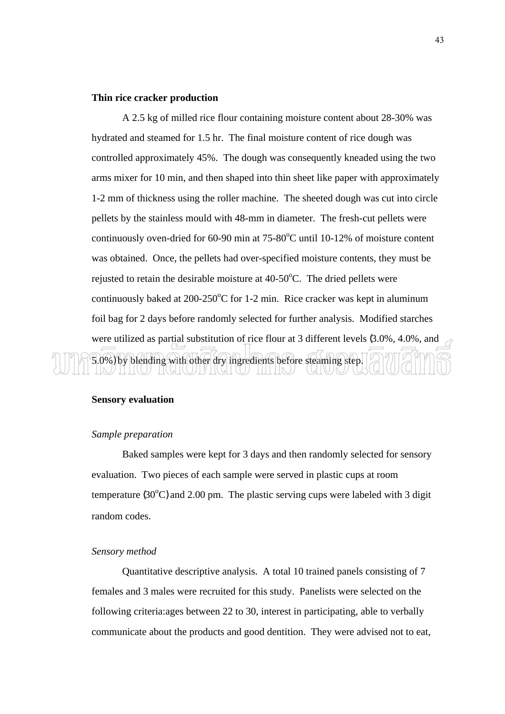#### **Thin rice cracker production**

A 2.5 kg of milled rice flour containing moisture content about 28-30% was hydrated and steamed for 1.5 hr. The final moisture content of rice dough was controlled approximately 45%. The dough was consequently kneaded using the two arms mixer for 10 min, and then shaped into thin sheet like paper with approximately 1-2 mm of thickness using the roller machine. The sheeted dough was cut into circle pellets by the stainless mould with 48-mm in diameter. The fresh-cut pellets were continuously oven-dried for  $60-90$  min at  $75-80^{\circ}$ C until 10-12% of moisture content was obtained. Once, the pellets had over-specified moisture contents, they must be rejusted to retain the desirable moisture at  $40-50^{\circ}$ C. The dried pellets were continuously baked at 200-250 $\degree$ C for 1-2 min. Rice cracker was kept in aluminum foil bag for 2 days before randomly selected for further analysis. Modified starches were utilized as partial substitution of rice flour at 3 different levels (3.0%, 4.0%, and 5.0%) by blending with other dry ingredients before steaming step. JJTV I I (GI I (l TILLIM

#### **Sensory evaluation**

#### *Sample preparation*

 Baked samples were kept for 3 days and then randomly selected for sensory evaluation. Two pieces of each sample were served in plastic cups at room temperature  $(30^{\circ}$ C) and 2.00 pm. The plastic serving cups were labeled with 3 digit random codes.

#### *Sensory method*

 Quantitative descriptive analysis. A total 10 trained panels consisting of 7 females and 3 males were recruited for this study. Panelists were selected on the following criteria:ages between 22 to 30, interest in participating, able to verbally communicate about the products and good dentition. They were advised not to eat,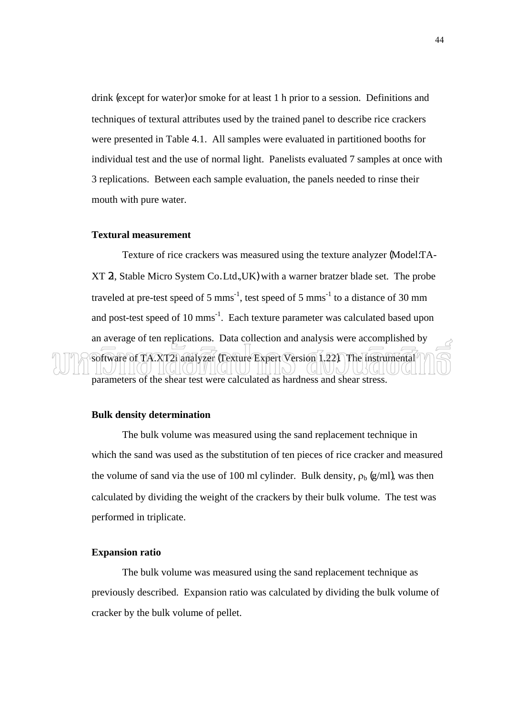drink (except for water) or smoke for at least 1 h prior to a session. Definitions and techniques of textural attributes used by the trained panel to describe rice crackers were presented in Table 4.1. All samples were evaluated in partitioned booths for individual test and the use of normal light. Panelists evaluated 7 samples at once with 3 replications. Between each sample evaluation, the panels needed to rinse their mouth with pure water.

#### **Textural measurement**

 Texture of rice crackers was measured using the texture analyzer (Model:TA-XT 2i, Stable Micro System Co. Ltd.,UK) with a warner bratzer blade set. The probe traveled at pre-test speed of 5 mms<sup>-1</sup>, test speed of 5 mms<sup>-1</sup> to a distance of 30 mm and post-test speed of 10 mms<sup>-1</sup>. Each texture parameter was calculated based upon an average of ten replications. Data collection and analysis were accomplished by software of TA.XT2i analyzer (Texture Expert Version 1.22). The instrumental parameters of the shear test were calculated as hardness and shear stress.

#### **Bulk density determination**

 The bulk volume was measured using the sand replacement technique in which the sand was used as the substitution of ten pieces of rice cracker and measured the volume of sand via the use of 100 ml cylinder. Bulk density,  $\rho_b$  (g/ml), was then calculated by dividing the weight of the crackers by their bulk volume. The test was performed in triplicate.

#### **Expansion ratio**

The bulk volume was measured using the sand replacement technique as previously described. Expansion ratio was calculated by dividing the bulk volume of cracker by the bulk volume of pellet.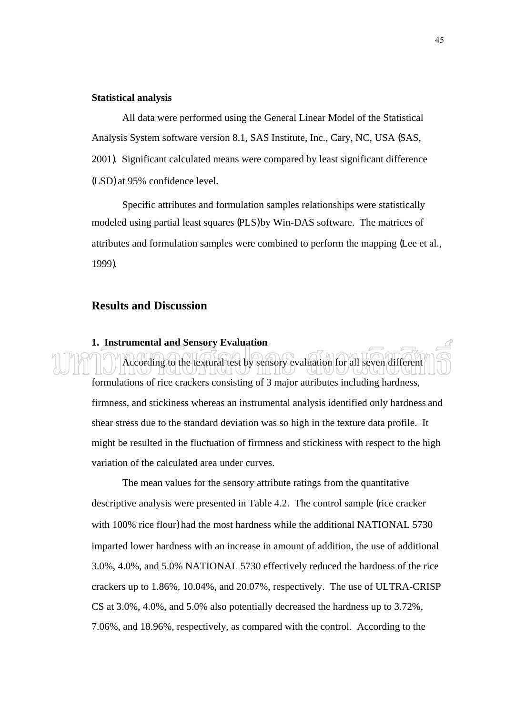#### **Statistical analysis**

 All data were performed using the General Linear Model of the Statistical Analysis System software version 8.1, SAS Institute, Inc., Cary, NC, USA (SAS, 2001). Significant calculated means were compared by least significant difference (LSD) at 95% confidence level.

 Specific attributes and formulation samples relationships were statistically modeled using partial least squares (PLS) by Win-DAS software. The matrices of attributes and formulation samples were combined to perform the mapping (Lee et al., 1999).

#### **Results and Discussion**

#### **1. Instrumental and Sensory Evaluation**

 According to the textural test by sensory evaluation for all seven different formulations of rice crackers consisting of 3 major attributes including hardness, firmness, and stickiness whereas an instrumental analysis identified only hardness and shear stress due to the standard deviation was so high in the texture data profile. It might be resulted in the fluctuation of firmness and stickiness with respect to the high variation of the calculated area under curves.

The mean values for the sensory attribute ratings from the quantitative descriptive analysis were presented in Table 4.2. The control sample (rice cracker with 100% rice flour) had the most hardness while the additional NATIONAL 5730 imparted lower hardness with an increase in amount of addition, the use of additional 3.0%, 4.0%, and 5.0% NATIONAL 5730 effectively reduced the hardness of the rice crackers up to 1.86%, 10.04%, and 20.07%, respectively. The use of ULTRA-CRISP CS at 3.0%, 4.0%, and 5.0% also potentially decreased the hardness up to 3.72%, 7.06%, and 18.96%, respectively, as compared with the control. According to the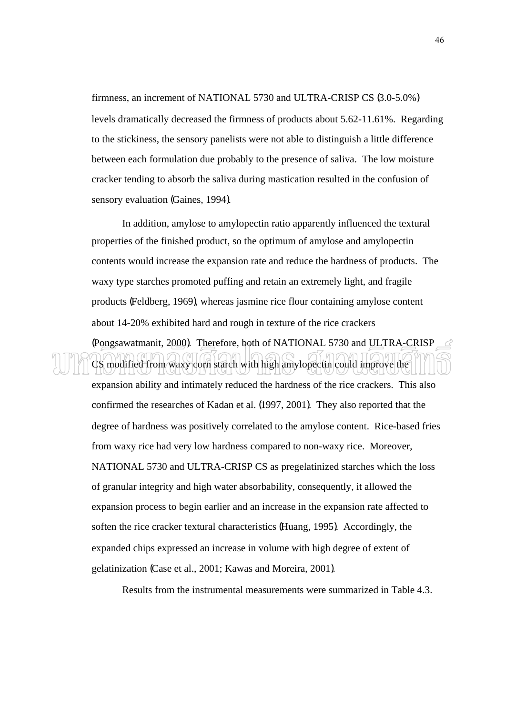firmness, an increment of NATIONAL 5730 and ULTRA-CRISP CS (3.0-5.0%) levels dramatically decreased the firmness of products about 5.62-11.61%. Regarding to the stickiness, the sensory panelists were not able to distinguish a little difference between each formulation due probably to the presence of saliva. The low moisture cracker tending to absorb the saliva during mastication resulted in the confusion of sensory evaluation (Gaines, 1994).

In addition, amylose to amylopectin ratio apparently influenced the textural properties of the finished product, so the optimum of amylose and amylopectin contents would increase the expansion rate and reduce the hardness of products. The waxy type starches promoted puffing and retain an extremely light, and fragile products (Feldberg, 1969), whereas jasmine rice flour containing amylose content about 14-20% exhibited hard and rough in texture of the rice crackers

(Pongsawatmanit, 2000). Therefore, both of NATIONAL 5730 and ULTRA-CRISP CS modified from waxy corn starch with high amylopectin could improve the

expansion ability and intimately reduced the hardness of the rice crackers. This also confirmed the researches of Kadan et al. (1997, 2001). They also reported that the degree of hardness was positively correlated to the amylose content. Rice-based fries from waxy rice had very low hardness compared to non-waxy rice. Moreover, NATIONAL 5730 and ULTRA-CRISP CS as pregelatinized starches which the loss of granular integrity and high water absorbability, consequently, it allowed the expansion process to begin earlier and an increase in the expansion rate affected to soften the rice cracker textural characteristics (Huang, 1995). Accordingly, the expanded chips expressed an increase in volume with high degree of extent of gelatinization (Case et al., 2001; Kawas and Moreira, 2001).

Results from the instrumental measurements were summarized in Table 4.3.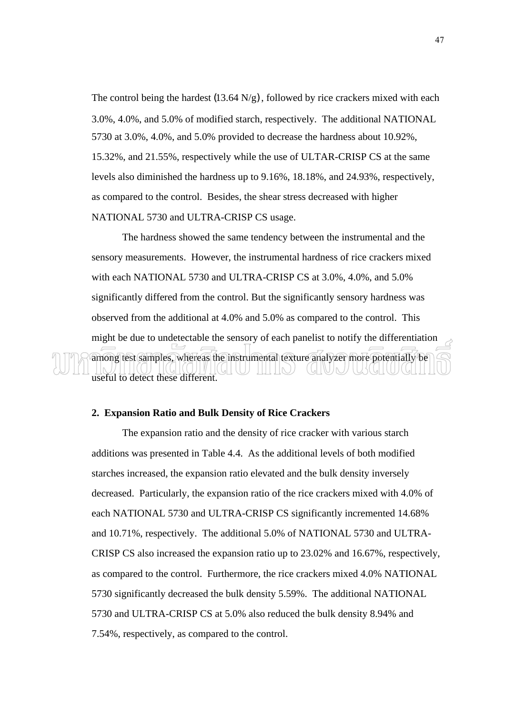The control being the hardest  $(13.64 \text{ N/g})$ , followed by rice crackers mixed with each 3.0%, 4.0%, and 5.0% of modified starch, respectively. The additional NATIONAL 5730 at 3.0%, 4.0%, and 5.0% provided to decrease the hardness about 10.92%, 15.32%, and 21.55%, respectively while the use of ULTAR-CRISP CS at the same levels also diminished the hardness up to 9.16%, 18.18%, and 24.93%, respectively, as compared to the control. Besides, the shear stress decreased with higher NATIONAL 5730 and ULTRA-CRISP CS usage.

The hardness showed the same tendency between the instrumental and the sensory measurements. However, the instrumental hardness of rice crackers mixed with each NATIONAL 5730 and ULTRA-CRISP CS at 3.0%, 4.0%, and 5.0% significantly differed from the control. But the significantly sensory hardness was observed from the additional at 4.0% and 5.0% as compared to the control. This might be due to undetectable the sensory of each panelist to notify the differentiation among test samples, whereas the instrumental texture analyzer more potentially be TITHN) (GHU)N useful to detect these different.

#### **2. Expansion Ratio and Bulk Density of Rice Crackers**

The expansion ratio and the density of rice cracker with various starch additions was presented in Table 4.4. As the additional levels of both modified starches increased, the expansion ratio elevated and the bulk density inversely decreased. Particularly, the expansion ratio of the rice crackers mixed with 4.0% of each NATIONAL 5730 and ULTRA-CRISP CS significantly incremented 14.68% and 10.71%, respectively. The additional 5.0% of NATIONAL 5730 and ULTRA-CRISP CS also increased the expansion ratio up to 23.02% and 16.67%, respectively, as compared to the control. Furthermore, the rice crackers mixed 4.0% NATIONAL 5730 significantly decreased the bulk density 5.59%. The additional NATIONAL 5730 and ULTRA-CRISP CS at 5.0% also reduced the bulk density 8.94% and 7.54%, respectively, as compared to the control.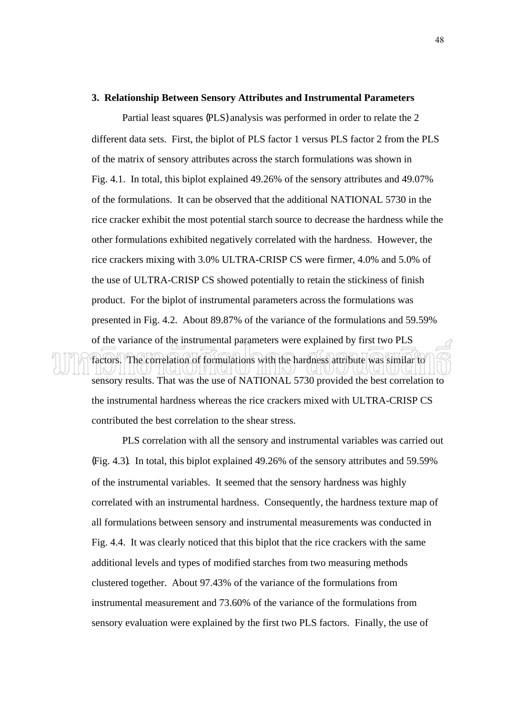#### **3. Relationship Between Sensory Attributes and Instrumental Parameters**

 Partial least squares (PLS) analysis was performed in order to relate the 2 different data sets. First, the biplot of PLS factor 1 versus PLS factor 2 from the PLS of the matrix of sensory attributes across the starch formulations was shown in Fig. 4.1. In total, this biplot explained 49.26% of the sensory attributes and 49.07% of the formulations. It can be observed that the additional NATIONAL 5730 in the rice cracker exhibit the most potential starch source to decrease the hardness while the other formulations exhibited negatively correlated with the hardness. However, the rice crackers mixing with 3.0% ULTRA-CRISP CS were firmer, 4.0% and 5.0% of the use of ULTRA-CRISP CS showed potentially to retain the stickiness of finish product. For the biplot of instrumental parameters across the formulations was presented in Fig. 4.2. About 89.87% of the variance of the formulations and 59.59% of the variance of the instrumental parameters were explained by first two PLS factors. The correlation of formulations with the hardness attribute was similar to

sensory results. That was the use of NATIONAL 5730 provided the best correlation to the instrumental hardness whereas the rice crackers mixed with ULTRA-CRISP CS contributed the best correlation to the shear stress.

 PLS correlation with all the sensory and instrumental variables was carried out (Fig. 4.3). In total, this biplot explained 49.26% of the sensory attributes and 59.59% of the instrumental variables. It seemed that the sensory hardness was highly correlated with an instrumental hardness. Consequently, the hardness texture map of all formulations between sensory and instrumental measurements was conducted in Fig. 4.4. It was clearly noticed that this biplot that the rice crackers with the same additional levels and types of modified starches from two measuring methods clustered together. About 97.43% of the variance of the formulations from instrumental measurement and 73.60% of the variance of the formulations from sensory evaluation were explained by the first two PLS factors. Finally, the use of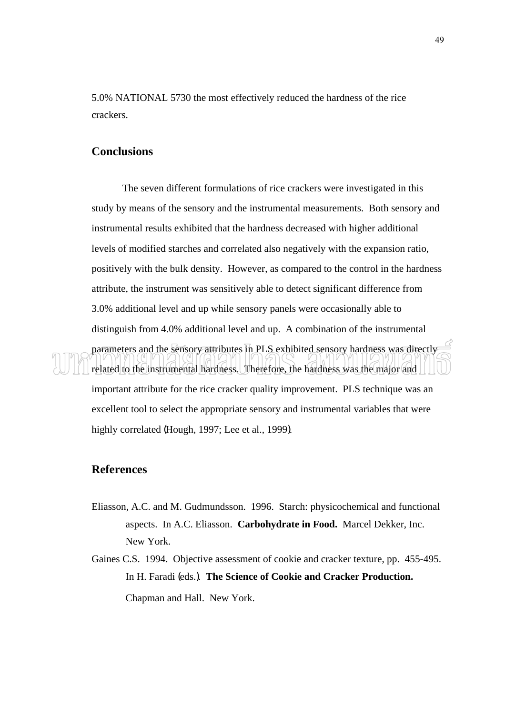5.0% NATIONAL 5730 the most effectively reduced the hardness of the rice crackers.

#### **Conclusions**

 The seven different formulations of rice crackers were investigated in this study by means of the sensory and the instrumental measurements. Both sensory and instrumental results exhibited that the hardness decreased with higher additional levels of modified starches and correlated also negatively with the expansion ratio, positively with the bulk density. However, as compared to the control in the hardness attribute, the instrument was sensitively able to detect significant difference from 3.0% additional level and up while sensory panels were occasionally able to distinguish from 4.0% additional level and up. A combination of the instrumental parameters and the sensory attributes in PLS exhibited sensory hardness was directly related to the instrumental hardness. Therefore, the hardness was the major and important attribute for the rice cracker quality improvement. PLS technique was an excellent tool to select the appropriate sensory and instrumental variables that were highly correlated (Hough, 1997; Lee et al., 1999).

#### **References**

- Eliasson, A.C. and M. Gudmundsson. 1996. Starch: physicochemical and functional aspects. In A.C. Eliasson. **Carbohydrate in Food.** Marcel Dekker, Inc. New York.
- Gaines C.S. 1994. Objective assessment of cookie and cracker texture, pp. 455-495. In H. Faradi (eds.). **The Science of Cookie and Cracker Production.**  Chapman and Hall. New York.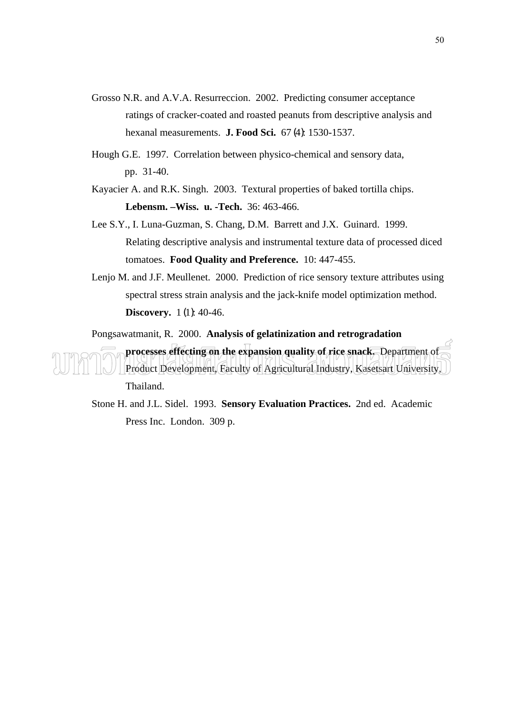- Grosso N.R. and A.V.A. Resurreccion. 2002. Predicting consumer acceptance ratings of cracker-coated and roasted peanuts from descriptive analysis and hexanal measurements. **J. Food Sci.** 67 (4): 1530-1537.
- Hough G.E. 1997. Correlation between physico-chemical and sensory data, pp. 31-40.
- Kayacier A. and R.K. Singh. 2003. Textural properties of baked tortilla chips. **Lebensm. –Wiss. u. -Tech.** 36: 463-466.
- Lee S.Y., I. Luna-Guzman, S. Chang, D.M. Barrett and J.X. Guinard. 1999. Relating descriptive analysis and instrumental texture data of processed diced tomatoes. **Food Quality and Preference.** 10: 447-455.
- Lenjo M. and J.F. Meullenet. 2000. Prediction of rice sensory texture attributes using spectral stress strain analysis and the jack-knife model optimization method. **Discovery.** 1(1): 40-46.

Pongsawatmanit, R. 2000. **Analysis of gelatinization and retrogradation** 

**processes effecting on the expansion quality of rice snack.** Department of Product Development, Faculty of Agricultural Industry, Kasetsart University, Thailand.

Stone H. and J.L. Sidel. 1993. **Sensory Evaluation Practices.** 2nd ed. Academic Press Inc. London. 309 p.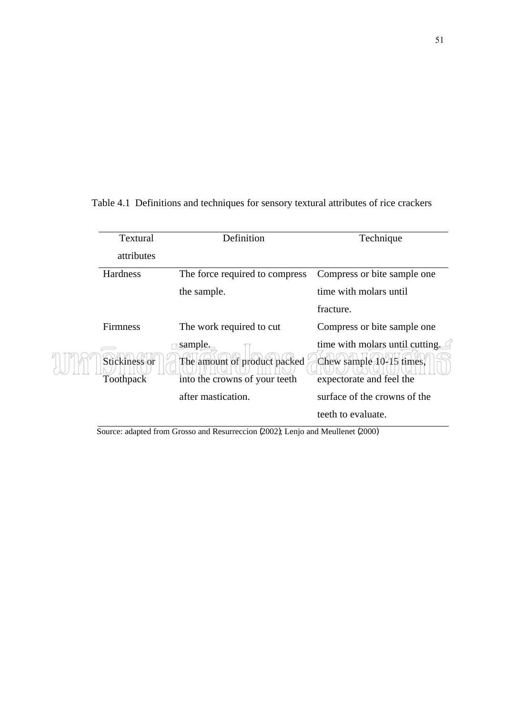Textural attributes Definition Technique Hardness The force required to compress the sample. Compress or bite sample one time with molars until fracture. Firmness The work required to cut sample. Compress or bite sample one time with molars until cutting. Stickiness or Toothpack The amount of product packed into the crowns of your teeth after mastication. Chew sample 10-15 times, expectorate and feel the surface of the crowns of the teeth to evaluate.

Table 4.1 Definitions and techniques for sensory textural attributes of rice crackers

Source: adapted from Grosso and Resurreccion (2002); Lenjo and Meullenet (2000)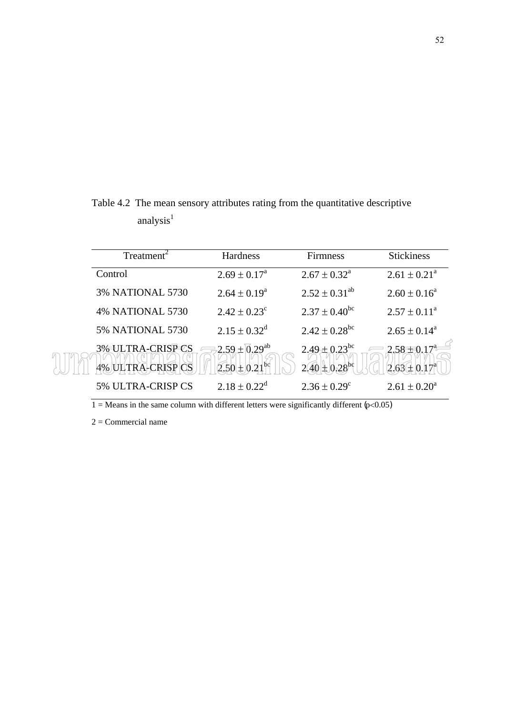$Treatment<sup>2</sup>$  Hardness Firmness Stickiness Control  $2.69 \pm 0.17^a$  $2.67 \pm 0.32^{\text{a}}$  $2.61 \pm 0.21^{\text{a}}$ 3% NATIONAL 5730  $2.64 \pm 0.19^a$  $2.52 \pm 0.31^{ab}$   $2.60 \pm 0.16^a$ 4% NATIONAL 5730  $2.42 \pm 0.23$ <sup>c</sup>  $2.37 \pm 0.40^{\rm bc}$   $2.57 \pm 0.11^{\rm a}$ 5% NATIONAL 5730  $2.15 \pm 0.32^d$  $2.42 \pm 0.28^{\rm bc}$  2.65  $\pm$  0.14<sup>a</sup> 3% ULTRA-CRISP CS  $2.59 + 0.29^{ab}$   $2.49 + 0.23^{bc}$   $2.58 + 0.17^{a}$ 4% ULTRA-CRISP CS  $(2.50 \pm 0.21^{bc})$   $(2.40 \pm 0.28^{bc})$   $(2.63 \pm 0.17^{a})$ 5% ULTRA-CRISP CS  $2.18 \pm 0.22^d$  $2.36 \pm 0.29^c$  $2.61 \pm 0.20^a$ 

Table 4.2 The mean sensory attributes rating from the quantitative descriptive analysis $<sup>1</sup>$ </sup>

 $2 =$ Commercial name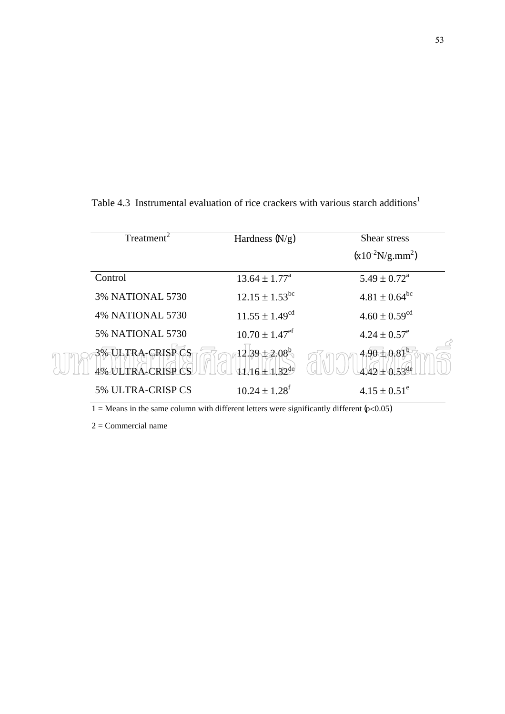| Treatment                                       | Hardness $(N/g)$                            | Shear stress                  |
|-------------------------------------------------|---------------------------------------------|-------------------------------|
|                                                 |                                             | $(x10^{-2}N/g/mm^2)$          |
| Control                                         | $13.64 \pm 1.77^{\circ}$                    | $5.49 \pm 0.72^{\text{a}}$    |
| <b>3% NATIONAL 5730</b>                         | $12.15 \pm 1.53^{\rm bc}$                   | $4.81 \pm 0.64^{\rm bc}$      |
| <b>4% NATIONAL 5730</b>                         | $11.55 \pm 1.49^{cd}$                       | $4.60 \pm 0.59$ <sup>cd</sup> |
| <b>5% NATIONAL 5730</b>                         | $10.70 \pm 1.47$ <sup>ef</sup>              | $4.24 \pm 0.57^e$             |
| <b>TRA-CRISP CS</b><br><b>4% ULTRA-CRISP CS</b> | $12.39 + 2.08$<br>$\pm 1$ 32 <sup>de)</sup> | $4.90 + 0.81$<br>4.42±0.58de  |
| 5% ULTRA-CRISP CS                               | $10.24 \pm 1.28^t$                          | $4.15 \pm 0.51^{\circ}$       |

Table 4.3 Instrumental evaluation of rice crackers with various starch additions<sup>1</sup>

 $2 =$ Commercial name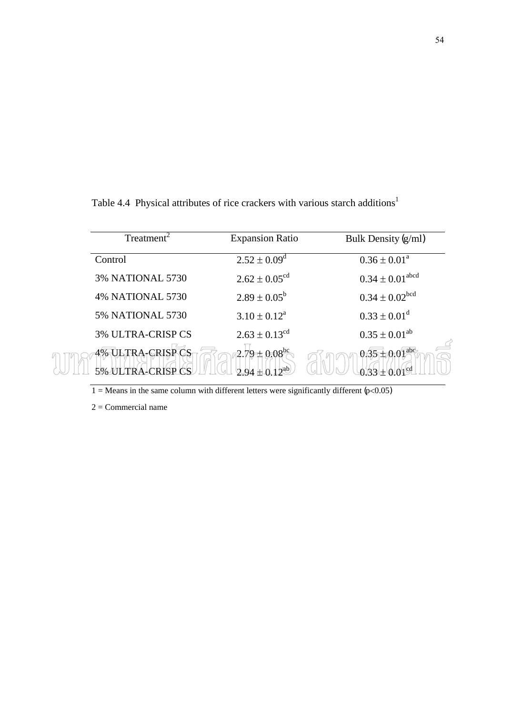| Treatment                | <b>Expansion Ratio</b>      | Bulk Density (g/ml)             |
|--------------------------|-----------------------------|---------------------------------|
| Control                  | $2.52 \pm 0.09^{\rm d}$     | $0.36 \pm 0.01^a$               |
| <b>3% NATIONAL 5730</b>  | $2.62 \pm 0.05^{\text{cd}}$ | $0.34 \pm 0.01$ <sup>abcd</sup> |
| <b>4% NATIONAL 5730</b>  | $2.89 \pm 0.05^b$           | $0.34 \pm 0.02^{\rm bcd}$       |
| <b>5% NATIONAL 5730</b>  | $3.10 \pm 0.12^a$           | $0.33 \pm 0.01^d$               |
| <b>3% ULTRA-CRISP CS</b> | $2.63 \pm 0.13^{cd}$        | $0.35 \pm 0.01^{ab}$            |
| <b>4% ULTRA-CRISP CS</b> | $-2.79 \pm 0.08^{\circ}$    | $0.35 \pm 0.01^{\text{abe}}$    |

Table 4.4 Physical attributes of rice crackers with various starch additions<sup>1</sup>

2 = Commercial name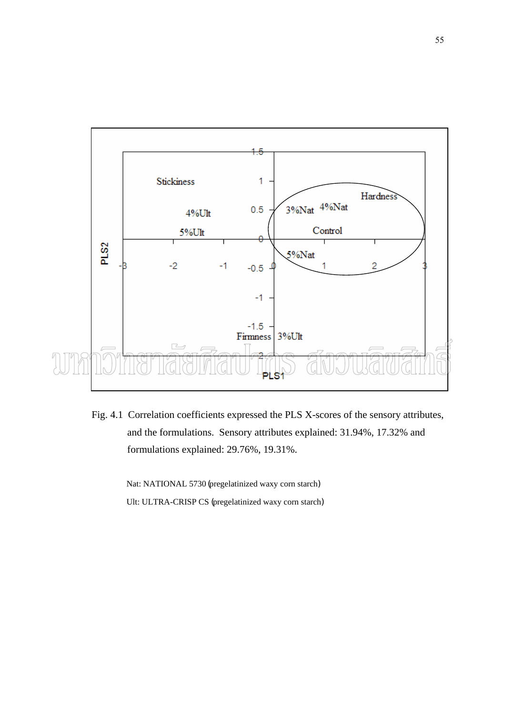

Fig. 4.1 Correlation coefficients expressed the PLS X-scores of the sensory attributes, and the formulations. Sensory attributes explained: 31.94%, 17.32% and formulations explained: 29.76%, 19.31%.

> Nat: NATIONAL 5730 (pregelatinized waxy corn starch) Ult: ULTRA-CRISP CS (pregelatinized waxy corn starch)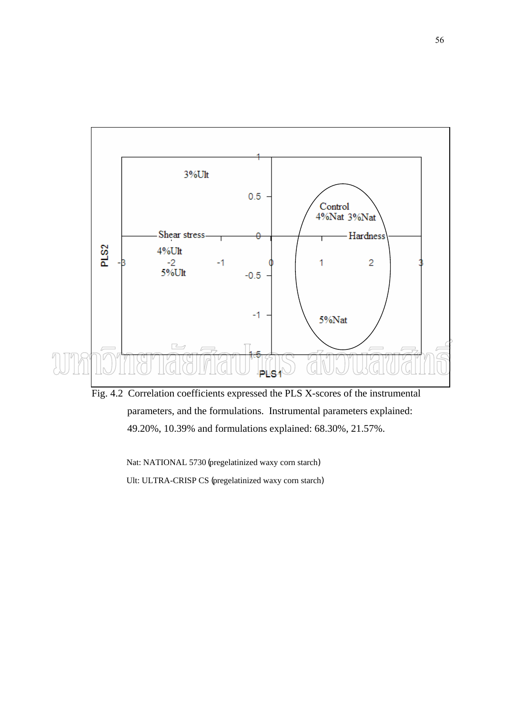

Fig. 4.2 Correlation coefficients expressed the PLS X-scores of the instrumental parameters, and the formulations. Instrumental parameters explained: 49.20%, 10.39% and formulations explained: 68.30%, 21.57%.

 Nat: NATIONAL 5730 (pregelatinized waxy corn starch) Ult: ULTRA-CRISP CS (pregelatinized waxy corn starch)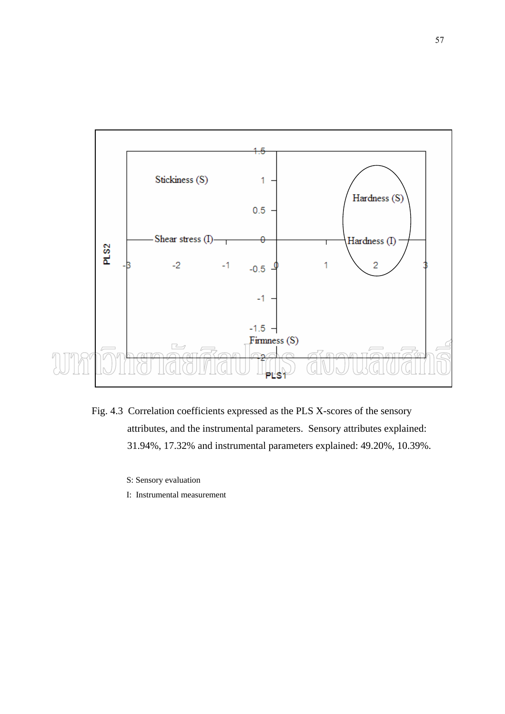

- Fig. 4.3 Correlation coefficients expressed as the PLS X-scores of the sensory attributes, and the instrumental parameters. Sensory attributes explained: 31.94%, 17.32% and instrumental parameters explained: 49.20%, 10.39%.
	- S: Sensory evaluation
	- I: Instrumental measurement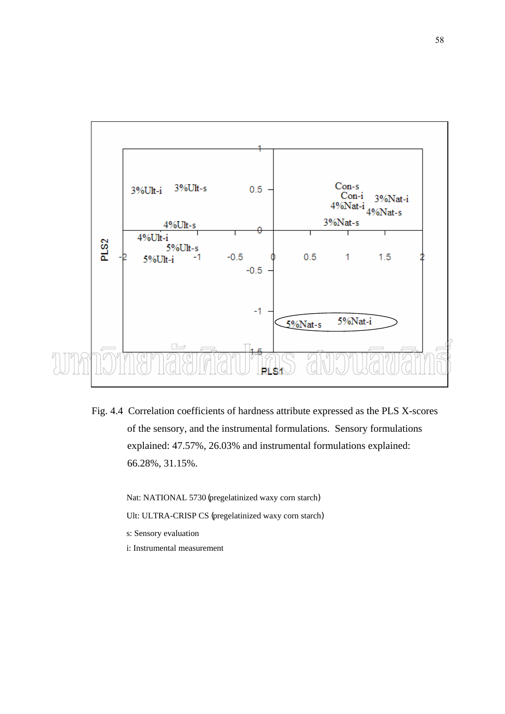

Fig. 4.4 Correlation coefficients of hardness attribute expressed as the PLS X-scores of the sensory, and the instrumental formulations. Sensory formulations explained: 47.57%, 26.03% and instrumental formulations explained: 66.28%, 31.15%.

Nat: NATIONAL 5730 (pregelatinized waxy corn starch)

- Ult: ULTRA-CRISP CS (pregelatinized waxy corn starch)
- s: Sensory evaluation
- i: Instrumental measurement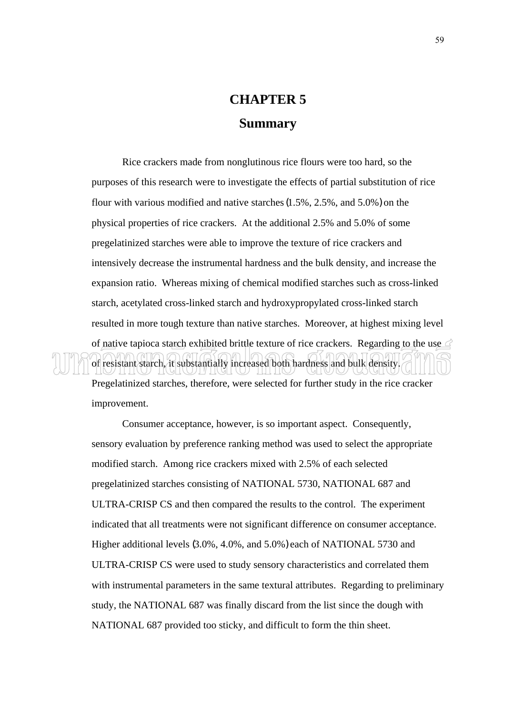## **CHAPTER 5 Summary**

Rice crackers made from nonglutinous rice flours were too hard, so the purposes of this research were to investigate the effects of partial substitution of rice flour with various modified and native starches (1.5%, 2.5%, and 5.0%) on the physical properties of rice crackers. At the additional 2.5% and 5.0% of some pregelatinized starches were able to improve the texture of rice crackers and intensively decrease the instrumental hardness and the bulk density, and increase the expansion ratio. Whereas mixing of chemical modified starches such as cross-linked starch, acetylated cross-linked starch and hydroxypropylated cross-linked starch resulted in more tough texture than native starches. Moreover, at highest mixing level of native tapioca starch exhibited brittle texture of rice crackers. Regarding to the use  $\leq$ of resistant starch, it substantially increased both hardness and bulk density. Pregelatinized starches, therefore, were selected for further study in the rice cracker improvement.

Consumer acceptance, however, is so important aspect. Consequently, sensory evaluation by preference ranking method was used to select the appropriate modified starch. Among rice crackers mixed with 2.5% of each selected pregelatinized starches consisting of NATIONAL 5730, NATIONAL 687 and ULTRA-CRISP CS and then compared the results to the control. The experiment indicated that all treatments were not significant difference on consumer acceptance. Higher additional levels (3.0%, 4.0%, and 5.0%) each of NATIONAL 5730 and ULTRA-CRISP CS were used to study sensory characteristics and correlated them with instrumental parameters in the same textural attributes. Regarding to preliminary study, the NATIONAL 687 was finally discard from the list since the dough with NATIONAL 687 provided too sticky, and difficult to form the thin sheet.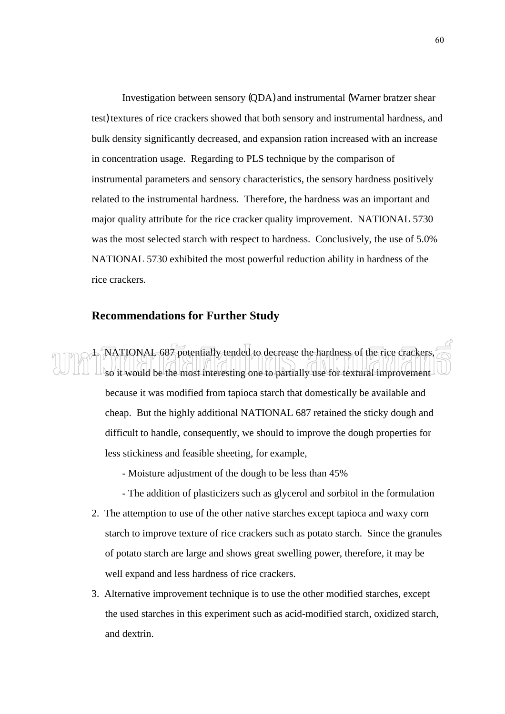Investigation between sensory (QDA) and instrumental (Warner bratzer shear test) textures of rice crackers showed that both sensory and instrumental hardness, and bulk density significantly decreased, and expansion ration increased with an increase in concentration usage. Regarding to PLS technique by the comparison of instrumental parameters and sensory characteristics, the sensory hardness positively related to the instrumental hardness. Therefore, the hardness was an important and major quality attribute for the rice cracker quality improvement. NATIONAL 5730 was the most selected starch with respect to hardness. Conclusively, the use of 5.0% NATIONAL 5730 exhibited the most powerful reduction ability in hardness of the rice crackers.

#### **Recommendations for Further Study**

1. NATIONAL 687 potentially tended to decrease the hardness of the rice crackers, so it would be the most interesting one to partially use for textural improvement because it was modified from tapioca starch that domestically be available and cheap. But the highly additional NATIONAL 687 retained the sticky dough and difficult to handle, consequently, we should to improve the dough properties for less stickiness and feasible sheeting, for example,

- Moisture adjustment of the dough to be less than 45%
- The addition of plasticizers such as glycerol and sorbitol in the formulation
- 2. The attemption to use of the other native starches except tapioca and waxy corn starch to improve texture of rice crackers such as potato starch. Since the granules of potato starch are large and shows great swelling power, therefore, it may be well expand and less hardness of rice crackers.
- 3. Alternative improvement technique is to use the other modified starches, except the used starches in this experiment such as acid-modified starch, oxidized starch, and dextrin.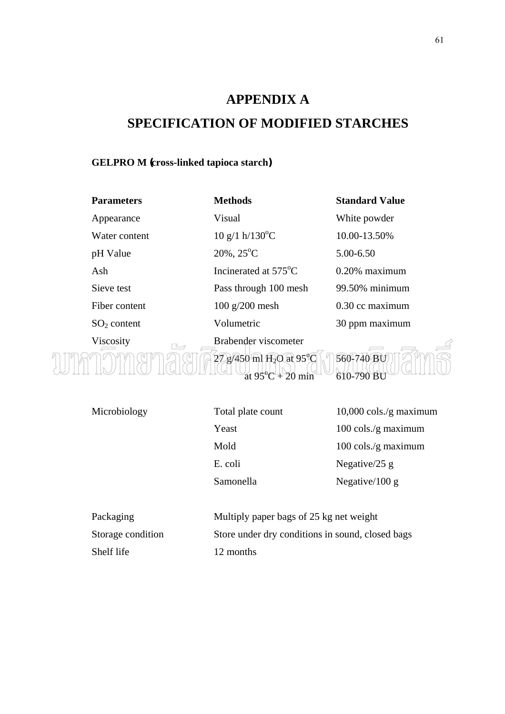## **APPENDIX A SPECIFICATION OF MODIFIED STARCHES**

#### **GELPRO M (cross-linked tapioca starch)**

| <b>Parameters</b>                     | <b>Methods</b>                                 | <b>Standard Value</b> |
|---------------------------------------|------------------------------------------------|-----------------------|
| Appearance                            | Visual                                         | White powder          |
| Water content                         | $10 \text{ g}/1 \text{ h}/130^{\circ}\text{C}$ | 10.00-13.50%          |
| pH Value                              | $20\%$ , $25^{\circ}$ C                        | 5.00-6.50             |
| Ash                                   | Incinerated at $575^{\circ}$ C                 | $0.20\%$ maximum      |
| Sieve test                            | Pass through 100 mesh                          | 99.50% minimum        |
| Fiber content                         | $100$ g/200 mesh                               | 0.30 cc maximum       |
| $SO2$ content                         | Volumetric                                     | 30 ppm maximum        |
| Viscosity<br>$\overline{\phantom{a}}$ | Brabender viscometer                           |                       |
|                                       |                                                |                       |

Ŕ  $\bigcap\bigcap\{M\}\bigcap\bigcap\bigcap\bigcap\{Z\}$   $\bigcap\{Z\}$   $\bigcap\{450\text{ m1 H}_2\text{O at }95\text{°C}\big)\big\}$   $\bigcap\{560\text{--}740\text{ BU}\big\}$  $\frac{100}{20}$  HULL  $\frac{110}{20}$  at  $\frac{95}{20}$   $\frac{120}{20}$  min  $\frac{610}{290}$  BU

| Microbiology | Total plate count | $10,000 \text{ coils./g maximum}$ |
|--------------|-------------------|-----------------------------------|
|              | Yeast             | $100 \text{ coils/g maximum}$     |
|              | Mold              | $100 \text{ coils/g maximum}$     |
|              | E. coli           | Negative $/25$ g                  |
|              | Samonella         | Negative/100 g                    |
|              |                   |                                   |

| Packaging         | Multiply paper bags of 25 kg net weight          |
|-------------------|--------------------------------------------------|
| Storage condition | Store under dry conditions in sound, closed bags |
| Shelf life        | 12 months                                        |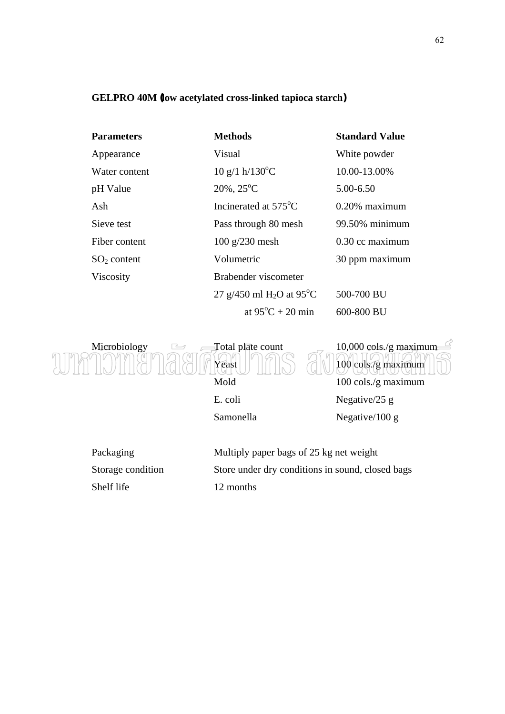#### **GELPRO 40M (low acetylated cross-linked tapioca starch)**

| <b>Parameters</b> | <b>Methods</b>                                    | <b>Standard Value</b> |
|-------------------|---------------------------------------------------|-----------------------|
| Appearance        | Visual                                            | White powder          |
| Water content     | $10 \text{ g}/1 \text{ h}/130^{\circ}\text{C}$    | 10.00-13.00%          |
| pH Value          | $20\%$ , $25^{\circ}$ C                           | 5.00-6.50             |
| Ash               | Incinerated at 575 <sup>o</sup> C                 | $0.20\%$ maximum      |
| Sieve test        | Pass through 80 mesh                              | 99.50% minimum        |
| Fiber content     | $100$ g/230 mesh                                  | 0.30 cc maximum       |
| $SO2$ content     | Volumetric                                        | 30 ppm maximum        |
| Viscosity         | Brabender viscometer                              |                       |
|                   | 27 g/450 ml H <sub>2</sub> O at 95 <sup>o</sup> C | 500-700 BU            |
|                   | at $95^{\circ}C + 20$ min                         | 600-800 BU            |



| Packaging         | Multiply paper bags of 25 kg net weight          |
|-------------------|--------------------------------------------------|
| Storage condition | Store under dry conditions in sound, closed bags |
| Shelf life        | 12 months                                        |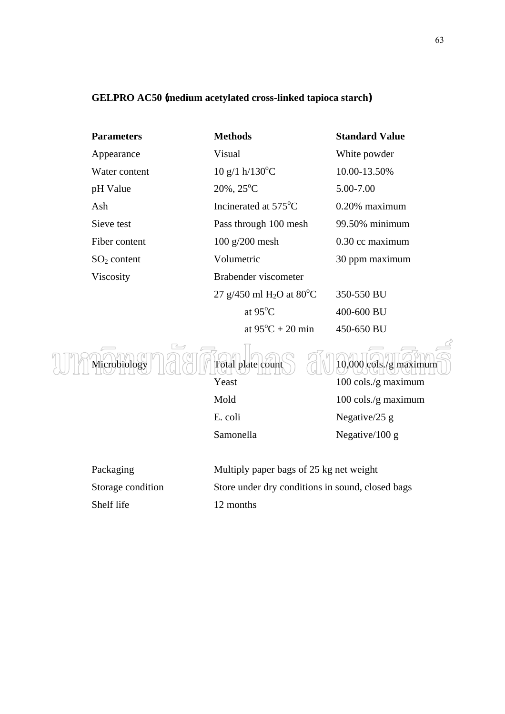### **GELPRO AC50 (medium acetylated cross-linked tapioca starch)**

| <b>Parameters</b> | <b>Methods</b>                                    | <b>Standard Value</b> |
|-------------------|---------------------------------------------------|-----------------------|
| Appearance        | Visual                                            | White powder          |
| Water content     | $10 \text{ g}/1 \text{ h}/130^{\circ}\text{C}$    | 10.00-13.50%          |
| pH Value          | $20\%$ , $25^{\circ}$ C                           | 5.00-7.00             |
| Ash               | Incinerated at 575 <sup>°</sup> C                 | $0.20\%$ maximum      |
| Sieve test        | Pass through 100 mesh                             | 99.50% minimum        |
| Fiber content     | $100$ g/200 mesh                                  | 0.30 cc maximum       |
| $SO2$ content     | Volumetric                                        | 30 ppm maximum        |
| Viscosity         | Brabender viscometer                              |                       |
|                   | 27 g/450 ml H <sub>2</sub> O at 80 <sup>o</sup> C | 350-550 BU            |
|                   | at $95^{\circ}$ C                                 | 400-600 BU            |
|                   | at $95^{\circ}C + 20$ min                         | 450-650 BU            |



Yeast 100 cols./g maximum Mold 100 cols./g maximum E. coli Negative/25 g Samonella Negative/100 g

Shelf life 12 months

Packaging Multiply paper bags of 25 kg net weight Storage condition Store under dry conditions in sound, closed bags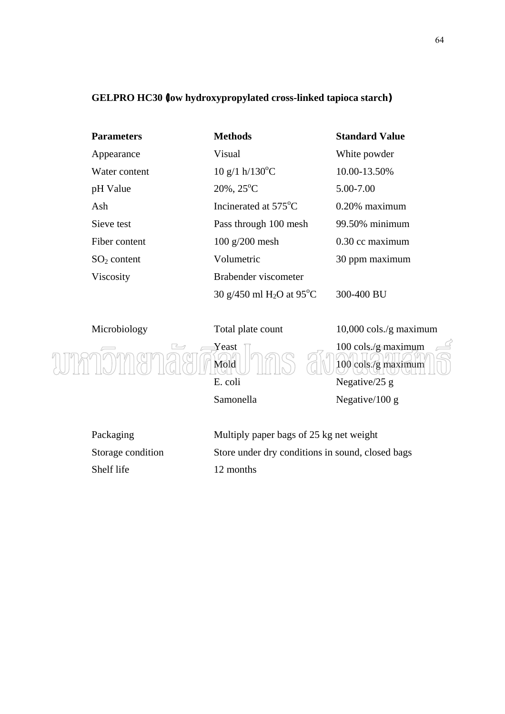### **GELPRO HC30 (low hydroxypropylated cross-linked tapioca starch)**

| <b>Parameters</b> | <b>Methods</b>                                 | <b>Standard Value</b> |
|-------------------|------------------------------------------------|-----------------------|
| Appearance        | Visual                                         | White powder          |
| Water content     | $10 \text{ g}/1 \text{ h}/130^{\circ}\text{C}$ | 10.00-13.50%          |
| pH Value          | $20\%$ , $25^{\circ}$ C                        | 5.00-7.00             |
| Ash               | Incinerated at 575 <sup>o</sup> C              | $0.20\%$ maximum      |
| Sieve test        | Pass through 100 mesh                          | 99.50% minimum        |
| Fiber content     | $100$ g/200 mesh                               | 0.30 cc maximum       |
| $SO2$ content     | Volumetric                                     | 30 ppm maximum        |
| Viscosity         | Brabender viscometer                           |                       |
|                   | 30 g/450 ml $H_2O$ at 95°C                     | 300-400 BU            |

Microbiology Total plate count 10,000 cols./g maximum  $\Box$   $\Box$  Yeast  $\Box$   $\Box$  100 cols./g maximum Mold 100 cols./g maximum E. coli Negative/25 g Samonella Negative/100 g

Shelf life 12 months

Packaging Multiply paper bags of 25 kg net weight Storage condition Store under dry conditions in sound, closed bags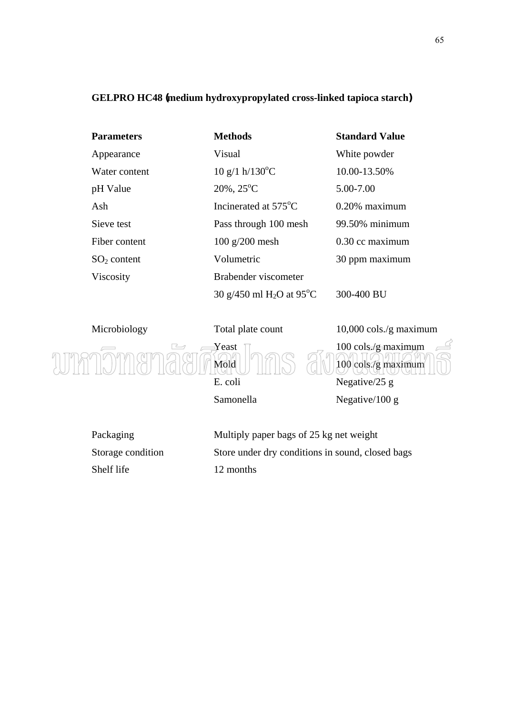### **GELPRO HC48 (medium hydroxypropylated cross-linked tapioca starch)**

| <b>Parameters</b> | <b>Methods</b>                                    | <b>Standard Value</b> |
|-------------------|---------------------------------------------------|-----------------------|
| Appearance        | Visual                                            | White powder          |
| Water content     | $10 \text{ g}/1 \text{ h}/130^{\circ}\text{C}$    | 10.00-13.50%          |
| pH Value          | $20\%$ , $25^{\circ}$ C                           | 5.00-7.00             |
| Ash               | Incinerated at 575 <sup>o</sup> C                 | $0.20\%$ maximum      |
| Sieve test        | Pass through 100 mesh                             | 99.50% minimum        |
| Fiber content     | $100$ g/200 mesh                                  | 0.30 cc maximum       |
| $SO2$ content     | Volumetric                                        | 30 ppm maximum        |
| Viscosity         | Brabender viscometer                              |                       |
|                   | 30 g/450 ml H <sub>2</sub> O at 95 <sup>o</sup> C | 300-400 BU            |

Microbiology Total plate count 10,000 cols./g maximum  $\Box$   $\Box$  Yeast  $\Box$   $\Box$  100 cols./g maximum Mold 100 cols./g maximum E. coli Negative/25 g Samonella Negative/100 g

Shelf life 12 months

Packaging Multiply paper bags of 25 kg net weight Storage condition Store under dry conditions in sound, closed bags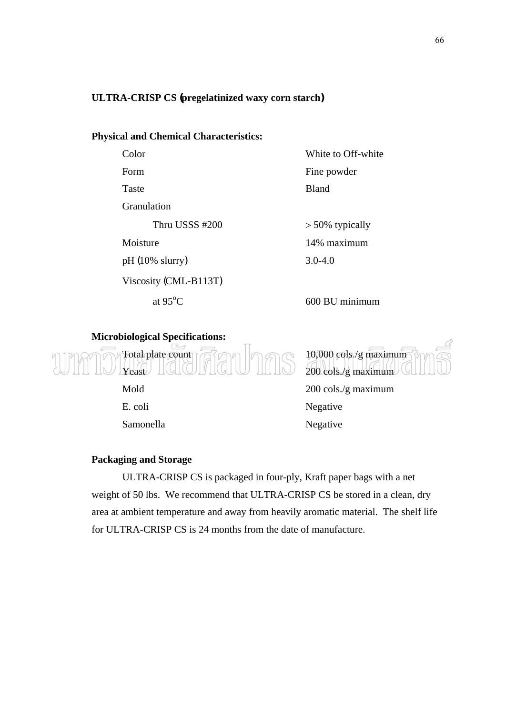### **ULTRA-CRISP CS (pregelatinized waxy corn starch)**

### **Physical and Chemical Characteristics:**

| Color                     | White to Off-white |
|---------------------------|--------------------|
| Form                      | Fine powder        |
| Taste                     | <b>Bland</b>       |
| Granulation               |                    |
| Thru USSS #200            | $> 50\%$ typically |
| Moisture                  | 14% maximum        |
| $pH(10\% \text{ slurry})$ | $3.0 - 4.0$        |
| Viscosity (CML-B113T)     |                    |
| at $95^{\circ}$ C         | 600 BU minimum     |
|                           |                    |

### **Microbiological Specifications:**



 E. coli Negative Samonella Negative



Mold 200 cols./g maximum

### **Packaging and Storage**

ULTRA-CRISP CS is packaged in four-ply, Kraft paper bags with a net weight of 50 lbs. We recommend that ULTRA-CRISP CS be stored in a clean, dry area at ambient temperature and away from heavily aromatic material. The shelf life for ULTRA-CRISP CS is 24 months from the date of manufacture.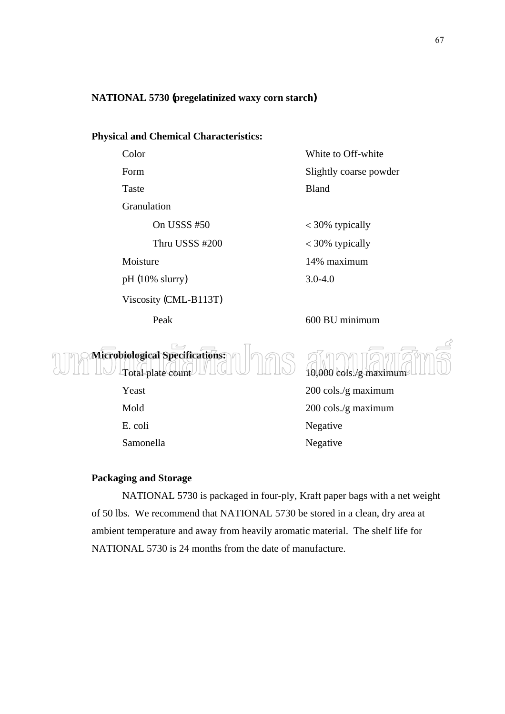### **NATIONAL 5730 (pregelatinized waxy corn starch)**

### **Physical and Chemical Characteristics:**

| .    |  |
|------|--|
|      |  |
| Form |  |

Granulation

pH (10% slurry) 3.0-4.0

Viscosity (CML-B113T)

Color White to Off-white Slightly coarse powder Taste Bland

On USSS #50  $<$  30% typically Thru USSS #200 < 30% typically Moisture 14% maximum

Peak 600 BU minimum

**Microbiological Specifications:**  Total plate count 10,000 cols./g maximum

Yeast 200 cols./g maximum Mold 200 cols./g maximum E. coli Negative Samonella Negative

### **Packaging and Storage**

NATIONAL 5730 is packaged in four-ply, Kraft paper bags with a net weight of 50 lbs. We recommend that NATIONAL 5730 be stored in a clean, dry area at ambient temperature and away from heavily aromatic material. The shelf life for NATIONAL 5730 is 24 months from the date of manufacture.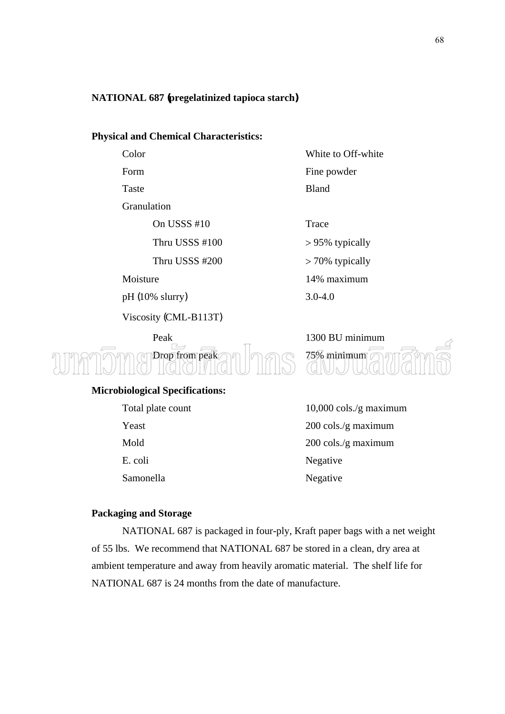### **NATIONAL 687 (pregelatinized tapioca starch)**

### **Physical and Chemical Characteristics:**

| vivi |
|------|
|      |
|      |

Granulation

On USSS #10 Trace

pH (10% slurry) 3.0-4.0

Viscosity (CML-B113T)

Color White to Off-white Form Fine powder Taste Bland

Thru USSS  $\text{\#}100$  > 95% typically Thru USSS  $\text{\#200}$  > 70% typically Moisture 14% maximum

Peak 1300 BU minimum Drop from peak  $\cap \cap$   $\cap$   $\cap$   $\cap$   $\cap$  75% minimum

### **Microbiological Specifications:**

| Total plate                                                                      |
|----------------------------------------------------------------------------------|
| Yeast                                                                            |
| Mold                                                                             |
| E. coli                                                                          |
| $\mathcal{C}_{\mathbf{a}}$ $\mathcal{C}_{\mathbf{a}}$ $\mathcal{C}_{\mathbf{a}}$ |

Total plate count 10,000 cols./g maximum

 $200 \text{ coils./g maximum}$ 200 cols./g maximum Negative Samonella Negative

#### **Packaging and Storage**

NATIONAL 687 is packaged in four-ply, Kraft paper bags with a net weight of 55 lbs. We recommend that NATIONAL 687 be stored in a clean, dry area at ambient temperature and away from heavily aromatic material. The shelf life for NATIONAL 687 is 24 months from the date of manufacture.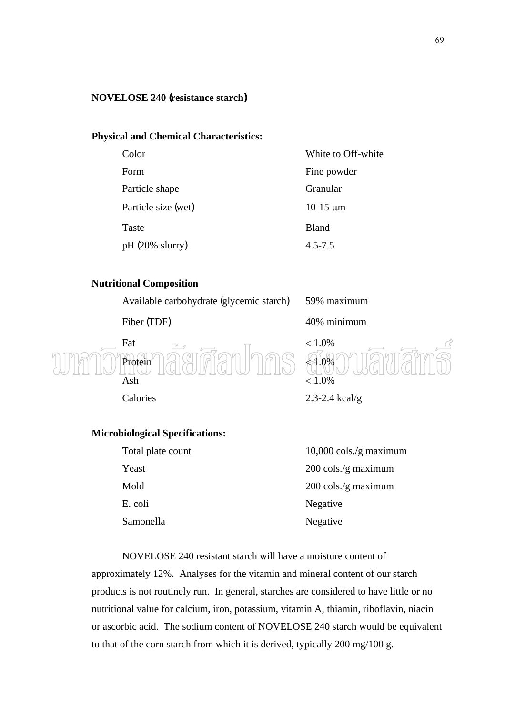### **NOVELOSE 240 (resistance starch)**

### **Physical and Chemical Characteristics:**

| Color               | White to Off-white |
|---------------------|--------------------|
| Form                | Fine powder        |
| Particle shape      | Granular           |
| Particle size (wet) | $10-15 \mu m$      |
| Taste               | <b>Bland</b>       |
| $pH (20\% slurry)$  | $4.5 - 7.5$        |

### **Nutritional Composition**

Available carbohydrate (glycemic starch) 59% maximum



### **Microbiological Specifications:**

| Total plate count | $10,000 \text{ coils/g maximum}$ |
|-------------------|----------------------------------|
| Yeast             | $200 \text{ coils./g maximum}$   |
| Mold              | $200 \text{ coils./g maximum}$   |
| E. coli           | Negative                         |
| Samonella         | Negative                         |

NOVELOSE 240 resistant starch will have a moisture content of approximately 12%. Analyses for the vitamin and mineral content of our starch products is not routinely run. In general, starches are considered to have little or no nutritional value for calcium, iron, potassium, vitamin A, thiamin, riboflavin, niacin or ascorbic acid. The sodium content of NOVELOSE 240 starch would be equivalent to that of the corn starch from which it is derived, typically 200 mg/100 g.

69

Fiber (TDF) 40% minimum



Calories 2.3-2.4 kcal/g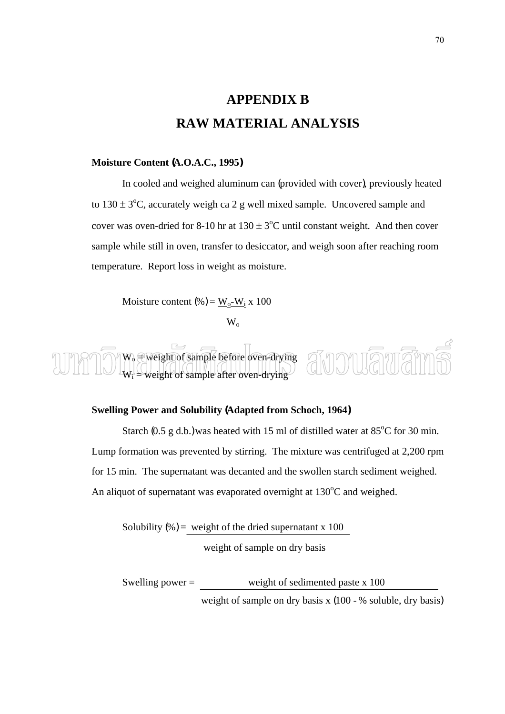## **APPENDIX B RAW MATERIAL ANALYSIS**

### **Moisture Content (A.O.A.C., 1995)**

In cooled and weighed aluminum can (provided with cover), previously heated to  $130 \pm 3$ °C, accurately weigh ca 2 g well mixed sample. Uncovered sample and cover was oven-dried for 8-10 hr at  $130 \pm 3^{\circ}$ C until constant weight. And then cover sample while still in oven, transfer to desiccator, and weigh soon after reaching room temperature. Report loss in weight as moisture.

Moisture content (%) =  $\frac{W_0-W_1}{x}$  x 100

 $W_{o}$ 

 $W_0 \oplus$  weight of sample before oven-drying  $W_i$  = weight of sample after oven-drying

#### **Swelling Power and Solubility (Adapted from Schoch, 1964)**

Starch (0.5 g d.b.) was heated with 15 ml of distilled water at  $85^{\circ}$ C for 30 min. Lump formation was prevented by stirring. The mixture was centrifuged at 2,200 rpm for 15 min. The supernatant was decanted and the swollen starch sediment weighed. An aliquot of supernatant was evaporated overnight at  $130^{\circ}$ C and weighed.

Solubility  $(\%)$  = weight of the dried supernatant x 100 weight of sample on dry basis

Swelling power = weight of sedimented paste x 100 weight of sample on dry basis x (100 - % soluble, dry basis)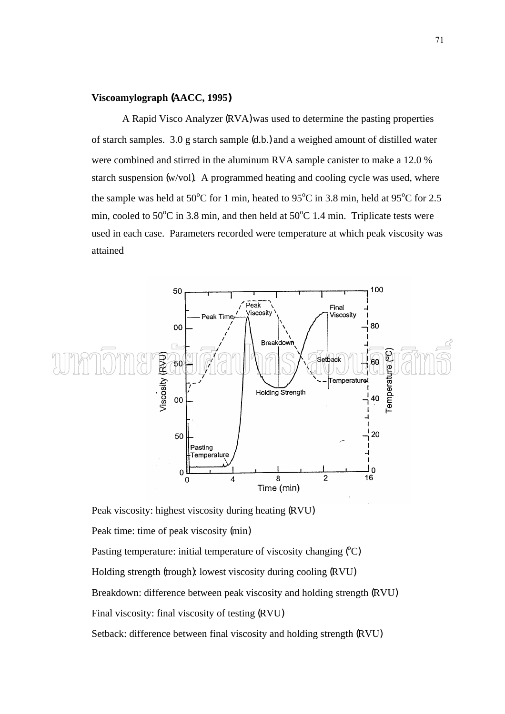### **Viscoamylograph (AACC, 1995)**

A Rapid Visco Analyzer (RVA) was used to determine the pasting properties of starch samples. 3.0 g starch sample (d.b.) and a weighed amount of distilled water were combined and stirred in the aluminum RVA sample canister to make a 12.0 % starch suspension (w/vol). A programmed heating and cooling cycle was used, where the sample was held at 50 $^{\circ}$ C for 1 min, heated to 95 $^{\circ}$ C in 3.8 min, held at 95 $^{\circ}$ C for 2.5 min, cooled to  $50^{\circ}$ C in 3.8 min, and then held at  $50^{\circ}$ C 1.4 min. Triplicate tests were used in each case. Parameters recorded were temperature at which peak viscosity was attained



Peak viscosity: highest viscosity during heating (RVU)

Peak time: time of peak viscosity (min)

Pasting temperature: initial temperature of viscosity changing (°C)

Holding strength (trough): lowest viscosity during cooling (RVU)

Breakdown: difference between peak viscosity and holding strength (RVU)

Final viscosity: final viscosity of testing (RVU)

Setback: difference between final viscosity and holding strength (RVU)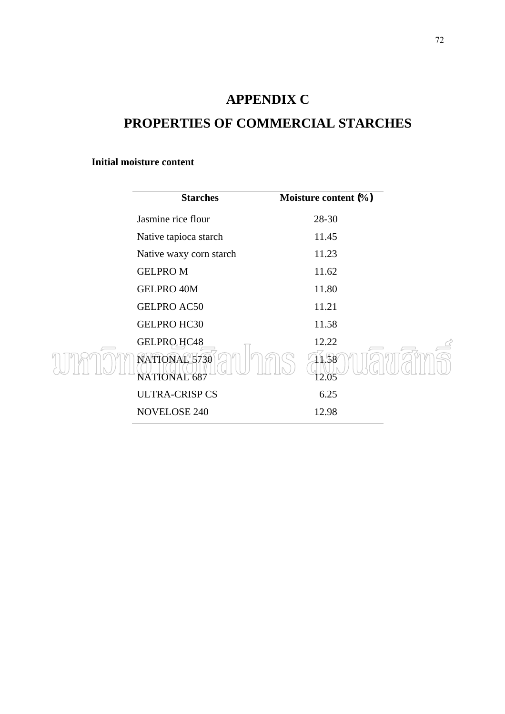## **APPENDIX C**

### **PROPERTIES OF COMMERCIAL STARCHES**

### **Initial moisture content**

| <b>Starches</b>               | Moisture content (%) |  |
|-------------------------------|----------------------|--|
| Jasmine rice flour            | 28-30                |  |
| Native tapioca starch         | 11.45                |  |
| Native waxy corn starch       | 11.23                |  |
| <b>GELPROM</b>                | 11.62                |  |
| <b>GELPRO 40M</b>             | 11.80                |  |
| <b>GELPRO AC50</b>            | 11.21                |  |
| <b>GELPRO HC30</b>            | 11.58                |  |
| GELPRO HC48                   | 12.22                |  |
| NATIONAL 5730<br>NATIONAL 687 | 1.58<br>12.05        |  |
| <b>ULTRA-CRISP CS</b>         | 6.25                 |  |
| <b>NOVELOSE 240</b>           | 12.98                |  |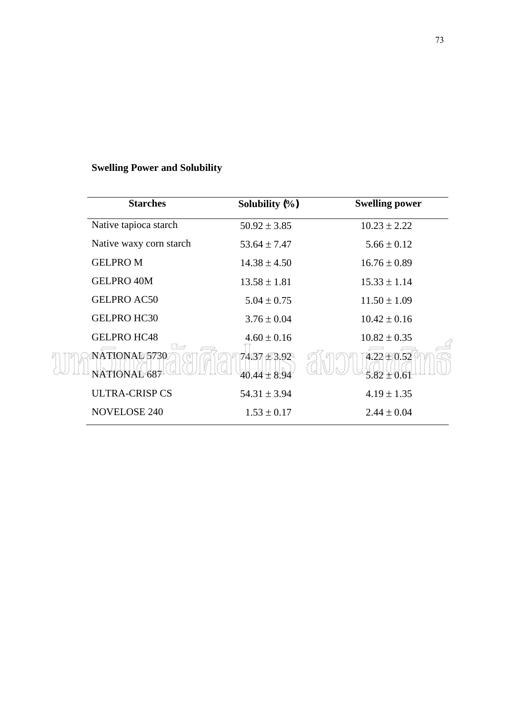### **Swelling Power and Solubility**

| <b>Starches</b>               | Solubility $(\% )$        | <b>Swelling power</b>              |
|-------------------------------|---------------------------|------------------------------------|
| Native tapioca starch         | $50.92 \pm 3.85$          | $10.23 \pm 2.22$                   |
| Native waxy corn starch       | $53.64 \pm 7.47$          | $5.66 \pm 0.12$                    |
| <b>GELPROM</b>                | $14.38 \pm 4.50$          | $16.76 \pm 0.89$                   |
| <b>GELPRO 40M</b>             | $13.58 \pm 1.81$          | $15.33 \pm 1.14$                   |
| <b>GELPRO AC50</b>            | $5.04 \pm 0.75$           | $11.50 \pm 1.09$                   |
| <b>GELPRO HC30</b>            | $3.76 \pm 0.04$           | $10.42 \pm 0.16$                   |
| <b>GELPRO HC48</b>            | $4.60 \pm 0.16$           | $10.82 \pm 0.35$                   |
| NATIONAD 5730<br>NATIONAL 687 | 74.37 £3.92<br>40.44±8.94 | $4.22 \pm 0.52$<br>$5.82 \pm 0.61$ |
| <b>ULTRA-CRISP CS</b>         | $54.31 \pm 3.94$          | $4.19 \pm 1.35$                    |
| <b>NOVELOSE 240</b>           | $1.53 \pm 0.17$           | $2.44 \pm 0.04$                    |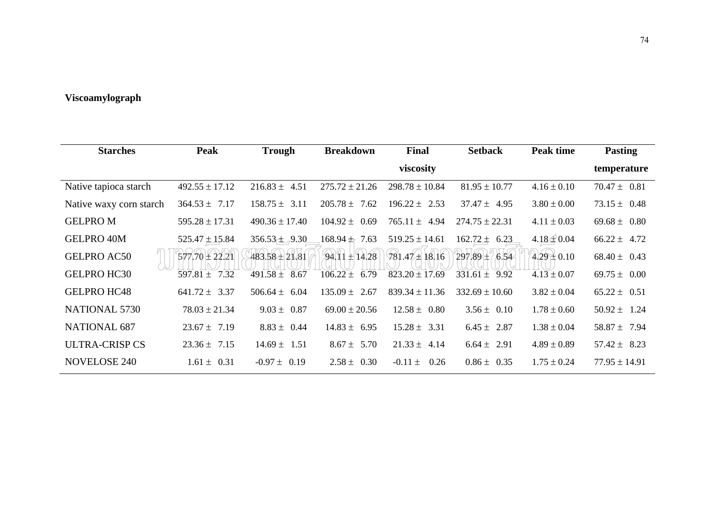### **Viscoamylograph**

| <b>Starches</b>         | <b>Peak</b>        | <b>Trough</b>                  | <b>Breakdown</b>     | Final                | <b>Setback</b>     | Peak time       | <b>Pasting</b>    |
|-------------------------|--------------------|--------------------------------|----------------------|----------------------|--------------------|-----------------|-------------------|
|                         |                    |                                |                      | viscosity            |                    |                 | temperature       |
| Native tapioca starch   | $492.55 \pm 17.12$ | $216.83 \pm 4.51$              | $275.72 \pm 21.26$   | $298.78 \pm 10.84$   | $81.95 \pm 10.77$  | $4.16 \pm 0.10$ | $70.47 \pm 0.81$  |
| Native waxy corn starch | $364.53 \pm 7.17$  | $158.75 \pm 3.11$              | $205.78 \pm 7.62$    | $196.22 \pm 2.53$    | $37.47 \pm 4.95$   | $3.80 \pm 0.00$ | $73.15 \pm 0.48$  |
| <b>GELPROM</b>          | $595.28 \pm 17.31$ | $490.36 \pm 17.40$             | $104.92 \pm$<br>0.69 | $765.11 \pm$<br>4.94 | $274.75 \pm 22.31$ | $4.11 \pm 0.03$ | 69.68 $\pm$ 0.80  |
| <b>GELPRO 40M</b>       | $525.47 \pm 15.84$ | 356.53 $\pm$ <sub>7</sub> 9.30 | $168.94 \pm 7.63$    | $519.25 \pm 14.61$   | $162.72 \pm 6.23$  | $4.18 \pm 0.04$ | $66.22 \pm 4.72$  |
| <b>GELPRO AC50</b>      | 577.70 ± 22.21     | 483.58 ± 21.81                 | $94.11 \pm 14.28$    | $781.47 \pm 18.16$   | 297.89 ± 6.54      | $4.29 \pm 0.10$ | $68.40 \pm 0.43$  |
| <b>GELPRO HC30</b>      | $597.81 \pm 7.32$  | $491.58 \pm 8.67$              | $106.22 \pm 6.79$    | $823.20 \pm 17.69$   | $331.61 \pm 9.92$  | $4.13 \pm 0.07$ | 69.75 $\pm$ 0.00  |
| <b>GELPRO HC48</b>      | $641.72 \pm 3.37$  | 506.64 $\pm$ 6.04              | $135.09 \pm 2.67$    | $839.34 \pm 11.36$   | $332.69 \pm 10.60$ | $3.82 \pm 0.04$ | $65.22 \pm 0.51$  |
| <b>NATIONAL 5730</b>    | $78.03 \pm 21.34$  | $9.03 \pm 0.87$                | $69.00 \pm 20.56$    | $12.58 \pm 0.80$     | $3.56 \pm 0.10$    | $1.78 \pm 0.60$ | $50.92 \pm 1.24$  |
| <b>NATIONAL 687</b>     | $23.67 \pm 7.19$   | $8.83 \pm 0.44$                | $14.83 \pm 6.95$     | $15.28 \pm 3.31$     | $6.45 \pm 2.87$    | $1.38 \pm 0.04$ | $58.87 \pm 7.94$  |
| <b>ULTRA-CRISP CS</b>   | $23.36 \pm 7.15$   | $14.69 \pm 1.51$               | $8.67 \pm 5.70$      | $21.33 \pm 4.14$     | $6.64 \pm 2.91$    | $4.89 \pm 0.89$ | $57.42 \pm 8.23$  |
| <b>NOVELOSE 240</b>     | $1.61 \pm 0.31$    | $-0.97 \pm 0.19$               | $2.58 \pm 0.30$      | $-0.11 \pm$<br>0.26  | $0.86 \pm 0.35$    | $1.75 \pm 0.24$ | $77.95 \pm 14.91$ |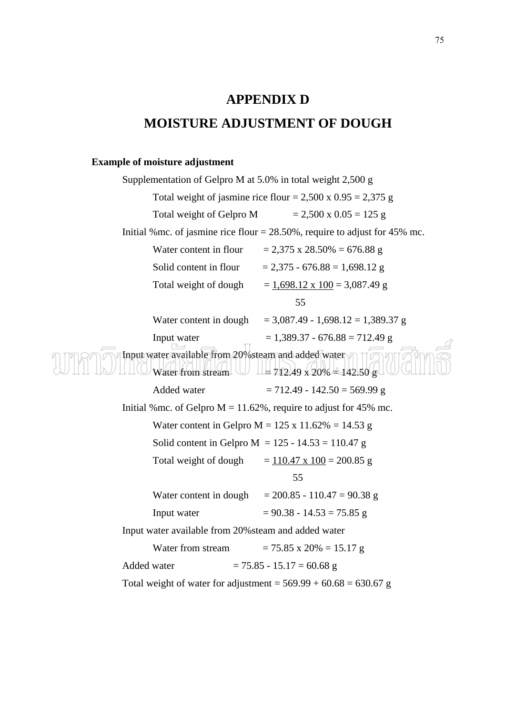## **APPENDIX D MOISTURE ADJUSTMENT OF DOUGH**

#### **Example of moisture adjustment**

Supplementation of Gelpro M at 5.0% in total weight 2,500 g Total weight of jasmine rice flour =  $2,500 \times 0.95 = 2,375 \text{ g}$ Total weight of Gelpro M  $= 2,500 \times 0.05 = 125 \text{ g}$ Initial %mc. of jasmine rice flour  $= 28.50\%$ , require to adjust for 45% mc. Water content in flour  $= 2,375 \times 28.50\% = 676.88 \text{ g}$ Solid content in flour  $= 2,375 - 676.88 = 1,698.12$  g Total weight of dough  $= 1,698.12 \times 100 = 3,087.49 \text{ g}$  55 Water content in dough =  $3,087.49 - 1,698.12 = 1,389.37$  g Input water  $= 1,389.37 - 676.88 = 712.49$  g Input water available from 20% steam and added water Water from stream  $\cup$   $\perp$  4712.49 x 20%  $\pm$  142.50 g Added water  $= 712.49 - 142.50 = 569.99$  g Initial % mc. of Gelpro  $M = 11.62\%$ , require to adjust for 45% mc. Water content in Gelpro  $M = 125 \times 11.62\% = 14.53$  g Solid content in Gelpro  $M = 125 - 14.53 = 110.47$  g Total weight of dough  $= 110.47 \times 100 = 200.85 \text{ g}$  55 Water content in dough =  $200.85 - 110.47 = 90.38$  g Input water  $= 90.38 - 14.53 = 75.85$  g Input water available from 20%steam and added water Water from stream  $= 75.85 \times 20\% = 15.17 \text{ g}$ Added water  $= 75.85 - 15.17 = 60.68$  g Total weight of water for adjustment =  $569.99 + 60.68 = 630.67$  g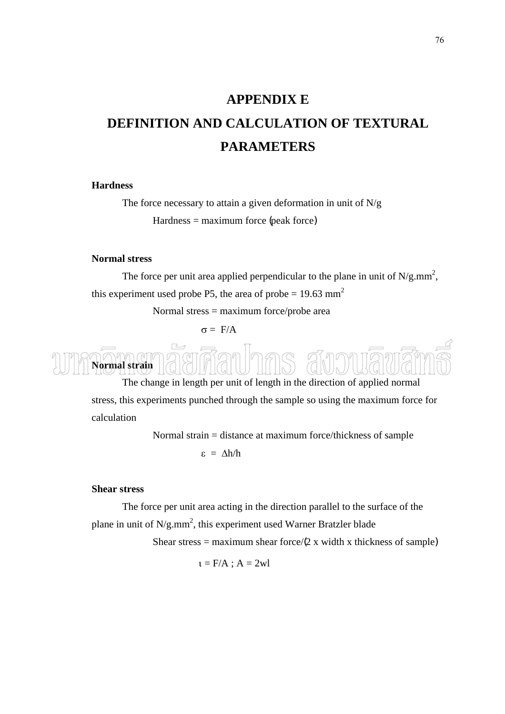# **APPENDIX E DEFINITION AND CALCULATION OF TEXTURAL PARAMETERS**

### **Hardness**

The force necessary to attain a given deformation in unit of  $N/g$  $Hardness = maximum force (peak force)$ 

### **Normal stress**

The force per unit area applied perpendicular to the plane in unit of  $N/g.mm^2$ , this experiment used probe P5, the area of probe  $= 19.63$  mm<sup>2</sup>

Normal stress = maximum force/probe area

σ = F/A



The change in length per unit of length in the direction of applied normal stress, this experiments punched through the sample so using the maximum force for calculation

> Normal strain = distance at maximum force/thickness of sample ε = ∆h/h

### **Shear stress**

The force per unit area acting in the direction parallel to the surface of the plane in unit of  $N/g.mm^2$ , this experiment used Warner Bratzler blade

Shear stress = maximum shear force/ $(2 \times x)$  width x thickness of sample)

 $i = F/A$ ;  $A = 2wl$